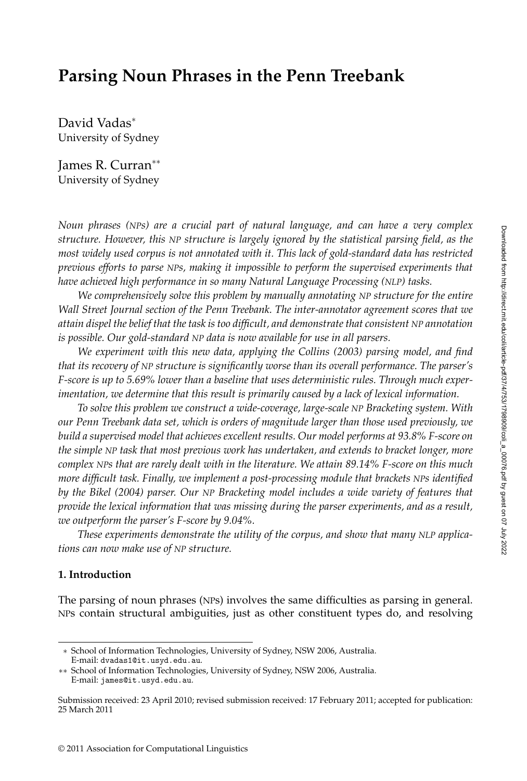# **Parsing Noun Phrases in the Penn Treebank**

David Vadas<sup>∗</sup> University of Sydney

James R. Curran∗∗ University of Sydney

*Noun phrases (NPs) are a crucial part of natural language, and can have a very complex structure. However, this NP structure is largely ignored by the statistical parsing field, as the most widely used corpus is not annotated with it. This lack of gold-standard data has restricted previous efforts to parse NPs, making it impossible to perform the supervised experiments that have achieved high performance in so many Natural Language Processing (NLP) tasks.*

*We comprehensively solve this problem by manually annotating NP structure for the entire Wall Street Journal section of the Penn Treebank. The inter-annotator agreement scores that we attain dispel the belief that the task is too difficult, and demonstrate that consistent NP annotation is possible. Our gold-standard NP data is now available for use in all parsers.*

*We experiment with this new data, applying the Collins (2003) parsing model, and find that its recovery of NP structure is significantly worse than its overall performance. The parser's F-score is up to 5.69% lower than a baseline that uses deterministic rules. Through much experimentation, we determine that this result is primarily caused by a lack of lexical information.*

*To solve this problem we construct a wide-coverage, large-scale NP Bracketing system. With our Penn Treebank data set, which is orders of magnitude larger than those used previously, we build a supervised model that achieves excellent results. Our model performs at 93.8% F-score on the simple NP task that most previous work has undertaken, and extends to bracket longer, more complex NPs that are rarely dealt with in the literature. We attain 89.14% F-score on this much more difficult task. Finally, we implement a post-processing module that brackets NPs identified by the Bikel (2004) parser. Our NP Bracketing model includes a wide variety of features that provide the lexical information that was missing during the parser experiments, and as a result, we outperform the parser's F-score by 9.04%.*

*These experiments demonstrate the utility of the corpus, and show that many NLP applications can now make use of NP structure.*

#### **1. Introduction**

The parsing of noun phrases (NPs) involves the same difficulties as parsing in general. NPs contain structural ambiguities, just as other constituent types do, and resolving

<sup>∗</sup> School of Information Technologies, University of Sydney, NSW 2006, Australia. E-mail: dvadas1@it.usyd.edu.au.

<sup>∗∗</sup> School of Information Technologies, University of Sydney, NSW 2006, Australia. E-mail: james@it.usyd.edu.au.

Submission received: 23 April 2010; revised submission received: 17 February 2011; accepted for publication: 25 March 2011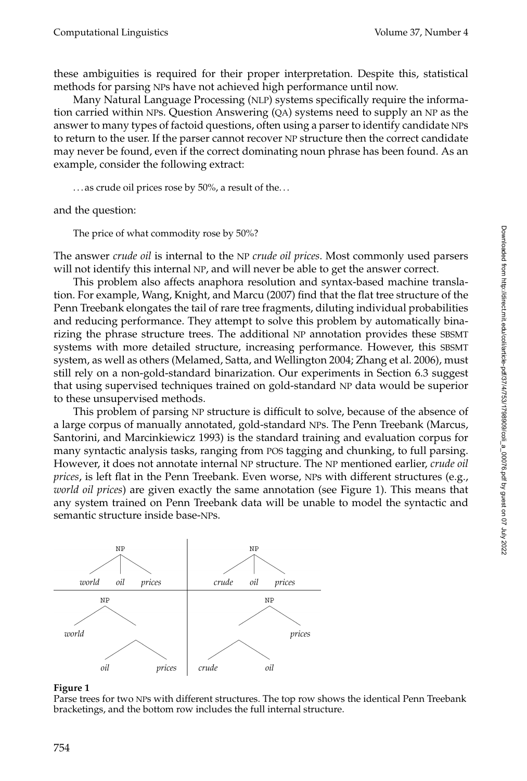these ambiguities is required for their proper interpretation. Despite this, statistical methods for parsing NPs have not achieved high performance until now.

Many Natural Language Processing (NLP) systems specifically require the information carried within NPs. Question Answering (QA) systems need to supply an NP as the answer to many types of factoid questions, often using a parser to identify candidate NPs to return to the user. If the parser cannot recover NP structure then the correct candidate may never be found, even if the correct dominating noun phrase has been found. As an example, consider the following extract:

... as crude oil prices rose by 50%, a result of the...

and the question:

The price of what commodity rose by 50%?

The answer *crude oil* is internal to the NP *crude oil prices*. Most commonly used parsers will not identify this internal NP, and will never be able to get the answer correct.

This problem also affects anaphora resolution and syntax-based machine translation. For example, Wang, Knight, and Marcu (2007) find that the flat tree structure of the Penn Treebank elongates the tail of rare tree fragments, diluting individual probabilities and reducing performance. They attempt to solve this problem by automatically binarizing the phrase structure trees. The additional NP annotation provides these SBSMT systems with more detailed structure, increasing performance. However, this SBSMT system, as well as others (Melamed, Satta, and Wellington 2004; Zhang et al. 2006), must still rely on a non-gold-standard binarization. Our experiments in Section 6.3 suggest that using supervised techniques trained on gold-standard NP data would be superior to these unsupervised methods.

This problem of parsing NP structure is difficult to solve, because of the absence of a large corpus of manually annotated, gold-standard NPs. The Penn Treebank (Marcus, Santorini, and Marcinkiewicz 1993) is the standard training and evaluation corpus for many syntactic analysis tasks, ranging from POS tagging and chunking, to full parsing. However, it does not annotate internal NP structure. The NP mentioned earlier, *crude oil prices*, is left flat in the Penn Treebank. Even worse, NPs with different structures (e.g., *world oil prices*) are given exactly the same annotation (see Figure 1). This means that any system trained on Penn Treebank data will be unable to model the syntactic and semantic structure inside base-NPs.



#### **Figure 1**

Parse trees for two NPs with different structures. The top row shows the identical Penn Treebank bracketings, and the bottom row includes the full internal structure.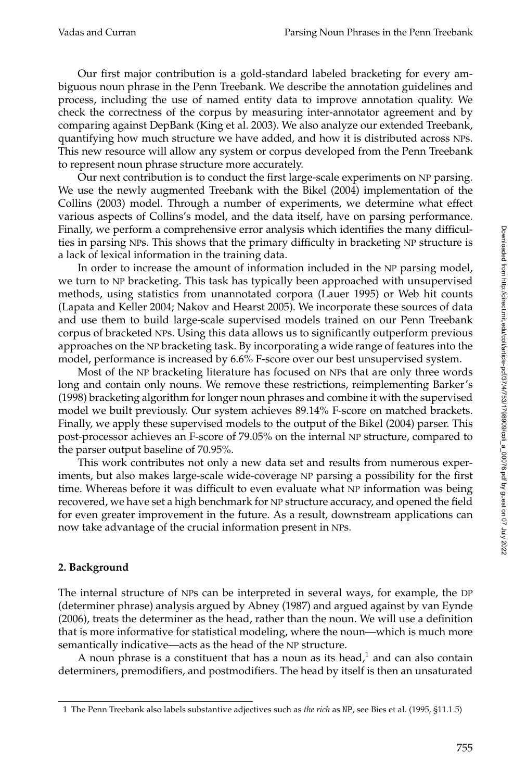Our first major contribution is a gold-standard labeled bracketing for every ambiguous noun phrase in the Penn Treebank. We describe the annotation guidelines and process, including the use of named entity data to improve annotation quality. We check the correctness of the corpus by measuring inter-annotator agreement and by comparing against DepBank (King et al. 2003). We also analyze our extended Treebank, quantifying how much structure we have added, and how it is distributed across NPs. This new resource will allow any system or corpus developed from the Penn Treebank to represent noun phrase structure more accurately.

Our next contribution is to conduct the first large-scale experiments on NP parsing. We use the newly augmented Treebank with the Bikel (2004) implementation of the Collins (2003) model. Through a number of experiments, we determine what effect various aspects of Collins's model, and the data itself, have on parsing performance. Finally, we perform a comprehensive error analysis which identifies the many difficulties in parsing NPs. This shows that the primary difficulty in bracketing NP structure is a lack of lexical information in the training data.

In order to increase the amount of information included in the NP parsing model, we turn to NP bracketing. This task has typically been approached with unsupervised methods, using statistics from unannotated corpora (Lauer 1995) or Web hit counts (Lapata and Keller 2004; Nakov and Hearst 2005). We incorporate these sources of data and use them to build large-scale supervised models trained on our Penn Treebank corpus of bracketed NPs. Using this data allows us to significantly outperform previous approaches on the NP bracketing task. By incorporating a wide range of features into the model, performance is increased by 6.6% F-score over our best unsupervised system.

Most of the NP bracketing literature has focused on NPs that are only three words long and contain only nouns. We remove these restrictions, reimplementing Barker's (1998) bracketing algorithm for longer noun phrases and combine it with the supervised model we built previously. Our system achieves 89.14% F-score on matched brackets. Finally, we apply these supervised models to the output of the Bikel (2004) parser. This post-processor achieves an F-score of 79.05% on the internal NP structure, compared to the parser output baseline of 70.95%.

This work contributes not only a new data set and results from numerous experiments, but also makes large-scale wide-coverage NP parsing a possibility for the first time. Whereas before it was difficult to even evaluate what NP information was being recovered, we have set a high benchmark for NP structure accuracy, and opened the field for even greater improvement in the future. As a result, downstream applications can now take advantage of the crucial information present in NPs.

## **2. Background**

The internal structure of NPs can be interpreted in several ways, for example, the DP (determiner phrase) analysis argued by Abney (1987) and argued against by van Eynde (2006), treats the determiner as the head, rather than the noun. We will use a definition that is more informative for statistical modeling, where the noun—which is much more semantically indicative—acts as the head of the NP structure.

A noun phrase is a constituent that has a noun as its head, $<sup>1</sup>$  and can also contain</sup> determiners, premodifiers, and postmodifiers. The head by itself is then an unsaturated

<sup>1</sup> The Penn Treebank also labels substantive adjectives such as *the rich* as NP, see Bies et al. (1995, §11.1.5)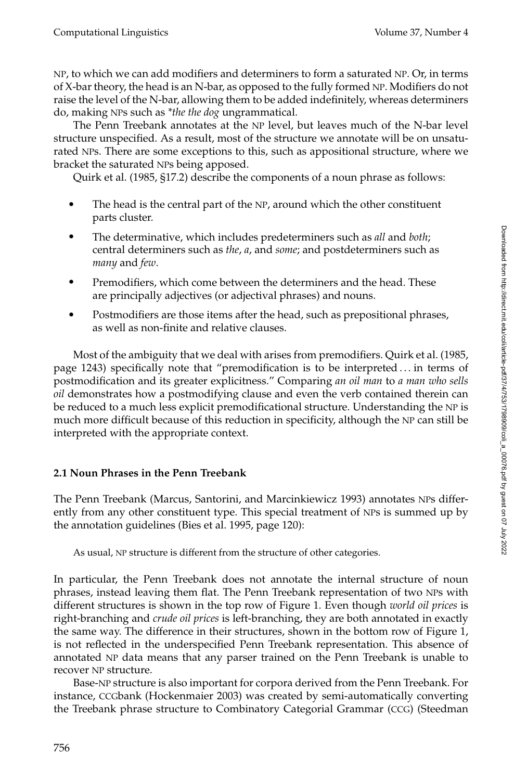NP, to which we can add modifiers and determiners to form a saturated NP. Or, in terms of X-bar theory, the head is an N-bar, as opposed to the fully formed NP. Modifiers do not raise the level of the N-bar, allowing them to be added indefinitely, whereas determiners do, making NPs such as *\*the the dog* ungrammatical.

The Penn Treebank annotates at the NP level, but leaves much of the N-bar level structure unspecified. As a result, most of the structure we annotate will be on unsaturated NPs. There are some exceptions to this, such as appositional structure, where we bracket the saturated NPs being apposed.

Quirk et al. (1985, §17.2) describe the components of a noun phrase as follows:

- - The head is the central part of the NP, around which the other constituent parts cluster.
- - The determinative, which includes predeterminers such as *all* and *both*; central determiners such as *the*, *a*, and *some*; and postdeterminers such as *many* and *few*.
- - Premodifiers, which come between the determiners and the head. These are principally adjectives (or adjectival phrases) and nouns.
- - Postmodifiers are those items after the head, such as prepositional phrases, as well as non-finite and relative clauses.

Most of the ambiguity that we deal with arises from premodifiers. Quirk et al. (1985, page 1243) specifically note that "premodification is to be interpreted . . . in terms of postmodification and its greater explicitness." Comparing *an oil man* to *a man who sells oil* demonstrates how a postmodifying clause and even the verb contained therein can be reduced to a much less explicit premodificational structure. Understanding the NP is much more difficult because of this reduction in specificity, although the NP can still be interpreted with the appropriate context.

## **2.1 Noun Phrases in the Penn Treebank**

The Penn Treebank (Marcus, Santorini, and Marcinkiewicz 1993) annotates NPs differently from any other constituent type. This special treatment of NPs is summed up by the annotation guidelines (Bies et al. 1995, page 120):

As usual, NP structure is different from the structure of other categories.

In particular, the Penn Treebank does not annotate the internal structure of noun phrases, instead leaving them flat. The Penn Treebank representation of two NPs with different structures is shown in the top row of Figure 1. Even though *world oil prices* is right-branching and *crude oil prices* is left-branching, they are both annotated in exactly the same way. The difference in their structures, shown in the bottom row of Figure 1, is not reflected in the underspecified Penn Treebank representation. This absence of annotated NP data means that any parser trained on the Penn Treebank is unable to recover NP structure.

Base-NP structure is also important for corpora derived from the Penn Treebank. For instance, CCGbank (Hockenmaier 2003) was created by semi-automatically converting the Treebank phrase structure to Combinatory Categorial Grammar (CCG) (Steedman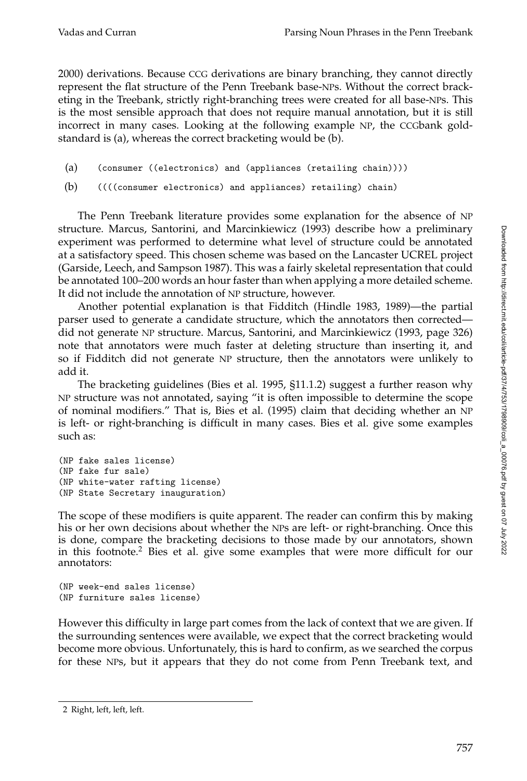2000) derivations. Because CCG derivations are binary branching, they cannot directly represent the flat structure of the Penn Treebank base-NPs. Without the correct bracketing in the Treebank, strictly right-branching trees were created for all base-NPs. This is the most sensible approach that does not require manual annotation, but it is still incorrect in many cases. Looking at the following example NP, the CCGbank goldstandard is (a), whereas the correct bracketing would be (b).

```
(a) (consumer ((electronics) and (appliances (retailing chain))))
```

```
(b) ((((consumer electronics) and appliances) retailing) chain)
```
The Penn Treebank literature provides some explanation for the absence of NP structure. Marcus, Santorini, and Marcinkiewicz (1993) describe how a preliminary experiment was performed to determine what level of structure could be annotated at a satisfactory speed. This chosen scheme was based on the Lancaster UCREL project (Garside, Leech, and Sampson 1987). This was a fairly skeletal representation that could be annotated 100–200 words an hour faster than when applying a more detailed scheme. It did not include the annotation of NP structure, however.

Another potential explanation is that Fidditch (Hindle 1983, 1989)—the partial parser used to generate a candidate structure, which the annotators then corrected did not generate NP structure. Marcus, Santorini, and Marcinkiewicz (1993, page 326) note that annotators were much faster at deleting structure than inserting it, and so if Fidditch did not generate NP structure, then the annotators were unlikely to add it.

The bracketing guidelines (Bies et al. 1995, §11.1.2) suggest a further reason why NP structure was not annotated, saying "it is often impossible to determine the scope of nominal modifiers." That is, Bies et al. (1995) claim that deciding whether an NP is left- or right-branching is difficult in many cases. Bies et al. give some examples such as:

```
(NP fake sales license)
(NP fake fur sale)
(NP white-water rafting license)
(NP State Secretary inauguration)
```
The scope of these modifiers is quite apparent. The reader can confirm this by making his or her own decisions about whether the NPs are left- or right-branching. Once this is done, compare the bracketing decisions to those made by our annotators, shown in this footnote.<sup>2</sup> Bies et al. give some examples that were more difficult for our annotators:

```
(NP week-end sales license)
(NP furniture sales license)
```
However this difficulty in large part comes from the lack of context that we are given. If the surrounding sentences were available, we expect that the correct bracketing would become more obvious. Unfortunately, this is hard to confirm, as we searched the corpus for these NPs, but it appears that they do not come from Penn Treebank text, and

<sup>2</sup> Right, left, left, left.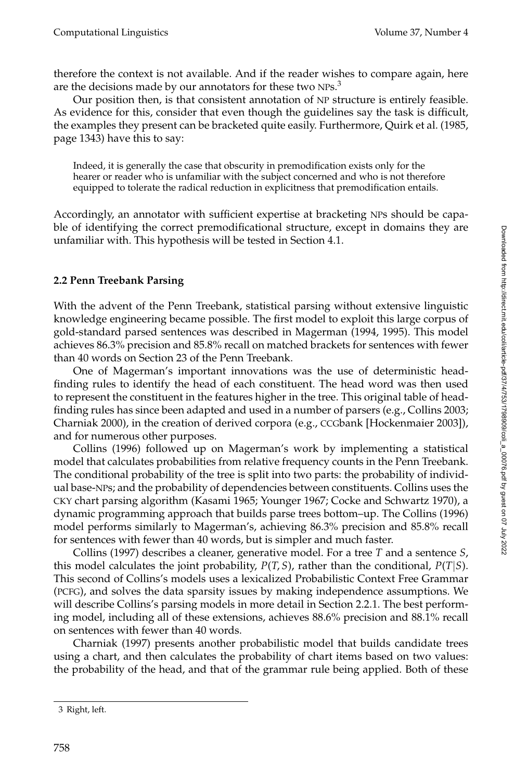therefore the context is not available. And if the reader wishes to compare again, here are the decisions made by our annotators for these two NPs.<sup>3</sup>

Our position then, is that consistent annotation of NP structure is entirely feasible. As evidence for this, consider that even though the guidelines say the task is difficult, the examples they present can be bracketed quite easily. Furthermore, Quirk et al. (1985, page 1343) have this to say:

Indeed, it is generally the case that obscurity in premodification exists only for the hearer or reader who is unfamiliar with the subject concerned and who is not therefore equipped to tolerate the radical reduction in explicitness that premodification entails.

Accordingly, an annotator with sufficient expertise at bracketing NPs should be capable of identifying the correct premodificational structure, except in domains they are unfamiliar with. This hypothesis will be tested in Section 4.1.

### **2.2 Penn Treebank Parsing**

With the advent of the Penn Treebank, statistical parsing without extensive linguistic knowledge engineering became possible. The first model to exploit this large corpus of gold-standard parsed sentences was described in Magerman (1994, 1995). This model achieves 86.3% precision and 85.8% recall on matched brackets for sentences with fewer than 40 words on Section 23 of the Penn Treebank.

One of Magerman's important innovations was the use of deterministic headfinding rules to identify the head of each constituent. The head word was then used to represent the constituent in the features higher in the tree. This original table of headfinding rules has since been adapted and used in a number of parsers (e.g., Collins 2003; Charniak 2000), in the creation of derived corpora (e.g., CCGbank [Hockenmaier 2003]), and for numerous other purposes.

Collins (1996) followed up on Magerman's work by implementing a statistical model that calculates probabilities from relative frequency counts in the Penn Treebank. The conditional probability of the tree is split into two parts: the probability of individual base-NPs; and the probability of dependencies between constituents. Collins uses the CKY chart parsing algorithm (Kasami 1965; Younger 1967; Cocke and Schwartz 1970), a dynamic programming approach that builds parse trees bottom–up. The Collins (1996) model performs similarly to Magerman's, achieving 86.3% precision and 85.8% recall for sentences with fewer than 40 words, but is simpler and much faster.

Collins (1997) describes a cleaner, generative model. For a tree *T* and a sentence *S*, this model calculates the joint probability,  $P(T, S)$ , rather than the conditional,  $P(T|S)$ . This second of Collins's models uses a lexicalized Probabilistic Context Free Grammar (PCFG), and solves the data sparsity issues by making independence assumptions. We will describe Collins's parsing models in more detail in Section 2.2.1. The best performing model, including all of these extensions, achieves 88.6% precision and 88.1% recall on sentences with fewer than 40 words.

Charniak (1997) presents another probabilistic model that builds candidate trees using a chart, and then calculates the probability of chart items based on two values: the probability of the head, and that of the grammar rule being applied. Both of these

<sup>3</sup> Right, left.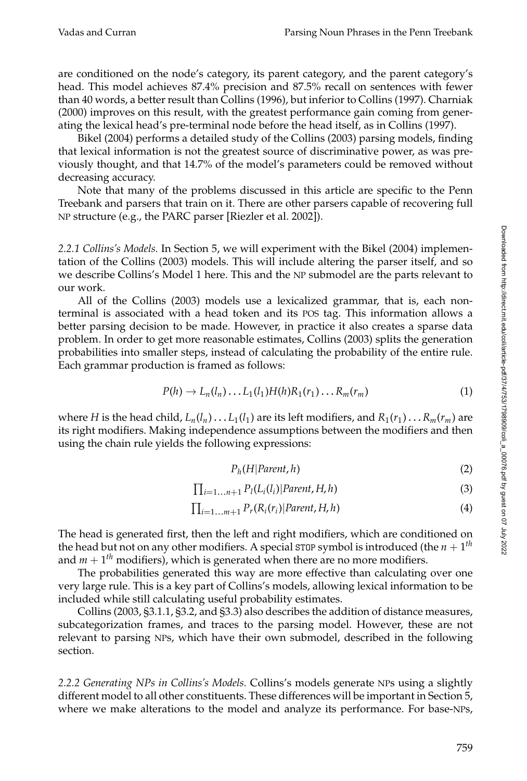are conditioned on the node's category, its parent category, and the parent category's head. This model achieves 87.4% precision and 87.5% recall on sentences with fewer than 40 words, a better result than Collins (1996), but inferior to Collins (1997). Charniak (2000) improves on this result, with the greatest performance gain coming from generating the lexical head's pre-terminal node before the head itself, as in Collins (1997).

Bikel (2004) performs a detailed study of the Collins (2003) parsing models, finding that lexical information is not the greatest source of discriminative power, as was previously thought, and that 14.7% of the model's parameters could be removed without decreasing accuracy.

Note that many of the problems discussed in this article are specific to the Penn Treebank and parsers that train on it. There are other parsers capable of recovering full NP structure (e.g., the PARC parser [Riezler et al. 2002]).

*2.2.1 Collins's Models.* In Section 5, we will experiment with the Bikel (2004) implementation of the Collins (2003) models. This will include altering the parser itself, and so we describe Collins's Model 1 here. This and the NP submodel are the parts relevant to our work.

All of the Collins (2003) models use a lexicalized grammar, that is, each nonterminal is associated with a head token and its POS tag. This information allows a better parsing decision to be made. However, in practice it also creates a sparse data problem. In order to get more reasonable estimates, Collins (2003) splits the generation probabilities into smaller steps, instead of calculating the probability of the entire rule. Each grammar production is framed as follows:

$$
P(h) \to L_n(l_n) \dots L_1(l_1)H(h)R_1(r_1) \dots R_m(r_m)
$$
\n(1)

where *H* is the head child,  $L_n(l_n) \dots L_1(l_1)$  are its left modifiers, and  $R_1(r_1) \dots R_m(r_m)$  are its right modifiers. Making independence assumptions between the modifiers and then using the chain rule yields the following expressions:

$$
P_h(H|Parent, h) \tag{2}
$$

$$
\prod_{i=1...n+1} P_l(L_i(l_i)|\text{Parent}, H, h) \tag{3}
$$

$$
\prod_{i=1...m+1} P_r(R_i(r_i)|Parent, H, h) \tag{4}
$$

The head is generated first, then the left and right modifiers, which are conditioned on the head but not on any other modifiers. A special STOP symbol is introduced (the  $n + 1<sup>th</sup>$ and  $m + 1<sup>th</sup>$  modifiers), which is generated when there are no more modifiers.

The probabilities generated this way are more effective than calculating over one very large rule. This is a key part of Collins's models, allowing lexical information to be included while still calculating useful probability estimates.

Collins (2003, §3.1.1, §3.2, and §3.3) also describes the addition of distance measures, subcategorization frames, and traces to the parsing model. However, these are not relevant to parsing NPs, which have their own submodel, described in the following section.

*2.2.2 Generating NPs in Collins's Models.* Collins's models generate NPs using a slightly different model to all other constituents. These differences will be important in Section 5, where we make alterations to the model and analyze its performance. For base-NPs,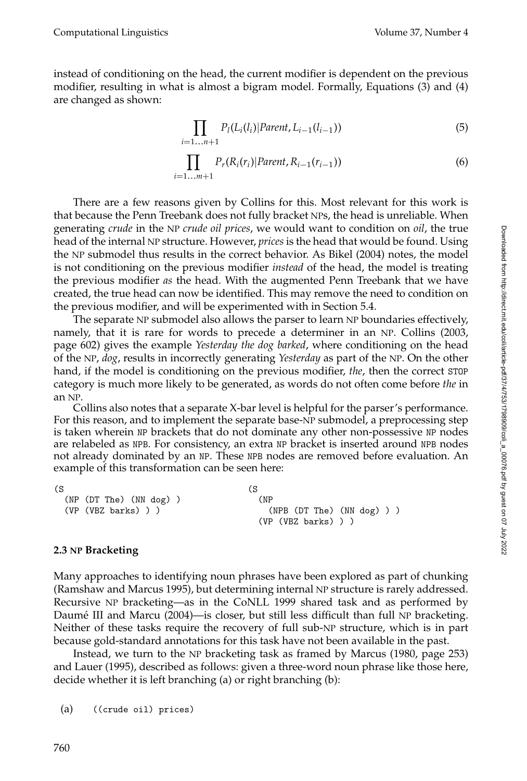instead of conditioning on the head, the current modifier is dependent on the previous modifier, resulting in what is almost a bigram model. Formally, Equations (3) and (4) are changed as shown:

$$
\prod_{i=1...n+1} P_l(L_i(l_i)|\text{Parent}, L_{i-1}(l_{i-1}))
$$
\n(5)

$$
\prod_{i=1...m+1} P_r(R_i(r_i)|\text{Parent}, R_{i-1}(r_{i-1})) \tag{6}
$$

There are a few reasons given by Collins for this. Most relevant for this work is that because the Penn Treebank does not fully bracket NPs, the head is unreliable. When generating *crude* in the NP *crude oil prices*, we would want to condition on *oil*, the true head of the internal NP structure. However, *prices* is the head that would be found. Using the NP submodel thus results in the correct behavior. As Bikel (2004) notes, the model is not conditioning on the previous modifier *instead* of the head, the model is treating the previous modifier *as* the head. With the augmented Penn Treebank that we have created, the true head can now be identified. This may remove the need to condition on the previous modifier, and will be experimented with in Section 5.4.

The separate NP submodel also allows the parser to learn NP boundaries effectively, namely, that it is rare for words to precede a determiner in an NP. Collins (2003, page 602) gives the example *Yesterday the dog barked*, where conditioning on the head of the NP, *dog*, results in incorrectly generating *Yesterday* as part of the NP. On the other hand, if the model is conditioning on the previous modifier, *the*, then the correct STOP category is much more likely to be generated, as words do not often come before *the* in an NP.

Collins also notes that a separate X-bar level is helpful for the parser's performance. For this reason, and to implement the separate base-NP submodel, a preprocessing step is taken wherein NP brackets that do not dominate any other non-possessive NP nodes are relabeled as NPB. For consistency, an extra NP bracket is inserted around NPB nodes not already dominated by an NP. These NPB nodes are removed before evaluation. An example of this transformation can be seen here:

```
(S \t S)(NP (DT The) (NN dog) ) (NP (VBZ barks) ) ) (
                                 (NPB (DT The) (NN dog) ) )(VP (VBZ barks) ) )
```
### **2.3 NP Bracketing**

Many approaches to identifying noun phrases have been explored as part of chunking (Ramshaw and Marcus 1995), but determining internal NP structure is rarely addressed. Recursive NP bracketing—as in the CoNLL 1999 shared task and as performed by Daumé III and Marcu (2004)—is closer, but still less difficult than full NP bracketing. Neither of these tasks require the recovery of full sub-NP structure, which is in part because gold-standard annotations for this task have not been available in the past.

Instead, we turn to the NP bracketing task as framed by Marcus (1980, page 253) and Lauer (1995), described as follows: given a three-word noun phrase like those here, decide whether it is left branching (a) or right branching (b):

```
(a) ((crude oil) prices)
```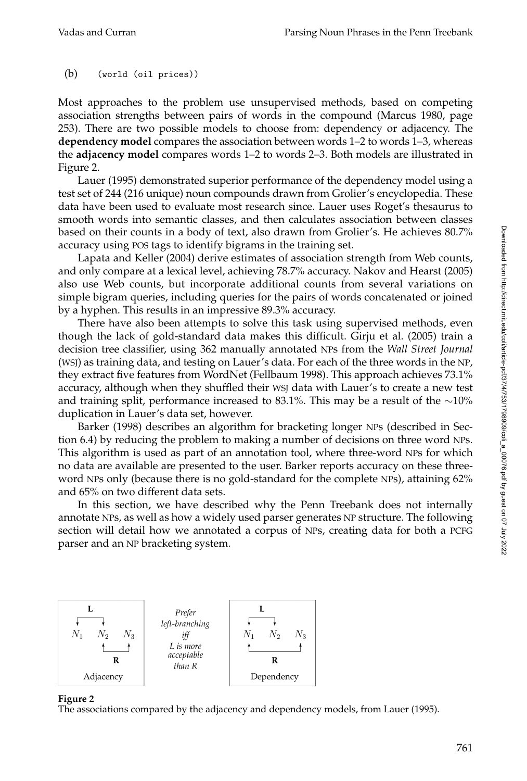```
(b) (world (oil prices))
```
Most approaches to the problem use unsupervised methods, based on competing association strengths between pairs of words in the compound (Marcus 1980, page 253). There are two possible models to choose from: dependency or adjacency. The **dependency model** compares the association between words 1–2 to words 1–3, whereas the **adjacency model** compares words 1–2 to words 2–3. Both models are illustrated in Figure 2.

Lauer (1995) demonstrated superior performance of the dependency model using a test set of 244 (216 unique) noun compounds drawn from Grolier's encyclopedia. These data have been used to evaluate most research since. Lauer uses Roget's thesaurus to smooth words into semantic classes, and then calculates association between classes based on their counts in a body of text, also drawn from Grolier's. He achieves 80.7% accuracy using POS tags to identify bigrams in the training set.

Lapata and Keller (2004) derive estimates of association strength from Web counts, and only compare at a lexical level, achieving 78.7% accuracy. Nakov and Hearst (2005) also use Web counts, but incorporate additional counts from several variations on simple bigram queries, including queries for the pairs of words concatenated or joined by a hyphen. This results in an impressive 89.3% accuracy.

There have also been attempts to solve this task using supervised methods, even though the lack of gold-standard data makes this difficult. Girju et al. (2005) train a decision tree classifier, using 362 manually annotated NPs from the *Wall Street Journal* (WSJ) as training data, and testing on Lauer's data. For each of the three words in the NP, they extract five features from WordNet (Fellbaum 1998). This approach achieves 73.1% accuracy, although when they shuffled their WSJ data with Lauer's to create a new test and training split, performance increased to 83.1%. This may be a result of the  $\sim$ 10% duplication in Lauer's data set, however.

Barker (1998) describes an algorithm for bracketing longer NPs (described in Section 6.4) by reducing the problem to making a number of decisions on three word NPs. This algorithm is used as part of an annotation tool, where three-word NPs for which no data are available are presented to the user. Barker reports accuracy on these threeword NPs only (because there is no gold-standard for the complete NPs), attaining 62% and 65% on two different data sets.

In this section, we have described why the Penn Treebank does not internally annotate NPs, as well as how a widely used parser generates NP structure. The following section will detail how we annotated a corpus of NPs, creating data for both a PCFG parser and an NP bracketing system.



#### **Figure 2**

The associations compared by the adjacency and dependency models, from Lauer (1995).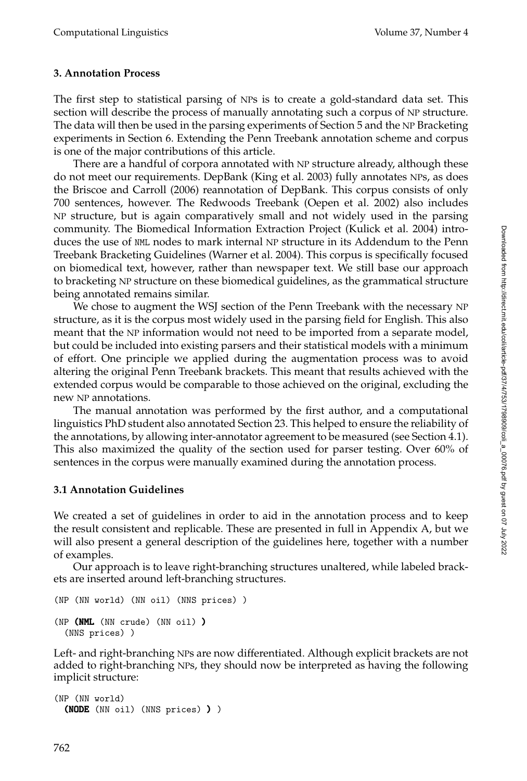### **3. Annotation Process**

The first step to statistical parsing of NPs is to create a gold-standard data set. This section will describe the process of manually annotating such a corpus of NP structure. The data will then be used in the parsing experiments of Section 5 and the NP Bracketing experiments in Section 6. Extending the Penn Treebank annotation scheme and corpus is one of the major contributions of this article.

There are a handful of corpora annotated with NP structure already, although these do not meet our requirements. DepBank (King et al. 2003) fully annotates NPs, as does the Briscoe and Carroll (2006) reannotation of DepBank. This corpus consists of only 700 sentences, however. The Redwoods Treebank (Oepen et al. 2002) also includes NP structure, but is again comparatively small and not widely used in the parsing community. The Biomedical Information Extraction Project (Kulick et al. 2004) introduces the use of NML nodes to mark internal NP structure in its Addendum to the Penn Treebank Bracketing Guidelines (Warner et al. 2004). This corpus is specifically focused on biomedical text, however, rather than newspaper text. We still base our approach to bracketing NP structure on these biomedical guidelines, as the grammatical structure being annotated remains similar.

We chose to augment the WSJ section of the Penn Treebank with the necessary NP structure, as it is the corpus most widely used in the parsing field for English. This also meant that the NP information would not need to be imported from a separate model, but could be included into existing parsers and their statistical models with a minimum of effort. One principle we applied during the augmentation process was to avoid altering the original Penn Treebank brackets. This meant that results achieved with the extended corpus would be comparable to those achieved on the original, excluding the new NP annotations.

The manual annotation was performed by the first author, and a computational linguistics PhD student also annotated Section 23. This helped to ensure the reliability of the annotations, by allowing inter-annotator agreement to be measured (see Section 4.1). This also maximized the quality of the section used for parser testing. Over 60% of sentences in the corpus were manually examined during the annotation process.

## **3.1 Annotation Guidelines**

We created a set of guidelines in order to aid in the annotation process and to keep the result consistent and replicable. These are presented in full in Appendix A, but we will also present a general description of the guidelines here, together with a number of examples.

Our approach is to leave right-branching structures unaltered, while labeled brackets are inserted around left-branching structures.

```
(NP (NN world) (NN oil) (NNS prices) )
(NP (NML (NN crude) (NN oil) )
 (NNS prices) )
```
Left- and right-branching NPs are now differentiated. Although explicit brackets are not added to right-branching NPs, they should now be interpreted as having the following implicit structure:

```
(NP (NN world)
 (NODE (NN oil) (NNS prices) ) )
```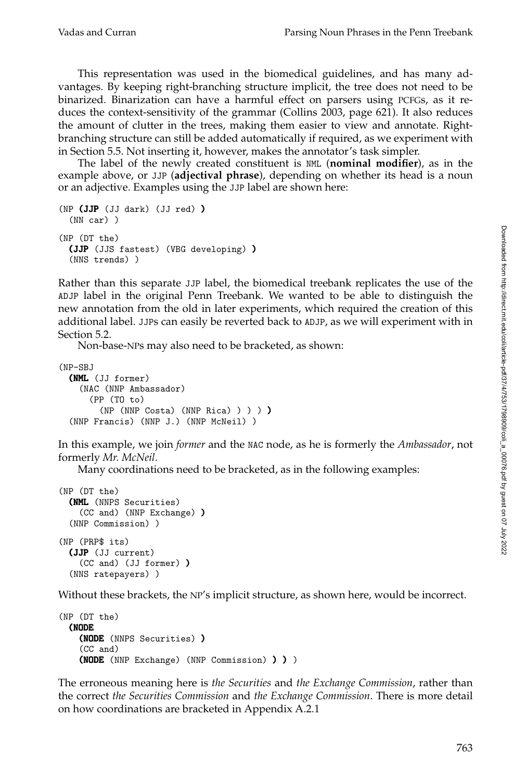This representation was used in the biomedical guidelines, and has many advantages. By keeping right-branching structure implicit, the tree does not need to be binarized. Binarization can have a harmful effect on parsers using PCFGs, as it reduces the context-sensitivity of the grammar (Collins 2003, page 621). It also reduces the amount of clutter in the trees, making them easier to view and annotate. Rightbranching structure can still be added automatically if required, as we experiment with in Section 5.5. Not inserting it, however, makes the annotator's task simpler.

The label of the newly created constituent is NML (**nominal modifier**), as in the example above, or JJP (**adjectival phrase**), depending on whether its head is a noun or an adjective. Examples using the JJP label are shown here:

```
(NP (JJP (JJ dark) (JJ red) )
  (NN car) )
(NP (DT the)
  (JJP (JJS fastest) (VBG developing) )
  (NNS trends) )
```
Rather than this separate JJP label, the biomedical treebank replicates the use of the ADJP label in the original Penn Treebank. We wanted to be able to distinguish the new annotation from the old in later experiments, which required the creation of this additional label. JJPs can easily be reverted back to ADJP, as we will experiment with in Section 5.2.

Non-base-NPs may also need to be bracketed, as shown:

```
(NP-SBJ
 (NML (JJ former)
    (NAC (NNP Ambassador)
      (PP (TO to)
        (NP (NNP Costa) (NNP Rica)))))
  (NNP Francis) (NNP J.) (NNP McNeil) )
```
In this example, we join *former* and the NAC node, as he is formerly the *Ambassador*, not formerly *Mr. McNeil*.

Many coordinations need to be bracketed, as in the following examples:

```
(NP (DT the)
  (NML (NNPS Securities)
    (CC and) (NNP Exchange) )
  (NNP Commission) )
(NP (PRP$ its)
  (JJP (JJ current)
    (CC and) (JJ former) )
  (NNS ratepayers) )
```
Without these brackets, the NP's implicit structure, as shown here, would be incorrect.

```
(NP (DT the)
  (NODE
    (NODE (NNPS Securities) )
    (CC and)
    (NODE (NNP Exchange) (NNP Commission) ) ) )
```
The erroneous meaning here is *the Securities* and *the Exchange Commission*, rather than the correct *the Securities Commission* and *the Exchange Commission*. There is more detail on how coordinations are bracketed in Appendix A.2.1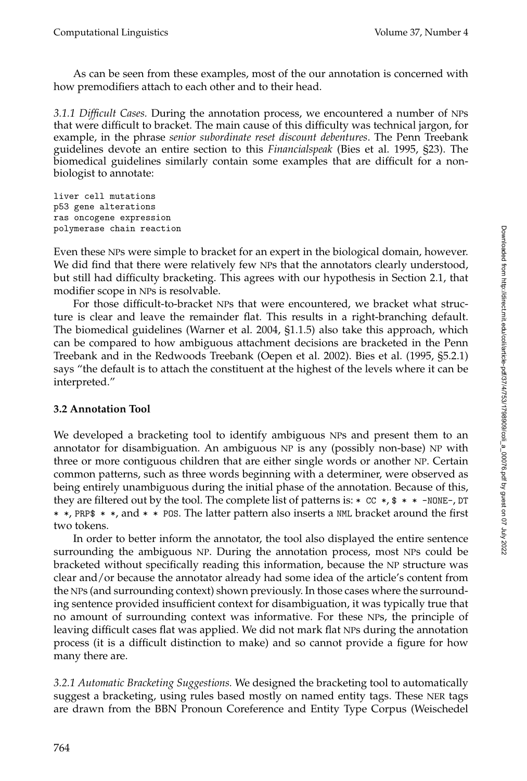As can be seen from these examples, most of the our annotation is concerned with how premodifiers attach to each other and to their head.

*3.1.1 Difficult Cases.* During the annotation process, we encountered a number of NPs that were difficult to bracket. The main cause of this difficulty was technical jargon, for example, in the phrase *senior subordinate reset discount debentures*. The Penn Treebank guidelines devote an entire section to this *Financialspeak* (Bies et al. 1995, §23). The biomedical guidelines similarly contain some examples that are difficult for a nonbiologist to annotate:

```
liver cell mutations
p53 gene alterations
ras oncogene expression
polymerase chain reaction
```
Even these NPs were simple to bracket for an expert in the biological domain, however. We did find that there were relatively few NPs that the annotators clearly understood, but still had difficulty bracketing. This agrees with our hypothesis in Section 2.1, that modifier scope in NPs is resolvable.

For those difficult-to-bracket NPs that were encountered, we bracket what structure is clear and leave the remainder flat. This results in a right-branching default. The biomedical guidelines (Warner et al. 2004, §1.1.5) also take this approach, which can be compared to how ambiguous attachment decisions are bracketed in the Penn Treebank and in the Redwoods Treebank (Oepen et al. 2002). Bies et al. (1995, §5.2.1) says "the default is to attach the constituent at the highest of the levels where it can be interpreted."

## **3.2 Annotation Tool**

We developed a bracketing tool to identify ambiguous NPs and present them to an annotator for disambiguation. An ambiguous NP is any (possibly non-base) NP with three or more contiguous children that are either single words or another NP. Certain common patterns, such as three words beginning with a determiner, were observed as being entirely unambiguous during the initial phase of the annotation. Because of this, they are filtered out by the tool. The complete list of patterns is:  $*$  CC  $*$ ,  $*$   $*$   $*$  -NONE-, DT \* \*, PRP\$ \* \*, and \* \* POS. The latter pattern also inserts a NML bracket around the first two tokens.

In order to better inform the annotator, the tool also displayed the entire sentence surrounding the ambiguous NP. During the annotation process, most NPs could be bracketed without specifically reading this information, because the NP structure was clear and/or because the annotator already had some idea of the article's content from the NPs (and surrounding context) shown previously. In those cases where the surrounding sentence provided insufficient context for disambiguation, it was typically true that no amount of surrounding context was informative. For these NPs, the principle of leaving difficult cases flat was applied. We did not mark flat NPs during the annotation process (it is a difficult distinction to make) and so cannot provide a figure for how many there are.

*3.2.1 Automatic Bracketing Suggestions.* We designed the bracketing tool to automatically suggest a bracketing, using rules based mostly on named entity tags. These NER tags are drawn from the BBN Pronoun Coreference and Entity Type Corpus (Weischedel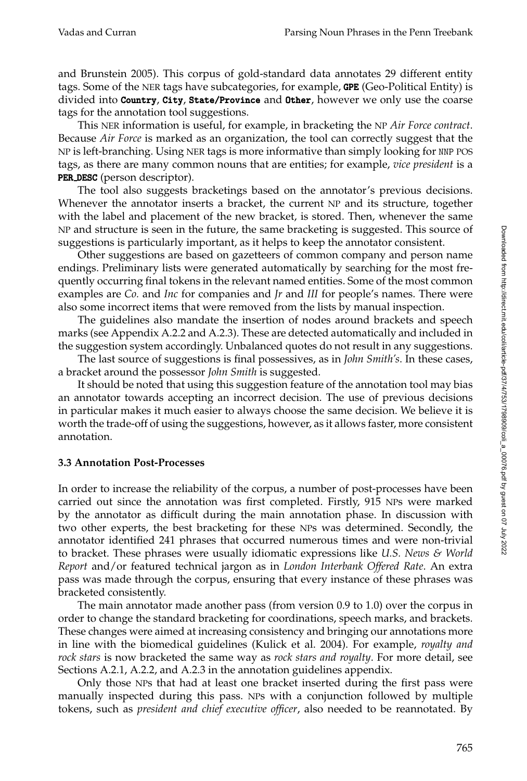and Brunstein 2005). This corpus of gold-standard data annotates 29 different entity tags. Some of the NER tags have subcategories, for example, GPE (Geo-Political Entity) is divided into Country, City, State/Province and Other, however we only use the coarse tags for the annotation tool suggestions.

This NER information is useful, for example, in bracketing the NP *Air Force contract*. Because *Air Force* is marked as an organization, the tool can correctly suggest that the NP is left-branching. Using NER tags is more informative than simply looking for NNP POS tags, as there are many common nouns that are entities; for example, *vice president* is a PER DESC (person descriptor).

The tool also suggests bracketings based on the annotator's previous decisions. Whenever the annotator inserts a bracket, the current NP and its structure, together with the label and placement of the new bracket, is stored. Then, whenever the same NP and structure is seen in the future, the same bracketing is suggested. This source of suggestions is particularly important, as it helps to keep the annotator consistent.

Other suggestions are based on gazetteers of common company and person name endings. Preliminary lists were generated automatically by searching for the most frequently occurring final tokens in the relevant named entities. Some of the most common examples are *Co.* and *Inc* for companies and *Jr* and *III* for people's names. There were also some incorrect items that were removed from the lists by manual inspection.

The guidelines also mandate the insertion of nodes around brackets and speech marks (see Appendix A.2.2 and A.2.3). These are detected automatically and included in the suggestion system accordingly. Unbalanced quotes do not result in any suggestions.

The last source of suggestions is final possessives, as in *John Smith's*. In these cases, a bracket around the possessor *John Smith* is suggested.

It should be noted that using this suggestion feature of the annotation tool may bias an annotator towards accepting an incorrect decision. The use of previous decisions in particular makes it much easier to always choose the same decision. We believe it is worth the trade-off of using the suggestions, however, as it allows faster, more consistent annotation.

## **3.3 Annotation Post-Processes**

In order to increase the reliability of the corpus, a number of post-processes have been carried out since the annotation was first completed. Firstly, 915 NPs were marked by the annotator as difficult during the main annotation phase. In discussion with two other experts, the best bracketing for these NPs was determined. Secondly, the annotator identified 241 phrases that occurred numerous times and were non-trivial to bracket. These phrases were usually idiomatic expressions like *U.S. News & World Report* and/or featured technical jargon as in *London Interbank Offered Rate*. An extra pass was made through the corpus, ensuring that every instance of these phrases was bracketed consistently.

The main annotator made another pass (from version 0.9 to 1.0) over the corpus in order to change the standard bracketing for coordinations, speech marks, and brackets. These changes were aimed at increasing consistency and bringing our annotations more in line with the biomedical guidelines (Kulick et al. 2004). For example, *royalty and rock stars* is now bracketed the same way as *rock stars and royalty*. For more detail, see Sections A.2.1, A.2.2, and A.2.3 in the annotation guidelines appendix.

Only those NPs that had at least one bracket inserted during the first pass were manually inspected during this pass. NPs with a conjunction followed by multiple tokens, such as *president and chief executive officer*, also needed to be reannotated. By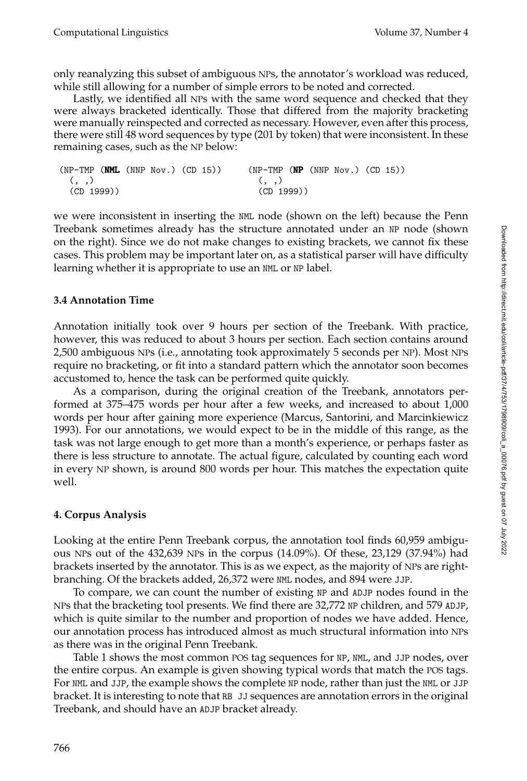only reanalyzing this subset of ambiguous NPs, the annotator's workload was reduced, while still allowing for a number of simple errors to be noted and corrected.

Lastly, we identified all NPs with the same word sequence and checked that they were always bracketed identically. Those that differed from the majority bracketing were manually reinspected and corrected as necessary. However, even after this process, there were still 48 word sequences by type (201 by token) that were inconsistent. In these remaining cases, such as the NP below:

 $(NP-TMP (NML (NNP Nov.) (CD 15))$  (NP-TMP  $(NP (NNP Nov.) (CD 15))$  $(, 1)$   $(, 1)$ (CD 1999)) (CD 1999))

we were inconsistent in inserting the NML node (shown on the left) because the Penn Treebank sometimes already has the structure annotated under an NP node (shown on the right). Since we do not make changes to existing brackets, we cannot fix these cases. This problem may be important later on, as a statistical parser will have difficulty learning whether it is appropriate to use an NML or NP label.

### **3.4 Annotation Time**

Annotation initially took over 9 hours per section of the Treebank. With practice, however, this was reduced to about 3 hours per section. Each section contains around 2,500 ambiguous NPs (i.e., annotating took approximately 5 seconds per NP). Most NPs require no bracketing, or fit into a standard pattern which the annotator soon becomes accustomed to, hence the task can be performed quite quickly.

As a comparison, during the original creation of the Treebank, annotators performed at 375–475 words per hour after a few weeks, and increased to about 1,000 words per hour after gaining more experience (Marcus, Santorini, and Marcinkiewicz 1993). For our annotations, we would expect to be in the middle of this range, as the task was not large enough to get more than a month's experience, or perhaps faster as there is less structure to annotate. The actual figure, calculated by counting each word in every NP shown, is around 800 words per hour. This matches the expectation quite well.

## **4. Corpus Analysis**

Looking at the entire Penn Treebank corpus, the annotation tool finds 60,959 ambiguous NPs out of the 432,639 NPs in the corpus (14.09%). Of these, 23,129 (37.94%) had brackets inserted by the annotator. This is as we expect, as the majority of NPs are rightbranching. Of the brackets added, 26,372 were NML nodes, and 894 were JJP.

To compare, we can count the number of existing NP and ADJP nodes found in the NPs that the bracketing tool presents. We find there are 32,772 NP children, and 579 ADJP, which is quite similar to the number and proportion of nodes we have added. Hence, our annotation process has introduced almost as much structural information into NPs as there was in the original Penn Treebank.

Table 1 shows the most common POS tag sequences for NP, NML, and JJP nodes, over the entire corpus. An example is given showing typical words that match the POS tags. For NML and JJP, the example shows the complete NP node, rather than just the NML or JJP bracket. It is interesting to note that RB JJ sequences are annotation errors in the original Treebank, and should have an ADJP bracket already.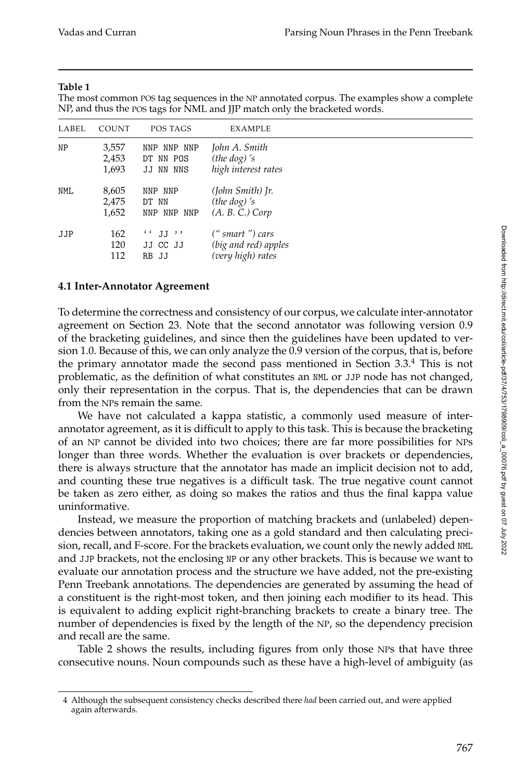The most common POS tag sequences in the NP annotated corpus. The examples show a complete NP, and thus the POS tags for NML and JJP match only the bracketed words.

| LABEL | <b>COUNT</b>            | POS TAGS                                  | <b>EXAMPLE</b>                                                |  |
|-------|-------------------------|-------------------------------------------|---------------------------------------------------------------|--|
| NP    | 3,557<br>2,453<br>1,693 | NNP NNP NNP<br>DT NN POS<br>JJ NN NNS     | John A. Smith<br>(the $dog$ ) 's<br>high interest rates       |  |
| NML   | 8,605<br>2,475<br>1,652 | NNP NNP<br>DT NN<br>NNP NNP NNP           | (John Smith) Jr.<br>(the $dog$ ) 's<br>$(A. B. C.)$ Corp      |  |
| JJP   | 162<br>120<br>112       | $\ldots$ 11 $\ldots$<br>JJ CC JJ<br>RB JJ | $"$ smart") cars<br>(big and red) apples<br>(very high) rates |  |

### **4.1 Inter-Annotator Agreement**

To determine the correctness and consistency of our corpus, we calculate inter-annotator agreement on Section 23. Note that the second annotator was following version 0.9 of the bracketing guidelines, and since then the guidelines have been updated to version 1.0. Because of this, we can only analyze the 0.9 version of the corpus, that is, before the primary annotator made the second pass mentioned in Section 3.3.4 This is not problematic, as the definition of what constitutes an NML or JJP node has not changed, only their representation in the corpus. That is, the dependencies that can be drawn from the NPs remain the same.

We have not calculated a kappa statistic, a commonly used measure of interannotator agreement, as it is difficult to apply to this task. This is because the bracketing of an NP cannot be divided into two choices; there are far more possibilities for NPs longer than three words. Whether the evaluation is over brackets or dependencies, there is always structure that the annotator has made an implicit decision not to add, and counting these true negatives is a difficult task. The true negative count cannot be taken as zero either, as doing so makes the ratios and thus the final kappa value uninformative.

Instead, we measure the proportion of matching brackets and (unlabeled) dependencies between annotators, taking one as a gold standard and then calculating precision, recall, and F-score. For the brackets evaluation, we count only the newly added NML and JJP brackets, not the enclosing NP or any other brackets. This is because we want to evaluate our annotation process and the structure we have added, not the pre-existing Penn Treebank annotations. The dependencies are generated by assuming the head of a constituent is the right-most token, and then joining each modifier to its head. This is equivalent to adding explicit right-branching brackets to create a binary tree. The number of dependencies is fixed by the length of the NP, so the dependency precision and recall are the same.

Table 2 shows the results, including figures from only those NPs that have three consecutive nouns. Noun compounds such as these have a high-level of ambiguity (as

<sup>4</sup> Although the subsequent consistency checks described there *had* been carried out, and were applied again afterwards.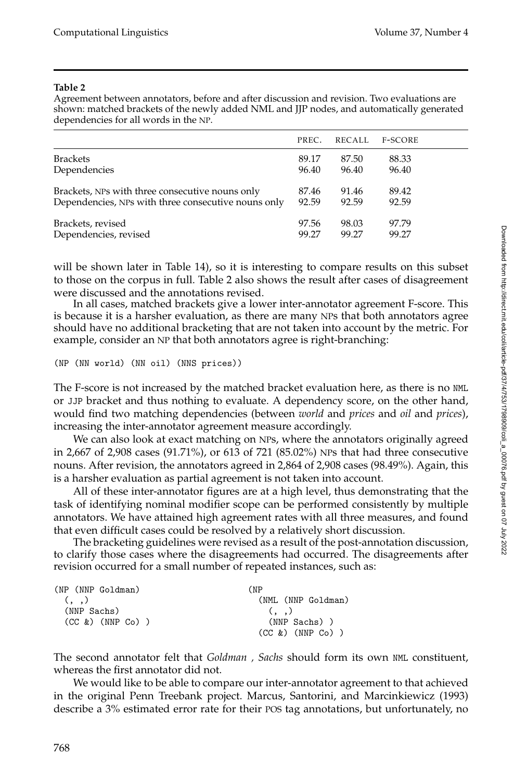Agreement between annotators, before and after discussion and revision. Two evaluations are shown: matched brackets of the newly added NML and JJP nodes, and automatically generated dependencies for all words in the NP.

|                                                     | PREC. | RECALL | F-SCORE |
|-----------------------------------------------------|-------|--------|---------|
| <b>Brackets</b>                                     | 89.17 | 87.50  | 88.33   |
| Dependencies                                        | 96.40 | 96.40  | 96.40   |
| Brackets, NPs with three consecutive nouns only     | 87.46 | 91.46  | 89.42   |
| Dependencies, NPs with three consecutive nouns only | 92.59 | 92.59  | 92.59   |
| Brackets, revised                                   | 97.56 | 98.03  | 97.79   |
| Dependencies, revised                               | 99.27 | 99.27  | 99.27   |

will be shown later in Table 14), so it is interesting to compare results on this subset to those on the corpus in full. Table 2 also shows the result after cases of disagreement were discussed and the annotations revised.

In all cases, matched brackets give a lower inter-annotator agreement F-score. This is because it is a harsher evaluation, as there are many NPs that both annotators agree should have no additional bracketing that are not taken into account by the metric. For example, consider an NP that both annotators agree is right-branching:

```
(NP (NN world) (NN oil) (NNS prices))
```
The F-score is not increased by the matched bracket evaluation here, as there is no NML or JJP bracket and thus nothing to evaluate. A dependency score, on the other hand, would find two matching dependencies (between *world* and *prices* and *oil* and *prices*), increasing the inter-annotator agreement measure accordingly.

We can also look at exact matching on NPs, where the annotators originally agreed in 2,667 of 2,908 cases (91.71%), or 613 of 721 (85.02%) NPs that had three consecutive nouns. After revision, the annotators agreed in 2,864 of 2,908 cases (98.49%). Again, this is a harsher evaluation as partial agreement is not taken into account.

All of these inter-annotator figures are at a high level, thus demonstrating that the task of identifying nominal modifier scope can be performed consistently by multiple annotators. We have attained high agreement rates with all three measures, and found that even difficult cases could be resolved by a relatively short discussion.

The bracketing guidelines were revised as a result of the post-annotation discussion, to clarify those cases where the disagreements had occurred. The disagreements after revision occurred for a small number of repeated instances, such as:

| (NP (NNP Goldman) | (NP                |
|-------------------|--------------------|
| $($ , $)$         | (NML (NNP Goldman) |
| (NNP Sachs)       | $($ . $)$          |
| (CC > (NNP Co) )  | (NNP Sachs))       |
|                   | (CC > (NNP Co) )   |

The second annotator felt that *Goldman , Sachs* should form its own NML constituent, whereas the first annotator did not.

We would like to be able to compare our inter-annotator agreement to that achieved in the original Penn Treebank project. Marcus, Santorini, and Marcinkiewicz (1993) describe a 3% estimated error rate for their POS tag annotations, but unfortunately, no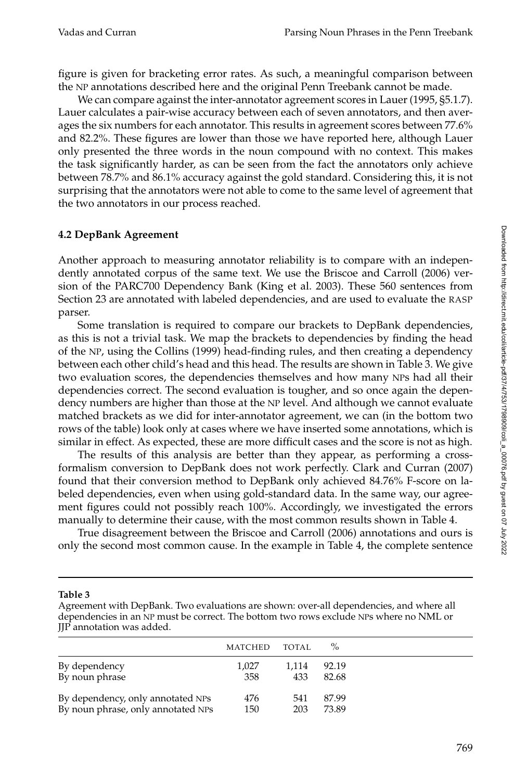figure is given for bracketing error rates. As such, a meaningful comparison between the NP annotations described here and the original Penn Treebank cannot be made.

We can compare against the inter-annotator agreement scores in Lauer (1995, §5.1.7). Lauer calculates a pair-wise accuracy between each of seven annotators, and then averages the six numbers for each annotator. This results in agreement scores between 77.6% and 82.2%. These figures are lower than those we have reported here, although Lauer only presented the three words in the noun compound with no context. This makes the task significantly harder, as can be seen from the fact the annotators only achieve between 78.7% and 86.1% accuracy against the gold standard. Considering this, it is not surprising that the annotators were not able to come to the same level of agreement that the two annotators in our process reached.

### **4.2 DepBank Agreement**

Another approach to measuring annotator reliability is to compare with an independently annotated corpus of the same text. We use the Briscoe and Carroll (2006) version of the PARC700 Dependency Bank (King et al. 2003). These 560 sentences from Section 23 are annotated with labeled dependencies, and are used to evaluate the RASP parser.

Some translation is required to compare our brackets to DepBank dependencies, as this is not a trivial task. We map the brackets to dependencies by finding the head of the NP, using the Collins (1999) head-finding rules, and then creating a dependency between each other child's head and this head. The results are shown in Table 3. We give two evaluation scores, the dependencies themselves and how many NPs had all their dependencies correct. The second evaluation is tougher, and so once again the dependency numbers are higher than those at the NP level. And although we cannot evaluate matched brackets as we did for inter-annotator agreement, we can (in the bottom two rows of the table) look only at cases where we have inserted some annotations, which is similar in effect. As expected, these are more difficult cases and the score is not as high.

The results of this analysis are better than they appear, as performing a crossformalism conversion to DepBank does not work perfectly. Clark and Curran (2007) found that their conversion method to DepBank only achieved 84.76% F-score on labeled dependencies, even when using gold-standard data. In the same way, our agreement figures could not possibly reach 100%. Accordingly, we investigated the errors manually to determine their cause, with the most common results shown in Table 4.

True disagreement between the Briscoe and Carroll (2006) annotations and ours is only the second most common cause. In the example in Table 4, the complete sentence

#### **Table 3**

Agreement with DepBank. Two evaluations are shown: over-all dependencies, and where all dependencies in an NP must be correct. The bottom two rows exclude NPs where no NML or JJP annotation was added.

|                                    | MATCHED | TOTAL | $\%$  |
|------------------------------------|---------|-------|-------|
| By dependency                      | 1,027   | 1.114 | 92.19 |
| By noun phrase                     | 358     | 433   | 82.68 |
| By dependency, only annotated NPs  | 476     | 541   | 87.99 |
| By noun phrase, only annotated NPs | 150     | 203   | 73.89 |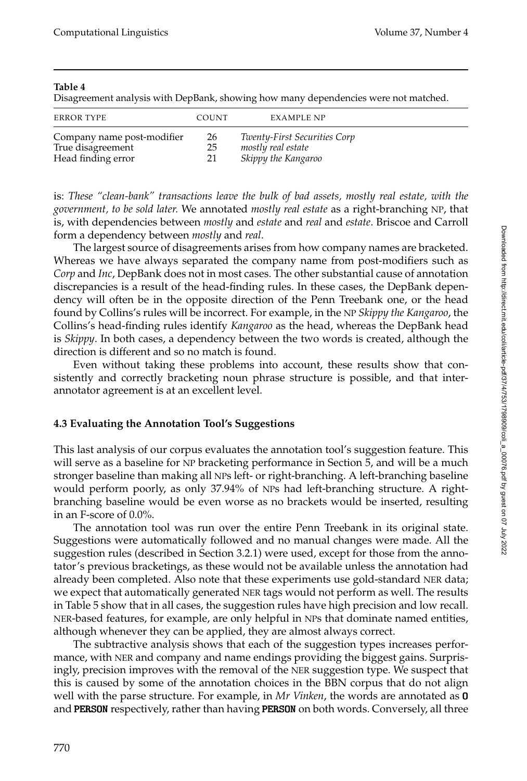Disagreement analysis with DepBank, showing how many dependencies were not matched.

| ERROR TYPE                 | <b>COUNT</b> | EXAMPLE NP                   |
|----------------------------|--------------|------------------------------|
| Company name post-modifier | 26           | Twenty-First Securities Corp |
| True disagreement          | 25           | mostly real estate           |
| Head finding error         | 21           | Skippy the Kangaroo          |

is: *These "clean-bank" transactions leave the bulk of bad assets, mostly real estate, with the government, to be sold later.* We annotated *mostly real estate* as a right-branching NP, that is, with dependencies between *mostly* and *estate* and *real* and *estate*. Briscoe and Carroll form a dependency between *mostly* and *real*.

The largest source of disagreements arises from how company names are bracketed. Whereas we have always separated the company name from post-modifiers such as *Corp* and *Inc*, DepBank does not in most cases. The other substantial cause of annotation discrepancies is a result of the head-finding rules. In these cases, the DepBank dependency will often be in the opposite direction of the Penn Treebank one, or the head found by Collins's rules will be incorrect. For example, in the NP *Skippy the Kangaroo*, the Collins's head-finding rules identify *Kangaroo* as the head, whereas the DepBank head is *Skippy*. In both cases, a dependency between the two words is created, although the direction is different and so no match is found.

Even without taking these problems into account, these results show that consistently and correctly bracketing noun phrase structure is possible, and that interannotator agreement is at an excellent level.

### **4.3 Evaluating the Annotation Tool's Suggestions**

This last analysis of our corpus evaluates the annotation tool's suggestion feature. This will serve as a baseline for NP bracketing performance in Section 5, and will be a much stronger baseline than making all NPs left- or right-branching. A left-branching baseline would perform poorly, as only 37.94% of NPs had left-branching structure. A rightbranching baseline would be even worse as no brackets would be inserted, resulting in an F-score of 0.0%.

The annotation tool was run over the entire Penn Treebank in its original state. Suggestions were automatically followed and no manual changes were made. All the suggestion rules (described in Section 3.2.1) were used, except for those from the annotator's previous bracketings, as these would not be available unless the annotation had already been completed. Also note that these experiments use gold-standard NER data; we expect that automatically generated NER tags would not perform as well. The results in Table 5 show that in all cases, the suggestion rules have high precision and low recall. NER-based features, for example, are only helpful in NPs that dominate named entities, although whenever they can be applied, they are almost always correct.

The subtractive analysis shows that each of the suggestion types increases performance, with NER and company and name endings providing the biggest gains. Surprisingly, precision improves with the removal of the NER suggestion type. We suspect that this is caused by some of the annotation choices in the BBN corpus that do not align well with the parse structure. For example, in *Mr Vinken*, the words are annotated as O and PERSON respectively, rather than having PERSON on both words. Conversely, all three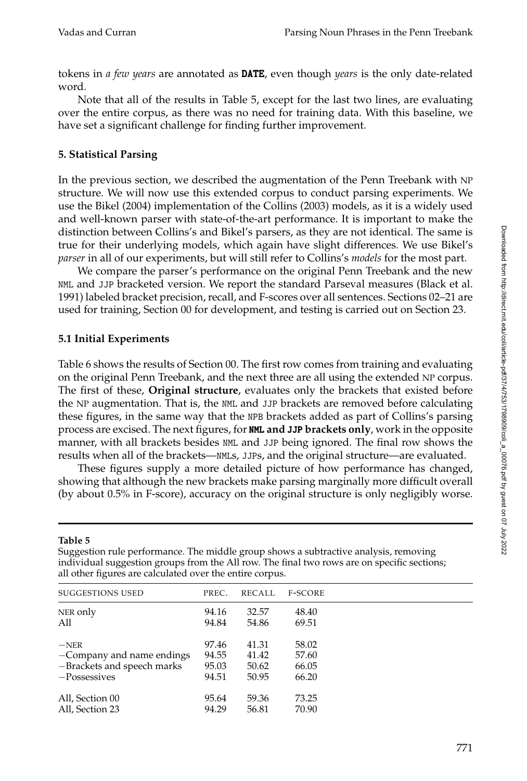tokens in *a few years* are annotated as DATE, even though *years* is the only date-related word.

Note that all of the results in Table 5, except for the last two lines, are evaluating over the entire corpus, as there was no need for training data. With this baseline, we have set a significant challenge for finding further improvement.

## **5. Statistical Parsing**

In the previous section, we described the augmentation of the Penn Treebank with NP structure. We will now use this extended corpus to conduct parsing experiments. We use the Bikel (2004) implementation of the Collins (2003) models, as it is a widely used and well-known parser with state-of-the-art performance. It is important to make the distinction between Collins's and Bikel's parsers, as they are not identical. The same is true for their underlying models, which again have slight differences. We use Bikel's *parser* in all of our experiments, but will still refer to Collins's *models* for the most part.

We compare the parser's performance on the original Penn Treebank and the new NML and JJP bracketed version. We report the standard Parseval measures (Black et al. 1991) labeled bracket precision, recall, and F-scores over all sentences. Sections 02–21 are used for training, Section 00 for development, and testing is carried out on Section 23.

## **5.1 Initial Experiments**

Table 6 shows the results of Section 00. The first row comes from training and evaluating on the original Penn Treebank, and the next three are all using the extended NP corpus. The first of these, **Original structure**, evaluates only the brackets that existed before the NP augmentation. That is, the NML and JJP brackets are removed before calculating these figures, in the same way that the NPB brackets added as part of Collins's parsing process are excised. The next figures, for NML **and** JJP **brackets only**, work in the opposite manner, with all brackets besides NML and JJP being ignored. The final row shows the results when all of the brackets—NMLs, JJPs, and the original structure—are evaluated.

These figures supply a more detailed picture of how performance has changed, showing that although the new brackets make parsing marginally more difficult overall (by about 0.5% in F-score), accuracy on the original structure is only negligibly worse.

### **Table 5**

| all other figures are calculated over the entire corpus.                          |                                  |                                  |                                  |  |
|-----------------------------------------------------------------------------------|----------------------------------|----------------------------------|----------------------------------|--|
| <b>SUGGESTIONS USED</b>                                                           | PREC.                            | RECALL                           | <b>F-SCORE</b>                   |  |
| NER only<br>All                                                                   | 94.16<br>94.84                   | 32.57<br>54.86                   | 48.40<br>69.51                   |  |
| $-NER$<br>-Company and name endings<br>-Brackets and speech marks<br>-Possessives | 97.46<br>94.55<br>95.03<br>94.51 | 41.31<br>41.42<br>50.62<br>50.95 | 58.02<br>57.60<br>66.05<br>66.20 |  |
| All, Section 00<br>All, Section 23                                                | 95.64<br>94.29                   | 59.36<br>56.81                   | 73.25<br>70.90                   |  |

Suggestion rule performance. The middle group shows a subtractive analysis, removing individual suggestion groups from the All row. The final two rows are on specific sections; all other figures are calculated over the entire corpus.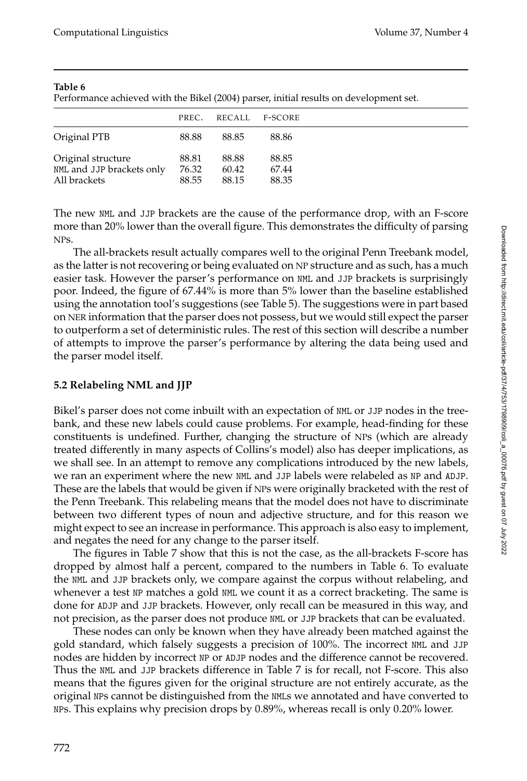Performance achieved with the Bikel (2004) parser, initial results on development set.

|                                                                 | PREC.                   | RECALL                  | F-SCORE                 |
|-----------------------------------------------------------------|-------------------------|-------------------------|-------------------------|
| Original PTB                                                    | 88.88                   | 88.85                   | 88.86                   |
| Original structure<br>NML and JJP brackets only<br>All brackets | 88.81<br>76.32<br>88.55 | 88.88<br>60.42<br>88.15 | 88.85<br>67.44<br>88.35 |

The new NML and JJP brackets are the cause of the performance drop, with an F-score more than 20% lower than the overall figure. This demonstrates the difficulty of parsing NPs.

The all-brackets result actually compares well to the original Penn Treebank model, as the latter is not recovering or being evaluated on NP structure and as such, has a much easier task. However the parser's performance on NML and JJP brackets is surprisingly poor. Indeed, the figure of 67.44% is more than 5% lower than the baseline established using the annotation tool's suggestions (see Table 5). The suggestions were in part based on NER information that the parser does not possess, but we would still expect the parser to outperform a set of deterministic rules. The rest of this section will describe a number of attempts to improve the parser's performance by altering the data being used and the parser model itself.

### **5.2 Relabeling NML and JJP**

Bikel's parser does not come inbuilt with an expectation of NML or JJP nodes in the treebank, and these new labels could cause problems. For example, head-finding for these constituents is undefined. Further, changing the structure of NPs (which are already treated differently in many aspects of Collins's model) also has deeper implications, as we shall see. In an attempt to remove any complications introduced by the new labels, we ran an experiment where the new NML and JJP labels were relabeled as NP and ADJP. These are the labels that would be given if NPs were originally bracketed with the rest of the Penn Treebank. This relabeling means that the model does not have to discriminate between two different types of noun and adjective structure, and for this reason we might expect to see an increase in performance. This approach is also easy to implement, and negates the need for any change to the parser itself.

The figures in Table 7 show that this is not the case, as the all-brackets F-score has dropped by almost half a percent, compared to the numbers in Table 6. To evaluate the NML and JJP brackets only, we compare against the corpus without relabeling, and whenever a test NP matches a gold NML we count it as a correct bracketing. The same is done for ADJP and JJP brackets. However, only recall can be measured in this way, and not precision, as the parser does not produce NML or JJP brackets that can be evaluated.

These nodes can only be known when they have already been matched against the gold standard, which falsely suggests a precision of 100%. The incorrect NML and JJP nodes are hidden by incorrect NP or ADJP nodes and the difference cannot be recovered. Thus the NML and JJP brackets difference in Table 7 is for recall, not F-score. This also means that the figures given for the original structure are not entirely accurate, as the original NPs cannot be distinguished from the NMLs we annotated and have converted to NPs. This explains why precision drops by 0.89%, whereas recall is only 0.20% lower.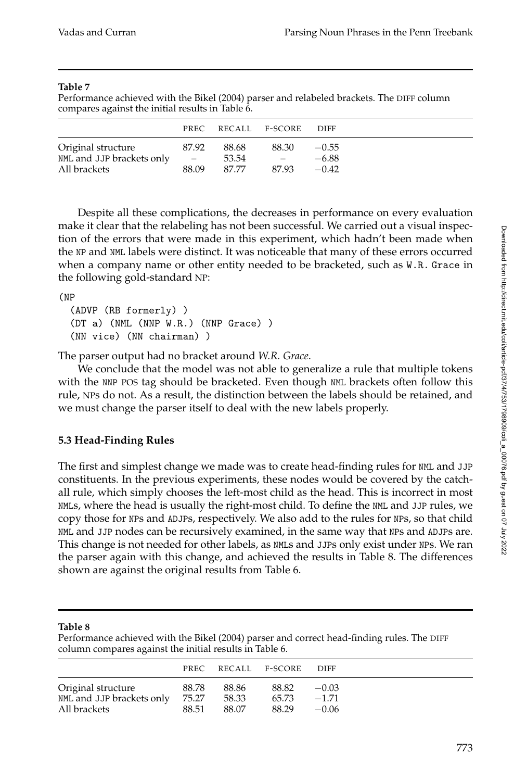Performance achieved with the Bikel (2004) parser and relabeled brackets. The DIFF column compares against the initial results in Table 6.

|                                                                 |                |                            | PREC RECALL F-SCORE          | <b>DIFF</b>                   |
|-----------------------------------------------------------------|----------------|----------------------------|------------------------------|-------------------------------|
| Original structure<br>NML and JJP brackets only<br>All brackets | 87.92<br>88.09 | 88.68<br>$-53.54$<br>87.77 | 88.30<br>$\sim$ $-$<br>87.93 | $-0.55$<br>$-6.88$<br>$-0.42$ |

Despite all these complications, the decreases in performance on every evaluation make it clear that the relabeling has not been successful. We carried out a visual inspection of the errors that were made in this experiment, which hadn't been made when the NP and NML labels were distinct. It was noticeable that many of these errors occurred when a company name or other entity needed to be bracketed, such as W.R. Grace in the following gold-standard NP:

### (NP

(ADVP (RB formerly) ) (DT a) (NML (NNP W.R.) (NNP Grace) ) (NN vice) (NN chairman) )

The parser output had no bracket around *W.R. Grace*.

We conclude that the model was not able to generalize a rule that multiple tokens with the NNP POS tag should be bracketed. Even though NML brackets often follow this rule, NPs do not. As a result, the distinction between the labels should be retained, and we must change the parser itself to deal with the new labels properly.

## **5.3 Head-Finding Rules**

The first and simplest change we made was to create head-finding rules for NML and JJP constituents. In the previous experiments, these nodes would be covered by the catchall rule, which simply chooses the left-most child as the head. This is incorrect in most NMLs, where the head is usually the right-most child. To define the NML and JJP rules, we copy those for NPs and ADJPs, respectively. We also add to the rules for NPs, so that child NML and JJP nodes can be recursively examined, in the same way that NPs and ADJPs are. This change is not needed for other labels, as NMLs and JJPs only exist under NPs. We ran the parser again with this change, and achieved the results in Table 8. The differences shown are against the original results from Table 6.

### **Table 8**

Performance achieved with the Bikel (2004) parser and correct head-finding rules. The DIFF column compares against the initial results in Table 6.

|                           | PREC  | RECALL F-SCORE |       | <b>DIFF</b> |
|---------------------------|-------|----------------|-------|-------------|
| Original structure        | 88.78 | 88.86          | 88.82 | $-0.03$     |
| NML and JJP brackets only | 75.27 | 58.33          | 65.73 | $-1.71$     |
| All brackets              | 88.51 | 88.07          | 88.29 | $-0.06$     |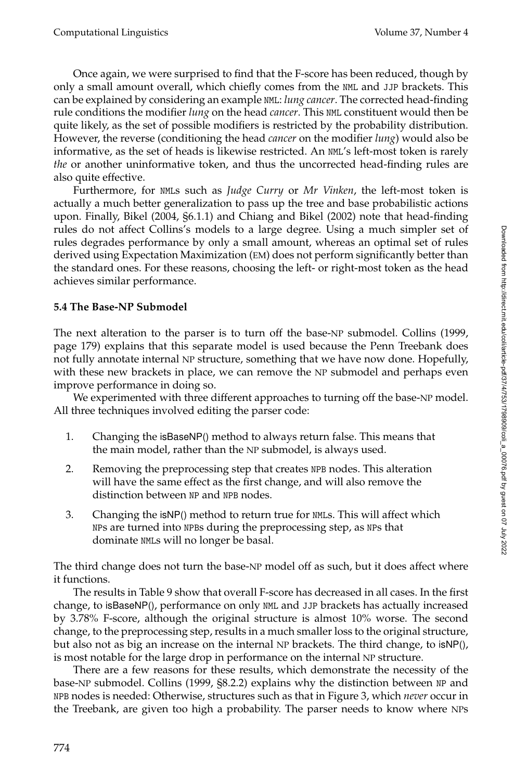Once again, we were surprised to find that the F-score has been reduced, though by only a small amount overall, which chiefly comes from the NML and JJP brackets. This can be explained by considering an example NML: *lung cancer*. The corrected head-finding rule conditions the modifier *lung* on the head *cancer*. This NML constituent would then be quite likely, as the set of possible modifiers is restricted by the probability distribution. However, the reverse (conditioning the head *cancer* on the modifier *lung*) would also be informative, as the set of heads is likewise restricted. An NML's left-most token is rarely *the* or another uninformative token, and thus the uncorrected head-finding rules are also quite effective.

Furthermore, for NMLs such as *Judge Curry* or *Mr Vinken*, the left-most token is actually a much better generalization to pass up the tree and base probabilistic actions upon. Finally, Bikel (2004, §6.1.1) and Chiang and Bikel (2002) note that head-finding rules do not affect Collins's models to a large degree. Using a much simpler set of rules degrades performance by only a small amount, whereas an optimal set of rules derived using Expectation Maximization (EM) does not perform significantly better than the standard ones. For these reasons, choosing the left- or right-most token as the head achieves similar performance.

## **5.4 The Base-NP Submodel**

The next alteration to the parser is to turn off the base-NP submodel. Collins (1999, page 179) explains that this separate model is used because the Penn Treebank does not fully annotate internal NP structure, something that we have now done. Hopefully, with these new brackets in place, we can remove the NP submodel and perhaps even improve performance in doing so.

We experimented with three different approaches to turning off the base-NP model. All three techniques involved editing the parser code:

- 1. Changing the isBaseNP() method to always return false. This means that the main model, rather than the NP submodel, is always used.
- 2. Removing the preprocessing step that creates NPB nodes. This alteration will have the same effect as the first change, and will also remove the distinction between NP and NPB nodes.
- 3. Changing the isNP() method to return true for NMLs. This will affect which NPs are turned into NPBs during the preprocessing step, as NPs that dominate NMLs will no longer be basal.

The third change does not turn the base-NP model off as such, but it does affect where it functions.

The results in Table 9 show that overall F-score has decreased in all cases. In the first change, to isBaseNP(), performance on only NML and JJP brackets has actually increased by 3.78% F-score, although the original structure is almost 10% worse. The second change, to the preprocessing step, results in a much smaller loss to the original structure, but also not as big an increase on the internal NP brackets. The third change, to isNP(), is most notable for the large drop in performance on the internal NP structure.

There are a few reasons for these results, which demonstrate the necessity of the base-NP submodel. Collins (1999, §8.2.2) explains why the distinction between NP and NPB nodes is needed: Otherwise, structures such as that in Figure 3, which *never* occur in the Treebank, are given too high a probability. The parser needs to know where NPs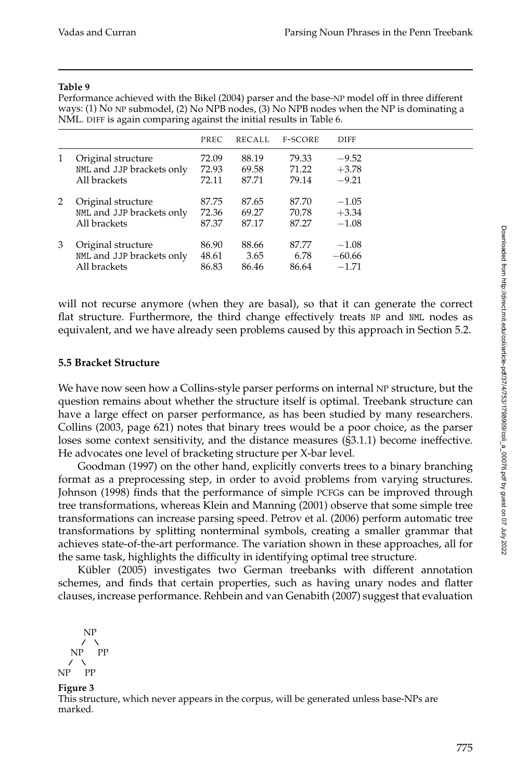Performance achieved with the Bikel (2004) parser and the base-NP model off in three different ways: (1) No NP submodel, (2) No NPB nodes, (3) No NPB nodes when the NP is dominating a NML. DIFF is again comparing against the initial results in Table 6.

|   |                                                                 | PREC                    | RECALL                  | <b>F-SCORE</b>          | <b>DIFF</b>                    |  |
|---|-----------------------------------------------------------------|-------------------------|-------------------------|-------------------------|--------------------------------|--|
| 1 | Original structure<br>NML and JJP brackets only<br>All brackets | 72.09<br>72.93<br>72.11 | 88.19<br>69.58<br>87.71 | 79.33<br>71.22<br>79.14 | $-9.52$<br>$+3.78$<br>$-9.21$  |  |
| 2 | Original structure<br>NML and JJP brackets only<br>All brackets | 87.75<br>72.36<br>87.37 | 87.65<br>69.27<br>87.17 | 87.70<br>70.78<br>87.27 | $-1.05$<br>$+3.34$<br>$-1.08$  |  |
| 3 | Original structure<br>NML and JJP brackets only<br>All brackets | 86.90<br>48.61<br>86.83 | 88.66<br>3.65<br>86.46  | 87.77<br>6.78<br>86.64  | $-1.08$<br>$-60.66$<br>$-1.71$ |  |

will not recurse anymore (when they are basal), so that it can generate the correct flat structure. Furthermore, the third change effectively treats NP and NML nodes as equivalent, and we have already seen problems caused by this approach in Section 5.2.

### **5.5 Bracket Structure**

We have now seen how a Collins-style parser performs on internal NP structure, but the question remains about whether the structure itself is optimal. Treebank structure can have a large effect on parser performance, as has been studied by many researchers. Collins (2003, page 621) notes that binary trees would be a poor choice, as the parser loses some context sensitivity, and the distance measures (§3.1.1) become ineffective. He advocates one level of bracketing structure per X-bar level.

Goodman (1997) on the other hand, explicitly converts trees to a binary branching format as a preprocessing step, in order to avoid problems from varying structures. Johnson (1998) finds that the performance of simple PCFGs can be improved through tree transformations, whereas Klein and Manning (2001) observe that some simple tree transformations can increase parsing speed. Petrov et al. (2006) perform automatic tree transformations by splitting nonterminal symbols, creating a smaller grammar that achieves state-of-the-art performance. The variation shown in these approaches, all for the same task, highlights the difficulty in identifying optimal tree structure.

Kübler (2005) investigates two German treebanks with different annotation schemes, and finds that certain properties, such as having unary nodes and flatter clauses, increase performance. Rehbein and van Genabith (2007) suggest that evaluation

 $NP$  $NP$  $PP$  $NP$  $PP$ 

### **Figure 3**

This structure, which never appears in the corpus, will be generated unless base-NPs are marked.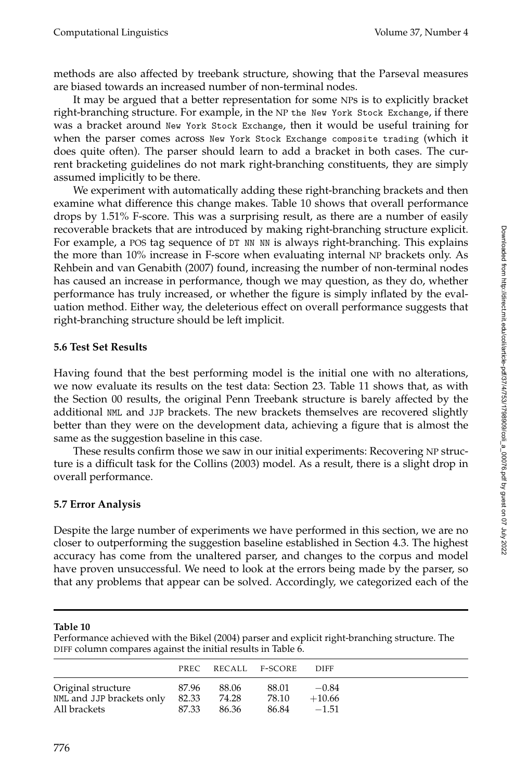methods are also affected by treebank structure, showing that the Parseval measures are biased towards an increased number of non-terminal nodes.

It may be argued that a better representation for some NPs is to explicitly bracket right-branching structure. For example, in the NP the New York Stock Exchange, if there was a bracket around New York Stock Exchange, then it would be useful training for when the parser comes across New York Stock Exchange composite trading (which it does quite often). The parser should learn to add a bracket in both cases. The current bracketing guidelines do not mark right-branching constituents, they are simply assumed implicitly to be there.

We experiment with automatically adding these right-branching brackets and then examine what difference this change makes. Table 10 shows that overall performance drops by 1.51% F-score. This was a surprising result, as there are a number of easily recoverable brackets that are introduced by making right-branching structure explicit. For example, a POS tag sequence of DT NN NN is always right-branching. This explains the more than 10% increase in F-score when evaluating internal NP brackets only. As Rehbein and van Genabith (2007) found, increasing the number of non-terminal nodes has caused an increase in performance, though we may question, as they do, whether performance has truly increased, or whether the figure is simply inflated by the evaluation method. Either way, the deleterious effect on overall performance suggests that right-branching structure should be left implicit.

### **5.6 Test Set Results**

Having found that the best performing model is the initial one with no alterations, we now evaluate its results on the test data: Section 23. Table 11 shows that, as with the Section 00 results, the original Penn Treebank structure is barely affected by the additional NML and JJP brackets. The new brackets themselves are recovered slightly better than they were on the development data, achieving a figure that is almost the same as the suggestion baseline in this case.

These results confirm those we saw in our initial experiments: Recovering NP structure is a difficult task for the Collins (2003) model. As a result, there is a slight drop in overall performance.

## **5.7 Error Analysis**

Despite the large number of experiments we have performed in this section, we are no closer to outperforming the suggestion baseline established in Section 4.3. The highest accuracy has come from the unaltered parser, and changes to the corpus and model have proven unsuccessful. We need to look at the errors being made by the parser, so that any problems that appear can be solved. Accordingly, we categorized each of the

#### **Table 10**

Performance achieved with the Bikel (2004) parser and explicit right-branching structure. The DIFF column compares against the initial results in Table 6.

|                           | PREC  | RECALL F-SCORE |       | <b>DIFF</b> |
|---------------------------|-------|----------------|-------|-------------|
| Original structure        | 87.96 | 88.06          | 88.01 | $-0.84$     |
| NML and JJP brackets only | 82.33 | 74.28          | 78.10 | $+10.66$    |
| All brackets              | 87.33 | 86.36          | 86.84 | $-1.51$     |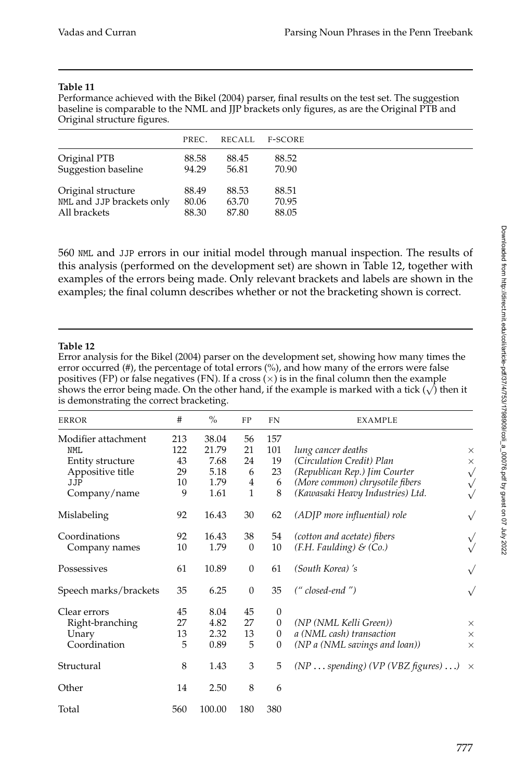Performance achieved with the Bikel (2004) parser, final results on the test set. The suggestion baseline is comparable to the NML and JJP brackets only figures, as are the Original PTB and Original structure figures.

|                           | PREC. | RECALL | F-SCORE |
|---------------------------|-------|--------|---------|
| Original PTB              | 88.58 | 88.45  | 88.52   |
| Suggestion baseline       | 94.29 | 56.81  | 70.90   |
| Original structure        | 88.49 | 88.53  | 88.51   |
| NML and JJP brackets only | 80.06 | 63.70  | 70.95   |
| All brackets              | 88.30 | 87.80  | 88.05   |

560 NML and JJP errors in our initial model through manual inspection. The results of this analysis (performed on the development set) are shown in Table 12, together with examples of the errors being made. Only relevant brackets and labels are shown in the examples; the final column describes whether or not the bracketing shown is correct.

#### **Table 12**

Error analysis for the Bikel (2004) parser on the development set, showing how many times the error occurred (#), the percentage of total errors (%), and how many of the errors were false positives (FP) or false negatives (FN). If a cross  $(x)$  is in the final column then the example shows the error being made. On the other hand, if the example is marked with a tick  $(\sqrt{\ })$  then it is demonstrating the correct bracketing.

| <b>ERROR</b>          | #   | $\frac{0}{0}$ | FP               | <b>FN</b>        | <b>EXAMPLE</b>                            |           |
|-----------------------|-----|---------------|------------------|------------------|-------------------------------------------|-----------|
| Modifier attachment   | 213 | 38.04         | 56               | 157              |                                           |           |
| <b>NML</b>            | 122 | 21.79         | 21               | 101              | lung cancer deaths                        | $\times$  |
| Entity structure      | 43  | 7.68          | 24               | 19               | (Circulation Credit) Plan                 | $\times$  |
| Appositive title      | 29  | 5.18          | 6                | 23               | (Republican Rep.) Jim Courter             | $\sqrt{}$ |
| <b>JJP</b>            | 10  | 1.79          | 4                | 6                | (More common) chrysotile fibers           |           |
| Company/name          | 9   | 1.61          | $\mathbf{1}$     | 8                | (Kawasaki Heavy Industries) Ltd.          |           |
| Mislabeling           | 92  | 16.43         | 30               | 62               | (ADJP more influential) role              |           |
| Coordinations         | 92  | 16.43         | 38               | 54               | (cotton and acetate) fibers               | $\sqrt{}$ |
| Company names         | 10  | 1.79          | $\theta$         | 10               | (F.H. Faulding) & (Co.)                   | $\sqrt{}$ |
| Possessives           | 61  | 10.89         | $\theta$         | 61               | (South Korea)'s                           |           |
| Speech marks/brackets | 35  | 6.25          | $\boldsymbol{0}$ | 35               | ("closed-end")                            | $\sqrt{}$ |
| Clear errors          | 45  | 8.04          | 45               | $\boldsymbol{0}$ |                                           |           |
| Right-branching       | 27  | 4.82          | 27               | $\theta$         | (NP (NML Kelli Green))                    | $\times$  |
| Unary                 | 13  | 2.32          | 13               | $\boldsymbol{0}$ | a (NML cash) transaction                  | $\times$  |
| Coordination          | 5   | 0.89          | 5                | $\boldsymbol{0}$ | (NP a (NML savings and loan))             | $\times$  |
| Structural            | 8   | 1.43          | 3                | 5                | $(NP \dots$ spending) (VP (VBZ figures) ) | $\times$  |
| Other                 | 14  | 2.50          | 8                | 6                |                                           |           |
| Total                 | 560 | 100.00        | 180              | 380              |                                           |           |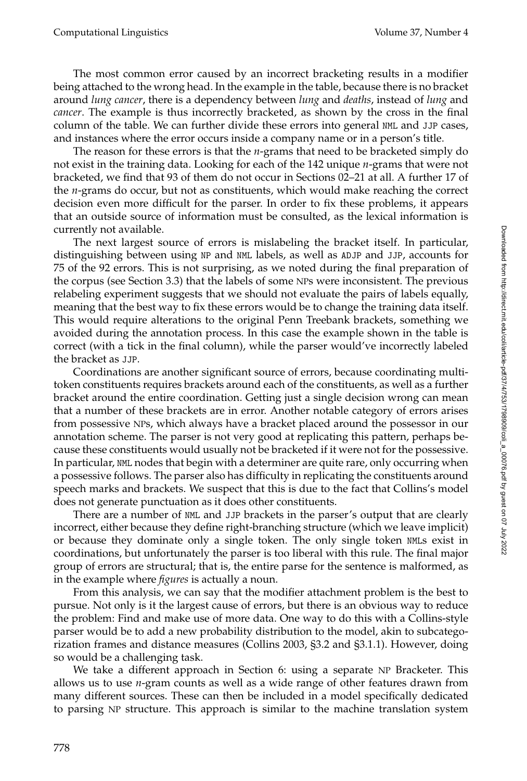The most common error caused by an incorrect bracketing results in a modifier being attached to the wrong head. In the example in the table, because there is no bracket around *lung cancer*, there is a dependency between *lung* and *deaths*, instead of *lung* and *cancer*. The example is thus incorrectly bracketed, as shown by the cross in the final column of the table. We can further divide these errors into general NML and JJP cases, and instances where the error occurs inside a company name or in a person's title.

The reason for these errors is that the *n*-grams that need to be bracketed simply do not exist in the training data. Looking for each of the 142 unique *n*-grams that were not bracketed, we find that 93 of them do not occur in Sections 02–21 at all. A further 17 of the *n*-grams do occur, but not as constituents, which would make reaching the correct decision even more difficult for the parser. In order to fix these problems, it appears that an outside source of information must be consulted, as the lexical information is currently not available.

The next largest source of errors is mislabeling the bracket itself. In particular, distinguishing between using NP and NML labels, as well as ADJP and JJP, accounts for 75 of the 92 errors. This is not surprising, as we noted during the final preparation of the corpus (see Section 3.3) that the labels of some NPs were inconsistent. The previous relabeling experiment suggests that we should not evaluate the pairs of labels equally, meaning that the best way to fix these errors would be to change the training data itself. This would require alterations to the original Penn Treebank brackets, something we avoided during the annotation process. In this case the example shown in the table is correct (with a tick in the final column), while the parser would've incorrectly labeled the bracket as JJP.

Coordinations are another significant source of errors, because coordinating multitoken constituents requires brackets around each of the constituents, as well as a further bracket around the entire coordination. Getting just a single decision wrong can mean that a number of these brackets are in error. Another notable category of errors arises from possessive NPs, which always have a bracket placed around the possessor in our annotation scheme. The parser is not very good at replicating this pattern, perhaps because these constituents would usually not be bracketed if it were not for the possessive. In particular, NML nodes that begin with a determiner are quite rare, only occurring when a possessive follows. The parser also has difficulty in replicating the constituents around speech marks and brackets. We suspect that this is due to the fact that Collins's model does not generate punctuation as it does other constituents.

There are a number of NML and JJP brackets in the parser's output that are clearly incorrect, either because they define right-branching structure (which we leave implicit) or because they dominate only a single token. The only single token NMLs exist in coordinations, but unfortunately the parser is too liberal with this rule. The final major group of errors are structural; that is, the entire parse for the sentence is malformed, as in the example where *figures* is actually a noun.

From this analysis, we can say that the modifier attachment problem is the best to pursue. Not only is it the largest cause of errors, but there is an obvious way to reduce the problem: Find and make use of more data. One way to do this with a Collins-style parser would be to add a new probability distribution to the model, akin to subcategorization frames and distance measures (Collins 2003, §3.2 and §3.1.1). However, doing so would be a challenging task.

We take a different approach in Section 6: using a separate NP Bracketer. This allows us to use *n*-gram counts as well as a wide range of other features drawn from many different sources. These can then be included in a model specifically dedicated to parsing NP structure. This approach is similar to the machine translation system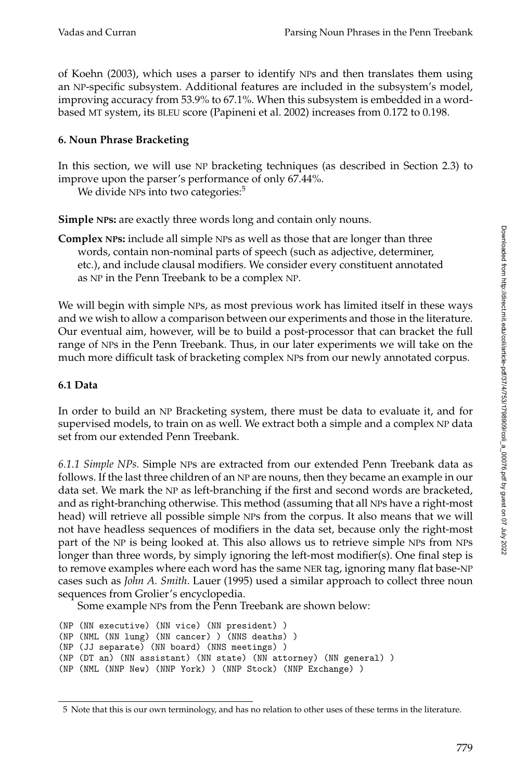of Koehn (2003), which uses a parser to identify NPs and then translates them using an NP-specific subsystem. Additional features are included in the subsystem's model, improving accuracy from 53.9% to 67.1%. When this subsystem is embedded in a wordbased MT system, its BLEU score (Papineni et al. 2002) increases from 0.172 to 0.198.

## **6. Noun Phrase Bracketing**

In this section, we will use NP bracketing techniques (as described in Section 2.3) to improve upon the parser's performance of only 67.44%.

We divide NPs into two categories: $5$ 

**Simple NPs:** are exactly three words long and contain only nouns.

**Complex NPs:** include all simple NPs as well as those that are longer than three words, contain non-nominal parts of speech (such as adjective, determiner, etc.), and include clausal modifiers. We consider every constituent annotated as NP in the Penn Treebank to be a complex NP.

We will begin with simple NPs, as most previous work has limited itself in these ways and we wish to allow a comparison between our experiments and those in the literature. Our eventual aim, however, will be to build a post-processor that can bracket the full range of NPs in the Penn Treebank. Thus, in our later experiments we will take on the much more difficult task of bracketing complex NPs from our newly annotated corpus.

## **6.1 Data**

In order to build an NP Bracketing system, there must be data to evaluate it, and for supervised models, to train on as well. We extract both a simple and a complex NP data set from our extended Penn Treebank.

*6.1.1 Simple NPs.* Simple NPs are extracted from our extended Penn Treebank data as follows. If the last three children of an NP are nouns, then they became an example in our data set. We mark the NP as left-branching if the first and second words are bracketed, and as right-branching otherwise. This method (assuming that all NPs have a right-most head) will retrieve all possible simple NPs from the corpus. It also means that we will not have headless sequences of modifiers in the data set, because only the right-most part of the NP is being looked at. This also allows us to retrieve simple NPs from NPs longer than three words, by simply ignoring the left-most modifier(s). One final step is to remove examples where each word has the same NER tag, ignoring many flat base-NP cases such as *John A. Smith*. Lauer (1995) used a similar approach to collect three noun sequences from Grolier's encyclopedia.

Some example NPs from the Penn Treebank are shown below:

```
(NP (NN executive) (NN vice) (NN president) )
(NP (NML (NN lung) (NN cancer) ) (NNS deaths) )
(NP (JJ separate) (NN board) (NNS meetings) )
(NP (DT an) (NN assistant) (NN state) (NN attorney) (NN general) )
(NP (NML (NNP New) (NNP York) ) (NNP Stock) (NNP Exchange) )
```
<sup>5</sup> Note that this is our own terminology, and has no relation to other uses of these terms in the literature.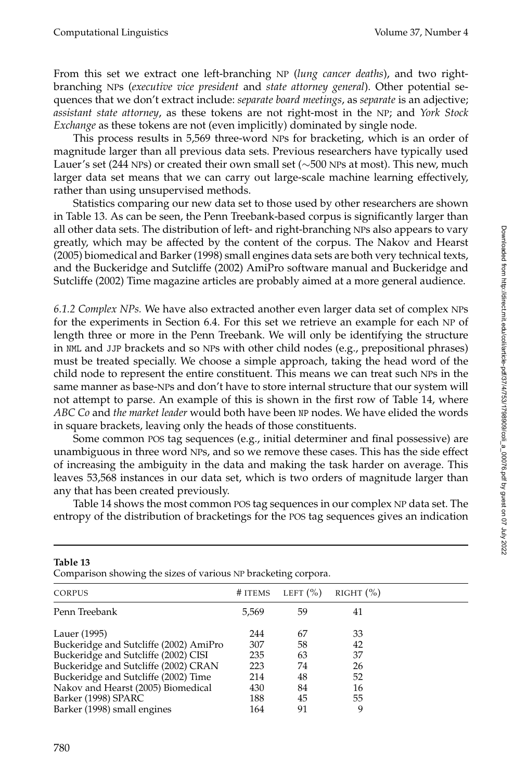From this set we extract one left-branching NP (*lung cancer deaths*), and two rightbranching NPs (*executive vice president* and *state attorney general*). Other potential sequences that we don't extract include: *separate board meetings*, as *separate* is an adjective; *assistant state attorney*, as these tokens are not right-most in the NP; and *York Stock Exchange* as these tokens are not (even implicitly) dominated by single node.

This process results in 5,569 three-word NPs for bracketing, which is an order of magnitude larger than all previous data sets. Previous researchers have typically used Lauer's set (244 NPs) or created their own small set (∼500 NPs at most). This new, much larger data set means that we can carry out large-scale machine learning effectively, rather than using unsupervised methods.

Statistics comparing our new data set to those used by other researchers are shown in Table 13. As can be seen, the Penn Treebank-based corpus is significantly larger than all other data sets. The distribution of left- and right-branching NPs also appears to vary greatly, which may be affected by the content of the corpus. The Nakov and Hearst (2005) biomedical and Barker (1998) small engines data sets are both very technical texts, and the Buckeridge and Sutcliffe (2002) AmiPro software manual and Buckeridge and Sutcliffe (2002) Time magazine articles are probably aimed at a more general audience.

*6.1.2 Complex NPs.* We have also extracted another even larger data set of complex NPs for the experiments in Section 6.4. For this set we retrieve an example for each NP of length three or more in the Penn Treebank. We will only be identifying the structure in NML and JJP brackets and so NPs with other child nodes (e.g., prepositional phrases) must be treated specially. We choose a simple approach, taking the head word of the child node to represent the entire constituent. This means we can treat such NPs in the same manner as base-NPs and don't have to store internal structure that our system will not attempt to parse. An example of this is shown in the first row of Table 14, where *ABC Co* and *the market leader* would both have been NP nodes. We have elided the words in square brackets, leaving only the heads of those constituents.

Some common POS tag sequences (e.g., initial determiner and final possessive) are unambiguous in three word NPs, and so we remove these cases. This has the side effect of increasing the ambiguity in the data and making the task harder on average. This leaves 53,568 instances in our data set, which is two orders of magnitude larger than any that has been created previously.

Table 14 shows the most common POS tag sequences in our complex NP data set. The entropy of the distribution of bracketings for the POS tag sequences gives an indication

| Comparison showing the sizes of various be blackeding corpora. |              |              |  |  |  |  |  |  |
|----------------------------------------------------------------|--------------|--------------|--|--|--|--|--|--|
| # ITEMS                                                        | LEFT $(\% )$ | RIGHT $(\%)$ |  |  |  |  |  |  |
| 5,569                                                          | 59           | 41           |  |  |  |  |  |  |
| 244                                                            | 67           | 33           |  |  |  |  |  |  |
| 307                                                            | 58           | 42           |  |  |  |  |  |  |
| 235                                                            | 63           | 37           |  |  |  |  |  |  |
| 223                                                            | 74           | 26           |  |  |  |  |  |  |
| 214                                                            | 48           | 52           |  |  |  |  |  |  |
| 430                                                            | 84           | 16           |  |  |  |  |  |  |
| 188                                                            | 45           | 55           |  |  |  |  |  |  |
| 164                                                            | 91           | g            |  |  |  |  |  |  |
|                                                                |              |              |  |  |  |  |  |  |

#### **Table 13**

Comparison showing the sizes of various NP bracketing

Downloaded from http://direct.mit.edu/coli/article-pdf/37/4/753/1798909/coli\_a\_00076.pdf by guest on 07 July 2022 Downloaded from http://direct.mit.edu/coli/article-pdf/37/4/753/1798909/coli\_a\_00076.pdf by guest on 07 July 2022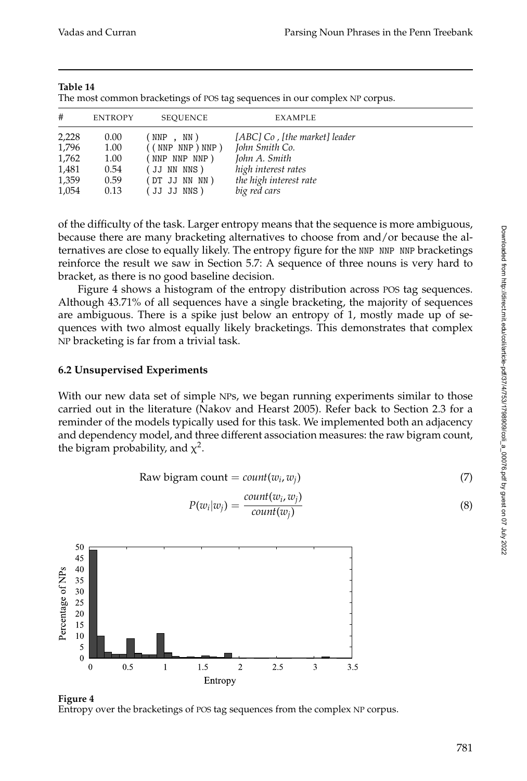| #     | <b>ENTROPY</b> | <b>SEQUENCE</b>    | EXAMPLE                       |  |
|-------|----------------|--------------------|-------------------------------|--|
| 2,228 | 0.00           | (NNP, NN)          | [ABC] Co, [the market] leader |  |
| 1,796 | 1.00           | $($ (NNP NNP) NNP) | John Smith Co.                |  |
| 1,762 | 1.00           | (NNP NNP NNP)      | John A. Smith                 |  |
| 1,481 | 0.54           | (JJ NN NNS)        | high interest rates           |  |
| 1,359 | 0.59           | (DT JJ NN NN)      | the high interest rate        |  |
| 1,054 | 0.13           | (JJ JJ NNS)        | big red cars                  |  |

The most common bracketings of POS tag sequences in our complex NP corpus.

of the difficulty of the task. Larger entropy means that the sequence is more ambiguous, because there are many bracketing alternatives to choose from and/or because the alternatives are close to equally likely. The entropy figure for the NNP NNP NNP bracketings reinforce the result we saw in Section 5.7: A sequence of three nouns is very hard to bracket, as there is no good baseline decision.

Figure 4 shows a histogram of the entropy distribution across POS tag sequences. Although 43.71% of all sequences have a single bracketing, the majority of sequences are ambiguous. There is a spike just below an entropy of 1, mostly made up of sequences with two almost equally likely bracketings. This demonstrates that complex NP bracketing is far from a trivial task.

## **6.2 Unsupervised Experiments**

With our new data set of simple NPs, we began running experiments similar to those carried out in the literature (Nakov and Hearst 2005). Refer back to Section 2.3 for a reminder of the models typically used for this task. We implemented both an adjacency and dependency model, and three different association measures: the raw bigram count, the bigram probability, and  $\chi^2$ .

$$
Raw bigram count = count(w_i, w_j)
$$
\n(7)

$$
P(w_i|w_j) = \frac{count(w_i, w_j)}{count(w_j)}
$$
\n(8)



**Figure 4** Entropy over the bracketings of POS tag sequences from the complex NP corpus.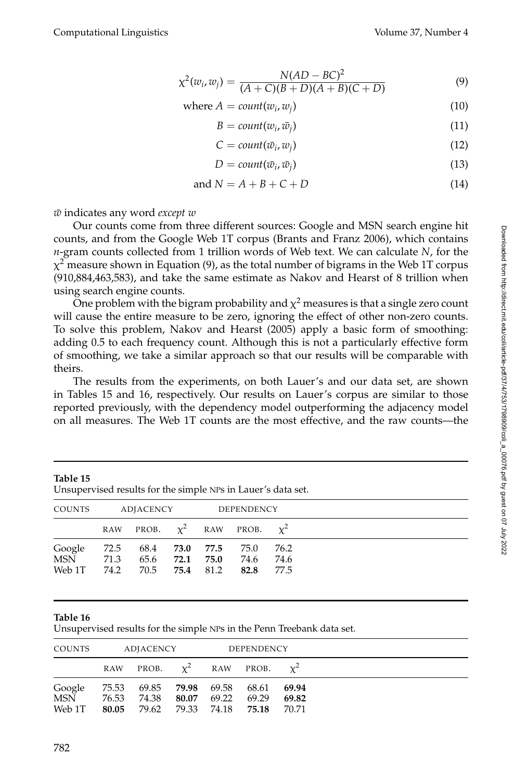$$
\chi^{2}(w_{i}, w_{j}) = \frac{N(AD - BC)^{2}}{(A + C)(B + D)(A + B)(C + D)}
$$
\n(9)

where 
$$
A = count(w_i, w_j)
$$
 (10)

$$
B = count(w_i, \bar{w}_j)
$$
\n(11)

$$
C = count(\bar{w}_i, w_j) \tag{12}
$$

$$
D = count(\bar{w}_i, \bar{w}_j)
$$
\n(13)

$$
and N = A + B + C + D \tag{14}
$$

*w*¯ indicates any word *except w*

Our counts come from three different sources: Google and MSN search engine hit counts, and from the Google Web 1T corpus (Brants and Franz 2006), which contains *n*-gram counts collected from 1 trillion words of Web text. We can calculate *N*, for the  $\chi^2$  measure shown in Equation (9), as the total number of bigrams in the Web 1T corpus (910,884,463,583), and take the same estimate as Nakov and Hearst of 8 trillion when using search engine counts.

One problem with the bigram probability and  $\chi^2$  measures is that a single zero count will cause the entire measure to be zero, ignoring the effect of other non-zero counts. To solve this problem, Nakov and Hearst (2005) apply a basic form of smoothing: adding 0.5 to each frequency count. Although this is not a particularly effective form of smoothing, we take a similar approach so that our results will be comparable with theirs.

The results from the experiments, on both Lauer's and our data set, are shown in Tables 15 and 16, respectively. Our results on Lauer's corpus are similar to those reported previously, with the dependency model outperforming the adjacency model on all measures. The Web 1T counts are the most effective, and the raw counts—the

Unsupervised results for the simple NPs in Lauer's data set. COUNTS ADJACENCY DEPENDENCY RAW PROB.  $\chi^2$  RAW PROB.  $\chi^2$ Google 72.5 68.4 **73.0 77.5** 75.0 76.2 MSN 71.3 65.6 **72.1 75.0** 74.6 74.6 Web 1T 74.2 70.5 **75.4** 81.2 **82.8** 77.5

| ורוו<br>Н |  |
|-----------|--|
|-----------|--|

|  |  | RAW PROB. $v^2$ RAW PROB. $v^2$ |  |
|--|--|---------------------------------|--|

#### **Table 16**

Unsupervised results for the simple NPs in the Penn Treebank data set.

| <b>COUNTS</b>        | ADJACENCY      |                                        |  | DEPENDENCY |                                   |                |
|----------------------|----------------|----------------------------------------|--|------------|-----------------------------------|----------------|
|                      | RAW            |                                        |  |            | PROB. $\chi^2$ RAW PROB. $\chi^2$ |                |
| Google<br><b>MSN</b> | 75.53<br>76.53 | 69.85 79.98 69.58<br>74.38 80.07 69.22 |  |            | 68.61<br>69.29                    | 69.94<br>69.82 |
| Web 1T               | 80.05          | 79.62 79.33 74.18                      |  |            | 75.18                             | 70.71          |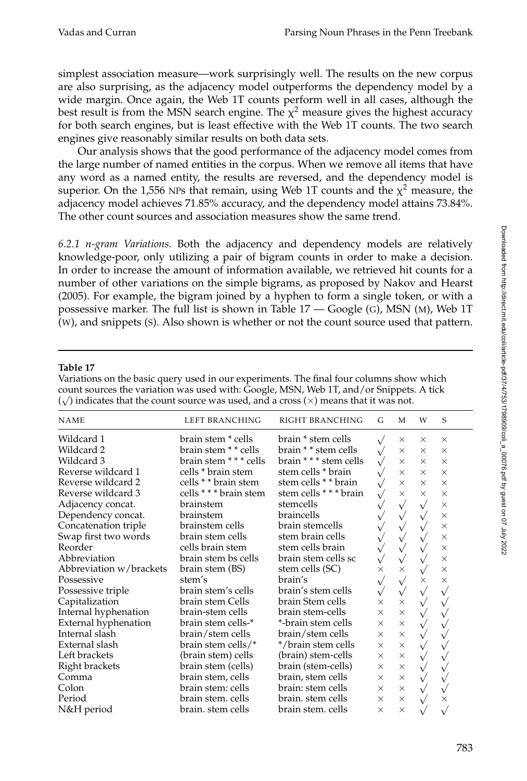simplest association measure—work surprisingly well. The results on the new corpus are also surprising, as the adjacency model outperforms the dependency model by a wide margin. Once again, the Web 1T counts perform well in all cases, although the best result is from the MSN search engine. The  $\chi^2$  measure gives the highest accuracy for both search engines, but is least effective with the Web 1T counts. The two search engines give reasonably similar results on both data sets.

Our analysis shows that the good performance of the adjacency model comes from the large number of named entities in the corpus. When we remove all items that have any word as a named entity, the results are reversed, and the dependency model is superior. On the 1,556 NPs that remain, using Web 1T counts and the  $\chi^2$  measure, the adjacency model achieves 71.85% accuracy, and the dependency model attains 73.84%. The other count sources and association measures show the same trend.

*6.2.1 n-gram Variations.* Both the adjacency and dependency models are relatively knowledge-poor, only utilizing a pair of bigram counts in order to make a decision. In order to increase the amount of information available, we retrieved hit counts for a number of other variations on the simple bigrams, as proposed by Nakov and Hearst (2005). For example, the bigram joined by a hyphen to form a single token, or with a possessive marker. The full list is shown in Table  $17$  — Google (G), MSN (M), Web 1T (W), and snippets (S). Also shown is whether or not the count source used that pattern.

### **Table 17**

| LEFT BRANCHING      | RIGHT BRANCHING                                                                                                                                           | G                                                                                                                                                                                          | M                                   | W                                                                    | S                                                                    |
|---------------------|-----------------------------------------------------------------------------------------------------------------------------------------------------------|--------------------------------------------------------------------------------------------------------------------------------------------------------------------------------------------|-------------------------------------|----------------------------------------------------------------------|----------------------------------------------------------------------|
|                     |                                                                                                                                                           |                                                                                                                                                                                            |                                     |                                                                      |                                                                      |
|                     |                                                                                                                                                           |                                                                                                                                                                                            |                                     |                                                                      | $\times$<br>$\times$                                                 |
|                     |                                                                                                                                                           |                                                                                                                                                                                            |                                     |                                                                      |                                                                      |
|                     |                                                                                                                                                           |                                                                                                                                                                                            |                                     |                                                                      | $\times$                                                             |
|                     |                                                                                                                                                           |                                                                                                                                                                                            |                                     |                                                                      | $\times$                                                             |
|                     |                                                                                                                                                           |                                                                                                                                                                                            |                                     |                                                                      | $\times$                                                             |
|                     |                                                                                                                                                           | $\sqrt{}$                                                                                                                                                                                  |                                     |                                                                      | $\times$                                                             |
|                     |                                                                                                                                                           |                                                                                                                                                                                            | $\sqrt{}$                           | $\sqrt{}$                                                            | $\times$                                                             |
| brainstem           |                                                                                                                                                           |                                                                                                                                                                                            |                                     | $\sqrt{}$                                                            | $\times$                                                             |
| brainstem cells     | brain stemcells                                                                                                                                           |                                                                                                                                                                                            |                                     |                                                                      | $\times$                                                             |
| brain stem cells    | stem brain cells                                                                                                                                          |                                                                                                                                                                                            |                                     |                                                                      | $\times$                                                             |
| cells brain stem    | stem cells brain                                                                                                                                          |                                                                                                                                                                                            |                                     |                                                                      | X                                                                    |
| brain stem bs cells | brain stem cells sc                                                                                                                                       |                                                                                                                                                                                            |                                     |                                                                      | $\times$                                                             |
| brain stem (BS)     |                                                                                                                                                           | $\times$                                                                                                                                                                                   | $\times$                            |                                                                      | X                                                                    |
| stem's              | brain's                                                                                                                                                   |                                                                                                                                                                                            | $\sqrt{}$                           | X                                                                    | $\times$                                                             |
| brain stem's cells  | brain's stem cells                                                                                                                                        |                                                                                                                                                                                            | $\sqrt{}$                           | $\sqrt{}$                                                            |                                                                      |
| brain stem Cells    | brain Stem cells                                                                                                                                          | $\times$                                                                                                                                                                                   | $\times$                            |                                                                      |                                                                      |
| brain-stem cells    | brain stem-cells                                                                                                                                          | $\times$                                                                                                                                                                                   | $\times$                            |                                                                      |                                                                      |
| brain stem cells-*  | *-brain stem cells                                                                                                                                        | $\times$                                                                                                                                                                                   | $\times$                            |                                                                      |                                                                      |
| brain/stem cells    | brain/stem cells                                                                                                                                          | $\times$                                                                                                                                                                                   | $\times$                            |                                                                      |                                                                      |
| brain stem cells/*  | */brain stem cells                                                                                                                                        | $\times$                                                                                                                                                                                   | $\times$                            |                                                                      |                                                                      |
| (brain stem) cells  | (brain) stem-cells                                                                                                                                        | $\times$                                                                                                                                                                                   | $\times$                            |                                                                      |                                                                      |
| brain stem (cells)  | brain (stem-cells)                                                                                                                                        | $\times$                                                                                                                                                                                   | $\times$                            |                                                                      |                                                                      |
| brain stem, cells   | brain, stem cells                                                                                                                                         | $\times$                                                                                                                                                                                   | $\times$                            |                                                                      |                                                                      |
| brain stem: cells   | brain: stem cells                                                                                                                                         | $\times$                                                                                                                                                                                   | $\times$                            |                                                                      |                                                                      |
| brain stem. cells   | brain. stem cells                                                                                                                                         | $\times$                                                                                                                                                                                   | $\times$                            |                                                                      | $\times$                                                             |
| brain. stem cells   | brain stem. cells                                                                                                                                         | $\times$                                                                                                                                                                                   | $\times$                            |                                                                      |                                                                      |
|                     | brain stem * cells<br>brain stem * * cells<br>brain stem * * * cells<br>cells * brain stem<br>cells * * brain stem<br>cells * * * brain stem<br>brainstem | brain * stem cells<br>brain * * stem cells<br>brain * * * stem cells<br>stem cells * brain<br>stem cells * * brain<br>stem cells * * * brain<br>stemcells<br>braincells<br>stem cells (SC) | $\sqrt{}$<br>$\sqrt{}$<br>$\sqrt{}$ | $\times$<br>$\times$<br>$\times$<br>$\times$<br>$\times$<br>$\times$ | $\times$<br>$\times$<br>$\times$<br>$\times$<br>$\times$<br>$\times$ |

Variations on the basic query used in our experiments. The final four columns show which count sources the variation was used with: Google, MSN, Web 1T, and/or Snippets. A tick  $(\sqrt)$  indicates that the count source was used, and a cross  $(\times)$  means that it was not.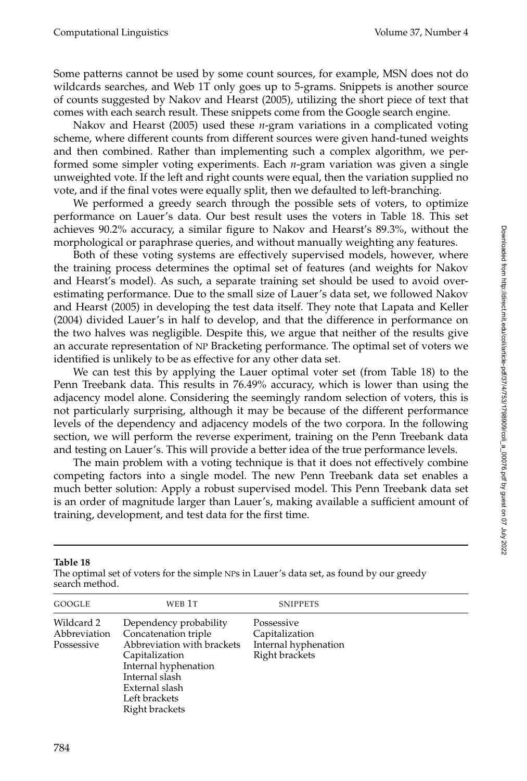Some patterns cannot be used by some count sources, for example, MSN does not do wildcards searches, and Web 1T only goes up to 5-grams. Snippets is another source of counts suggested by Nakov and Hearst (2005), utilizing the short piece of text that comes with each search result. These snippets come from the Google search engine.

Nakov and Hearst (2005) used these *n*-gram variations in a complicated voting scheme, where different counts from different sources were given hand-tuned weights and then combined. Rather than implementing such a complex algorithm, we performed some simpler voting experiments. Each *n*-gram variation was given a single unweighted vote. If the left and right counts were equal, then the variation supplied no vote, and if the final votes were equally split, then we defaulted to left-branching.

We performed a greedy search through the possible sets of voters, to optimize performance on Lauer's data. Our best result uses the voters in Table 18. This set achieves 90.2% accuracy, a similar figure to Nakov and Hearst's 89.3%, without the morphological or paraphrase queries, and without manually weighting any features.

Both of these voting systems are effectively supervised models, however, where the training process determines the optimal set of features (and weights for Nakov and Hearst's model). As such, a separate training set should be used to avoid overestimating performance. Due to the small size of Lauer's data set, we followed Nakov and Hearst (2005) in developing the test data itself. They note that Lapata and Keller (2004) divided Lauer's in half to develop, and that the difference in performance on the two halves was negligible. Despite this, we argue that neither of the results give an accurate representation of NP Bracketing performance. The optimal set of voters we identified is unlikely to be as effective for any other data set.

We can test this by applying the Lauer optimal voter set (from Table 18) to the Penn Treebank data. This results in 76.49% accuracy, which is lower than using the adjacency model alone. Considering the seemingly random selection of voters, this is not particularly surprising, although it may be because of the different performance levels of the dependency and adjacency models of the two corpora. In the following section, we will perform the reverse experiment, training on the Penn Treebank data and testing on Lauer's. This will provide a better idea of the true performance levels.

The main problem with a voting technique is that it does not effectively combine competing factors into a single model. The new Penn Treebank data set enables a much better solution: Apply a robust supervised model. This Penn Treebank data set is an order of magnitude larger than Lauer's, making available a sufficient amount of training, development, and test data for the first time.

| GOOGLE                                   | WEB 1T                                                                                                                                                                                        | <b>SNIPPETS</b>                                                        |  |
|------------------------------------------|-----------------------------------------------------------------------------------------------------------------------------------------------------------------------------------------------|------------------------------------------------------------------------|--|
| Wildcard 2<br>Abbreviation<br>Possessive | Dependency probability<br>Concatenation triple<br>Abbreviation with brackets<br>Capitalization<br>Internal hyphenation<br>Internal slash<br>External slash<br>Left brackets<br>Right brackets | Possessive<br>Capitalization<br>Internal hyphenation<br>Right brackets |  |

**Table 18**

The optimal set of voters for the simple NPs in Lauer's data set, as found by our greedy search method.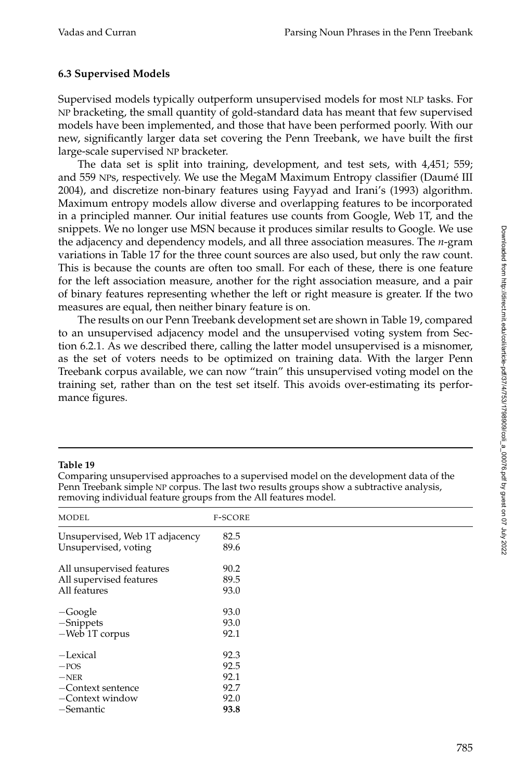## **6.3 Supervised Models**

Supervised models typically outperform unsupervised models for most NLP tasks. For NP bracketing, the small quantity of gold-standard data has meant that few supervised models have been implemented, and those that have been performed poorly. With our new, significantly larger data set covering the Penn Treebank, we have built the first large-scale supervised NP bracketer.

The data set is split into training, development, and test sets, with 4,451; 559; and 559 NPs, respectively. We use the MegaM Maximum Entropy classifier (Daume III ´ 2004), and discretize non-binary features using Fayyad and Irani's (1993) algorithm. Maximum entropy models allow diverse and overlapping features to be incorporated in a principled manner. Our initial features use counts from Google, Web 1T, and the snippets. We no longer use MSN because it produces similar results to Google. We use the adjacency and dependency models, and all three association measures. The *n*-gram variations in Table 17 for the three count sources are also used, but only the raw count. This is because the counts are often too small. For each of these, there is one feature for the left association measure, another for the right association measure, and a pair of binary features representing whether the left or right measure is greater. If the two measures are equal, then neither binary feature is on.

The results on our Penn Treebank development set are shown in Table 19, compared to an unsupervised adjacency model and the unsupervised voting system from Section 6.2.1. As we described there, calling the latter model unsupervised is a misnomer, as the set of voters needs to be optimized on training data. With the larger Penn Treebank corpus available, we can now "train" this unsupervised voting model on the training set, rather than on the test set itself. This avoids over-estimating its performance figures.

#### **Table 19**

Comparing unsupervised approaches to a supervised model on the development data of the Penn Treebank simple NP corpus. The last two results groups show a subtractive analysis, removing individual feature groups from the All features model.

| <b>MODEL</b>                   | <b>F-SCORE</b> |
|--------------------------------|----------------|
| Unsupervised, Web 1T adjacency | 82.5           |
| Unsupervised, voting           | 89.6           |
| All unsupervised features      | 90.2           |
| All supervised features        | 89.5           |
| All features                   | 93.0           |
| $-Google$                      | 93.0           |
| $-S$ nippets                   | 93.0           |
| $-Web$ 1T corpus               | 92.1           |
| -Lexical                       | 92.3           |
| $-$ POS                        | 92.5           |
| $-NER$                         | 92.1           |
| -Context sentence              | 92.7           |
| $-$ Context window             | 92.0           |
| -Semantic                      | 93.8           |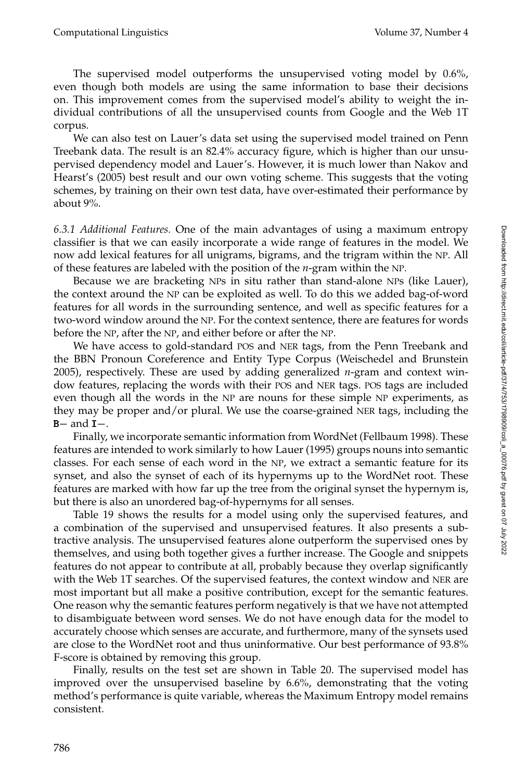The supervised model outperforms the unsupervised voting model by 0.6%, even though both models are using the same information to base their decisions on. This improvement comes from the supervised model's ability to weight the individual contributions of all the unsupervised counts from Google and the Web 1T corpus.

We can also test on Lauer's data set using the supervised model trained on Penn Treebank data. The result is an 82.4% accuracy figure, which is higher than our unsupervised dependency model and Lauer's. However, it is much lower than Nakov and Hearst's (2005) best result and our own voting scheme. This suggests that the voting schemes, by training on their own test data, have over-estimated their performance by about 9%.

*6.3.1 Additional Features.* One of the main advantages of using a maximum entropy classifier is that we can easily incorporate a wide range of features in the model. We now add lexical features for all unigrams, bigrams, and the trigram within the NP. All of these features are labeled with the position of the *n*-gram within the NP.

Because we are bracketing NPs in situ rather than stand-alone NPs (like Lauer), the context around the NP can be exploited as well. To do this we added bag-of-word features for all words in the surrounding sentence, and well as specific features for a two-word window around the NP. For the context sentence, there are features for words before the NP, after the NP, and either before or after the NP.

We have access to gold-standard POS and NER tags, from the Penn Treebank and the BBN Pronoun Coreference and Entity Type Corpus (Weischedel and Brunstein 2005), respectively. These are used by adding generalized *n*-gram and context window features, replacing the words with their POS and NER tags. POS tags are included even though all the words in the NP are nouns for these simple NP experiments, as they may be proper and/or plural. We use the coarse-grained NER tags, including the  $B-$  and  $I-.$ 

Finally, we incorporate semantic information from WordNet (Fellbaum 1998). These features are intended to work similarly to how Lauer (1995) groups nouns into semantic classes. For each sense of each word in the NP, we extract a semantic feature for its synset, and also the synset of each of its hypernyms up to the WordNet root. These features are marked with how far up the tree from the original synset the hypernym is, but there is also an unordered bag-of-hypernyms for all senses.

Table 19 shows the results for a model using only the supervised features, and a combination of the supervised and unsupervised features. It also presents a subtractive analysis. The unsupervised features alone outperform the supervised ones by themselves, and using both together gives a further increase. The Google and snippets features do not appear to contribute at all, probably because they overlap significantly with the Web 1T searches. Of the supervised features, the context window and NER are most important but all make a positive contribution, except for the semantic features. One reason why the semantic features perform negatively is that we have not attempted to disambiguate between word senses. We do not have enough data for the model to accurately choose which senses are accurate, and furthermore, many of the synsets used are close to the WordNet root and thus uninformative. Our best performance of 93.8% F-score is obtained by removing this group.

Finally, results on the test set are shown in Table 20. The supervised model has improved over the unsupervised baseline by 6.6%, demonstrating that the voting method's performance is quite variable, whereas the Maximum Entropy model remains consistent.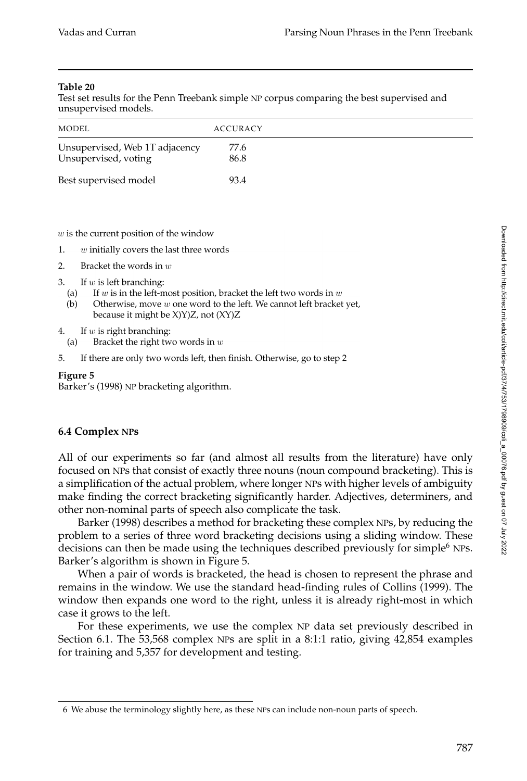Test set results for the Penn Treebank simple NP corpus comparing the best supervised and unsupervised models.

| MODEL                                                  | ACCURACY     |  |  |
|--------------------------------------------------------|--------------|--|--|
| Unsupervised, Web 1T adjacency<br>Unsupervised, voting | 77.6<br>86.8 |  |  |
| Best supervised model                                  | 93.4         |  |  |

#### $w$  is the current position of the window

- 1.  $w$  initially covers the last three words
- $\overline{2}$ . Bracket the words in  $w$
- 3. If  $w$  is left branching:
	- If  $w$  is in the left-most position, bracket the left two words in  $w$  $(a)$
	- $(b)$ Otherwise, move  $w$  one word to the left. We cannot left bracket yet, because it might be X)Y)Z, not (XY)Z
- If  $w$  is right branching: 4.
	- Bracket the right two words in  $w$  $(a)$
- 5. If there are only two words left, then finish. Otherwise, go to step 2

#### **Figure 5**

Barker's (1998) NP bracketing algorithm.

## **6.4 Complex NPs**

All of our experiments so far (and almost all results from the literature) have only focused on NPs that consist of exactly three nouns (noun compound bracketing). This is a simplification of the actual problem, where longer NPs with higher levels of ambiguity make finding the correct bracketing significantly harder. Adjectives, determiners, and other non-nominal parts of speech also complicate the task.

Barker (1998) describes a method for bracketing these complex NPs, by reducing the problem to a series of three word bracketing decisions using a sliding window. These decisions can then be made using the techniques described previously for simple<sup>6</sup> NPs. Barker's algorithm is shown in Figure 5.

When a pair of words is bracketed, the head is chosen to represent the phrase and remains in the window. We use the standard head-finding rules of Collins (1999). The window then expands one word to the right, unless it is already right-most in which case it grows to the left.

For these experiments, we use the complex NP data set previously described in Section 6.1. The 53,568 complex NPs are split in a 8:1:1 ratio, giving 42,854 examples for training and 5,357 for development and testing.

<sup>6</sup> We abuse the terminology slightly here, as these NPs can include non-noun parts of speech.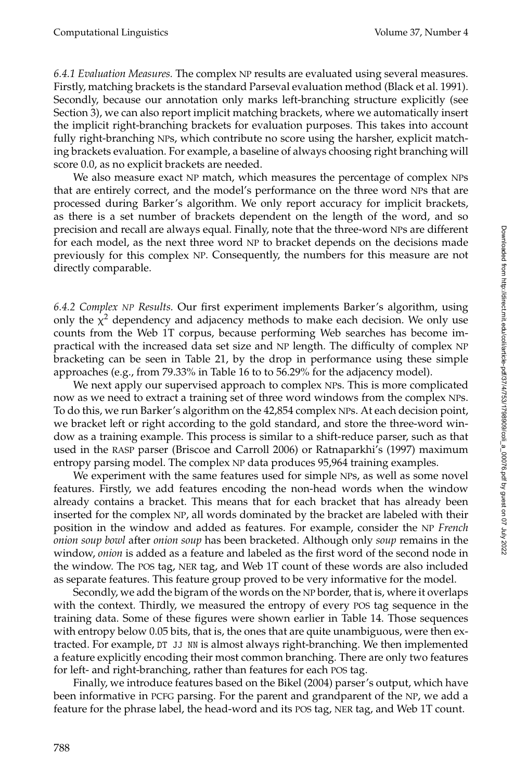*6.4.1 Evaluation Measures.* The complex NP results are evaluated using several measures. Firstly, matching brackets is the standard Parseval evaluation method (Black et al. 1991). Secondly, because our annotation only marks left-branching structure explicitly (see Section 3), we can also report implicit matching brackets, where we automatically insert the implicit right-branching brackets for evaluation purposes. This takes into account fully right-branching NPs, which contribute no score using the harsher, explicit matching brackets evaluation. For example, a baseline of always choosing right branching will score 0.0, as no explicit brackets are needed.

We also measure exact NP match, which measures the percentage of complex NPs that are entirely correct, and the model's performance on the three word NPs that are processed during Barker's algorithm. We only report accuracy for implicit brackets, as there is a set number of brackets dependent on the length of the word, and so precision and recall are always equal. Finally, note that the three-word NPs are different for each model, as the next three word NP to bracket depends on the decisions made previously for this complex NP. Consequently, the numbers for this measure are not directly comparable.

*6.4.2 Complex NP Results.* Our first experiment implements Barker's algorithm, using only the  $\chi^2$  dependency and adjacency methods to make each decision. We only use counts from the Web 1T corpus, because performing Web searches has become impractical with the increased data set size and NP length. The difficulty of complex NP bracketing can be seen in Table 21, by the drop in performance using these simple approaches (e.g., from 79.33% in Table 16 to to 56.29% for the adjacency model).

We next apply our supervised approach to complex NPs. This is more complicated now as we need to extract a training set of three word windows from the complex NPs. To do this, we run Barker's algorithm on the 42,854 complex NPs. At each decision point, we bracket left or right according to the gold standard, and store the three-word window as a training example. This process is similar to a shift-reduce parser, such as that used in the RASP parser (Briscoe and Carroll 2006) or Ratnaparkhi's (1997) maximum entropy parsing model. The complex NP data produces 95,964 training examples.

We experiment with the same features used for simple NPs, as well as some novel features. Firstly, we add features encoding the non-head words when the window already contains a bracket. This means that for each bracket that has already been inserted for the complex NP, all words dominated by the bracket are labeled with their position in the window and added as features. For example, consider the NP *French onion soup bowl* after *onion soup* has been bracketed. Although only *soup* remains in the window, *onion* is added as a feature and labeled as the first word of the second node in the window. The POS tag, NER tag, and Web 1T count of these words are also included as separate features. This feature group proved to be very informative for the model.

Secondly, we add the bigram of the words on the NP border, that is, where it overlaps with the context. Thirdly, we measured the entropy of every POS tag sequence in the training data. Some of these figures were shown earlier in Table 14. Those sequences with entropy below 0.05 bits, that is, the ones that are quite unambiguous, were then extracted. For example, DT JJ NN is almost always right-branching. We then implemented a feature explicitly encoding their most common branching. There are only two features for left- and right-branching, rather than features for each POS tag.

Finally, we introduce features based on the Bikel (2004) parser's output, which have been informative in PCFG parsing. For the parent and grandparent of the NP, we add a feature for the phrase label, the head-word and its POS tag, NER tag, and Web 1T count.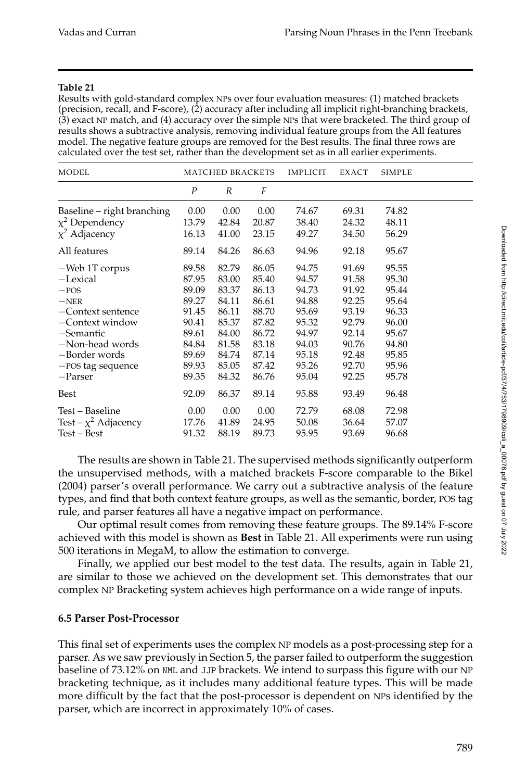Results with gold-standard complex NPs over four evaluation measures: (1) matched brackets (precision, recall, and F-score), (2) accuracy after including all implicit right-branching brackets, (3) exact NP match, and (4) accuracy over the simple NPs that were bracketed. The third group of results shows a subtractive analysis, removing individual feature groups from the All features model. The negative feature groups are removed for the Best results. The final three rows are calculated over the test set, rather than the development set as in all earlier experiments.

| MODEL                      | MATCHED BRACKETS |       | <b>IMPLICIT</b> | <b>EXACT</b> | SIMPLE |       |
|----------------------------|------------------|-------|-----------------|--------------|--------|-------|
|                            | $\boldsymbol{P}$ | R     | F               |              |        |       |
| Baseline – right branching | 0.00             | 0.00  | 0.00            | 74.67        | 69.31  | 74.82 |
| $\chi^2$ Dependency        | 13.79            | 42.84 | 20.87           | 38.40        | 24.32  | 48.11 |
| $\chi^2$ Adjacency         | 16.13            | 41.00 | 23.15           | 49.27        | 34.50  | 56.29 |
| All features               | 89.14            | 84.26 | 86.63           | 94.96        | 92.18  | 95.67 |
| -Web 1T corpus             | 89.58            | 82.79 | 86.05           | 94.75        | 91.69  | 95.55 |
| $-$ Lexical                | 87.95            | 83.00 | 85.40           | 94.57        | 91.58  | 95.30 |
| $-$ POS                    | 89.09            | 83.37 | 86.13           | 94.73        | 91.92  | 95.44 |
| $-NER$                     | 89.27            | 84.11 | 86.61           | 94.88        | 92.25  | 95.64 |
| -Context sentence          | 91.45            | 86.11 | 88.70           | 95.69        | 93.19  | 96.33 |
| -Context window            | 90.41            | 85.37 | 87.82           | 95.32        | 92.79  | 96.00 |
| -Semantic                  | 89.61            | 84.00 | 86.72           | 94.97        | 92.14  | 95.67 |
| -Non-head words            | 84.84            | 81.58 | 83.18           | 94.03        | 90.76  | 94.80 |
| -Border words              | 89.69            | 84.74 | 87.14           | 95.18        | 92.48  | 95.85 |
| -POS tag sequence          | 89.93            | 85.05 | 87.42           | 95.26        | 92.70  | 95.96 |
| $-$ Parser                 | 89.35            | 84.32 | 86.76           | 95.04        | 92.25  | 95.78 |
| Best                       | 92.09            | 86.37 | 89.14           | 95.88        | 93.49  | 96.48 |
| Test – Baseline            | 0.00             | 0.00  | 0.00            | 72.79        | 68.08  | 72.98 |
| Test – $\chi^2$ Adjacency  | 17.76            | 41.89 | 24.95           | 50.08        | 36.64  | 57.07 |
| Test – Best                | 91.32            | 88.19 | 89.73           | 95.95        | 93.69  | 96.68 |

The results are shown in Table 21. The supervised methods significantly outperform the unsupervised methods, with a matched brackets F-score comparable to the Bikel (2004) parser's overall performance. We carry out a subtractive analysis of the feature types, and find that both context feature groups, as well as the semantic, border, POS tag rule, and parser features all have a negative impact on performance.

Our optimal result comes from removing these feature groups. The 89.14% F-score achieved with this model is shown as **Best** in Table 21. All experiments were run using 500 iterations in MegaM, to allow the estimation to converge.

Finally, we applied our best model to the test data. The results, again in Table 21, are similar to those we achieved on the development set. This demonstrates that our complex NP Bracketing system achieves high performance on a wide range of inputs.

### **6.5 Parser Post-Processor**

This final set of experiments uses the complex NP models as a post-processing step for a parser. As we saw previously in Section 5, the parser failed to outperform the suggestion baseline of 73.12% on NML and JJP brackets. We intend to surpass this figure with our NP bracketing technique, as it includes many additional feature types. This will be made more difficult by the fact that the post-processor is dependent on NPs identified by the parser, which are incorrect in approximately 10% of cases.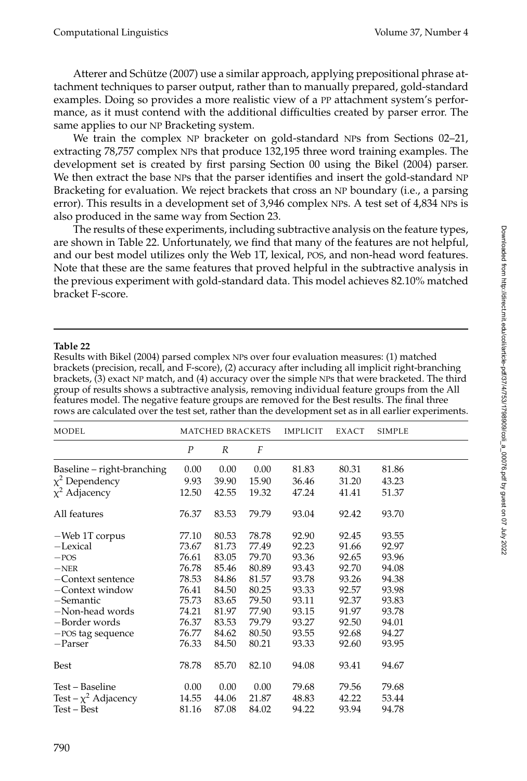Atterer and Schütze (2007) use a similar approach, applying prepositional phrase attachment techniques to parser output, rather than to manually prepared, gold-standard examples. Doing so provides a more realistic view of a PP attachment system's performance, as it must contend with the additional difficulties created by parser error. The same applies to our NP Bracketing system.

We train the complex NP bracketer on gold-standard NPs from Sections 02–21, extracting 78,757 complex NPs that produce 132,195 three word training examples. The development set is created by first parsing Section 00 using the Bikel (2004) parser. We then extract the base NPs that the parser identifies and insert the gold-standard NP Bracketing for evaluation. We reject brackets that cross an NP boundary (i.e., a parsing error). This results in a development set of 3,946 complex NPs. A test set of 4,834 NPs is also produced in the same way from Section 23.

The results of these experiments, including subtractive analysis on the feature types, are shown in Table 22. Unfortunately, we find that many of the features are not helpful, and our best model utilizes only the Web 1T, lexical, POS, and non-head word features. Note that these are the same features that proved helpful in the subtractive analysis in the previous experiment with gold-standard data. This model achieves 82.10% matched bracket F-score.

#### **Table 22**

Results with Bikel (2004) parsed complex NPs over four evaluation measures: (1) matched brackets (precision, recall, and F-score), (2) accuracy after including all implicit right-branching brackets, (3) exact NP match, and (4) accuracy over the simple NPs that were bracketed. The third group of results shows a subtractive analysis, removing individual feature groups from the All features model. The negative feature groups are removed for the Best results. The final three rows are calculated over the test set, rather than the development set as in all earlier experiments.

| <b>MODEL</b>               | <b>MATCHED BRACKETS</b> |                  | <b>IMPLICIT</b> | <b>EXACT</b> | <b>SIMPLE</b> |       |  |
|----------------------------|-------------------------|------------------|-----------------|--------------|---------------|-------|--|
|                            | $\boldsymbol{P}$        | $\boldsymbol{R}$ | F               |              |               |       |  |
| Baseline - right-branching | 0.00                    | 0.00             | 0.00            | 81.83        | 80.31         | 81.86 |  |
| $\chi^2$ Dependency        | 9.93                    | 39.90            | 15.90           | 36.46        | 31.20         | 43.23 |  |
| $\chi^2$ Adjacency         | 12.50                   | 42.55            | 19.32           | 47.24        | 41.41         | 51.37 |  |
| All features               | 76.37                   | 83.53            | 79.79           | 93.04        | 92.42         | 93.70 |  |
| -Web 1T corpus             | 77.10                   | 80.53            | 78.78           | 92.90        | 92.45         | 93.55 |  |
| -Lexical                   | 73.67                   | 81.73            | 77.49           | 92.23        | 91.66         | 92.97 |  |
| $-$ POS                    | 76.61                   | 83.05            | 79.70           | 93.36        | 92.65         | 93.96 |  |
| $-NER$                     | 76.78                   | 85.46            | 80.89           | 93.43        | 92.70         | 94.08 |  |
| -Context sentence          | 78.53                   | 84.86            | 81.57           | 93.78        | 93.26         | 94.38 |  |
| -Context window            | 76.41                   | 84.50            | 80.25           | 93.33        | 92.57         | 93.98 |  |
| -Semantic                  | 75.73                   | 83.65            | 79.50           | 93.11        | 92.37         | 93.83 |  |
| -Non-head words            | 74.21                   | 81.97            | 77.90           | 93.15        | 91.97         | 93.78 |  |
| -Border words              | 76.37                   | 83.53            | 79.79           | 93.27        | 92.50         | 94.01 |  |
| -POS tag sequence          | 76.77                   | 84.62            | 80.50           | 93.55        | 92.68         | 94.27 |  |
| -Parser                    | 76.33                   | 84.50            | 80.21           | 93.33        | 92.60         | 93.95 |  |
| <b>Best</b>                | 78.78                   | 85.70            | 82.10           | 94.08        | 93.41         | 94.67 |  |
| Test – Baseline            | 0.00                    | 0.00             | 0.00            | 79.68        | 79.56         | 79.68 |  |
| Test – $\chi^2$ Adjacency  | 14.55                   | 44.06            | 21.87           | 48.83        | 42.22         | 53.44 |  |
| Test – Best                | 81.16                   | 87.08            | 84.02           | 94.22        | 93.94         | 94.78 |  |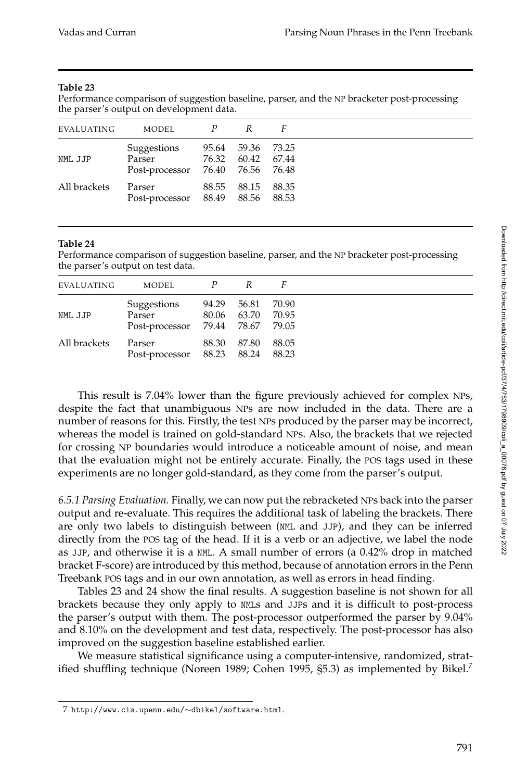Performance comparison of suggestion baseline, parser, and the NP bracketer post-processing the parser's output on development data.

| <b>EVALUATING</b> | MODEL                                                     | P              | R              |                |
|-------------------|-----------------------------------------------------------|----------------|----------------|----------------|
| NML JJP           | Suggestions<br>Parser<br>Post-processor 76.40 76.56 76.48 | 95.64<br>76.32 | 59.36<br>60.42 | 73.25<br>67.44 |
| All brackets      | Parser<br>Post-processor 88.49                            | 88.55          | 88.15<br>88.56 | 88.35<br>88.53 |

#### **Table 24**

Performance comparison of suggestion baseline, parser, and the NP bracketer post-processing the parser's output on test data.

| EVALUATING   | MODEL                                                     | P              |                |                |
|--------------|-----------------------------------------------------------|----------------|----------------|----------------|
| NML JJP      | Suggestions<br>Parser<br>Post-processor 79.44 78.67 79.05 | 94.29<br>80.06 | 56.81<br>63.70 | 70.90<br>70.95 |
| All brackets | Parser<br>Post-processor 88.23                            | 88.30          | 87.80<br>88.24 | 88.05<br>88.23 |

This result is 7.04% lower than the figure previously achieved for complex NPs, despite the fact that unambiguous NPs are now included in the data. There are a number of reasons for this. Firstly, the test NPs produced by the parser may be incorrect, whereas the model is trained on gold-standard NPs. Also, the brackets that we rejected for crossing NP boundaries would introduce a noticeable amount of noise, and mean that the evaluation might not be entirely accurate. Finally, the POS tags used in these experiments are no longer gold-standard, as they come from the parser's output.

*6.5.1 Parsing Evaluation.* Finally, we can now put the rebracketed NPs back into the parser output and re-evaluate. This requires the additional task of labeling the brackets. There are only two labels to distinguish between (NML and JJP), and they can be inferred directly from the POS tag of the head. If it is a verb or an adjective, we label the node as JJP, and otherwise it is a NML. A small number of errors (a 0.42% drop in matched bracket F-score) are introduced by this method, because of annotation errors in the Penn Treebank POS tags and in our own annotation, as well as errors in head finding.

Tables 23 and 24 show the final results. A suggestion baseline is not shown for all brackets because they only apply to NMLs and JJPs and it is difficult to post-process the parser's output with them. The post-processor outperformed the parser by 9.04% and 8.10% on the development and test data, respectively. The post-processor has also improved on the suggestion baseline established earlier.

We measure statistical significance using a computer-intensive, randomized, stratified shuffling technique (Noreen 1989; Cohen 1995, §5.3) as implemented by Bikel.<sup>7</sup>

<sup>7</sup> http://www.cis.upenn.edu/∼dbikel/software.html.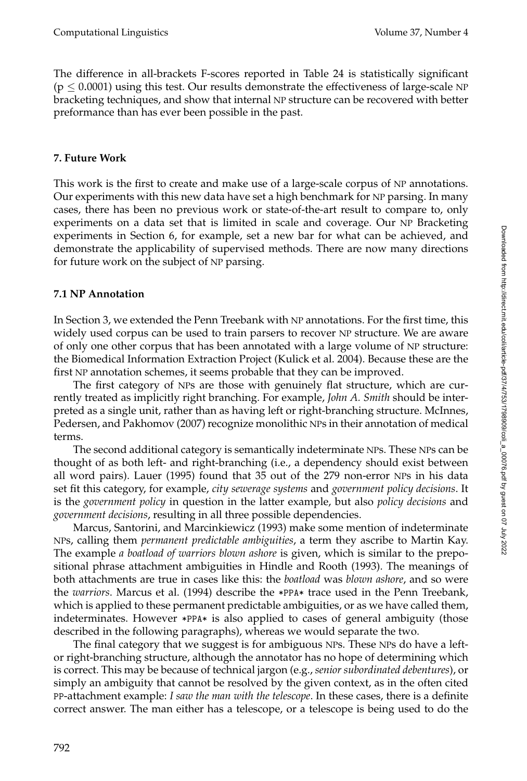The difference in all-brackets F-scores reported in Table 24 is statistically significant  $(p \leq 0.0001)$  using this test. Our results demonstrate the effectiveness of large-scale NP bracketing techniques, and show that internal NP structure can be recovered with better preformance than has ever been possible in the past.

## **7. Future Work**

This work is the first to create and make use of a large-scale corpus of NP annotations. Our experiments with this new data have set a high benchmark for NP parsing. In many cases, there has been no previous work or state-of-the-art result to compare to, only experiments on a data set that is limited in scale and coverage. Our NP Bracketing experiments in Section 6, for example, set a new bar for what can be achieved, and demonstrate the applicability of supervised methods. There are now many directions for future work on the subject of NP parsing.

## **7.1 NP Annotation**

In Section 3, we extended the Penn Treebank with NP annotations. For the first time, this widely used corpus can be used to train parsers to recover NP structure. We are aware of only one other corpus that has been annotated with a large volume of NP structure: the Biomedical Information Extraction Project (Kulick et al. 2004). Because these are the first NP annotation schemes, it seems probable that they can be improved.

The first category of NPs are those with genuinely flat structure, which are currently treated as implicitly right branching. For example, *John A. Smith* should be interpreted as a single unit, rather than as having left or right-branching structure. McInnes, Pedersen, and Pakhomov (2007) recognize monolithic NPs in their annotation of medical terms.

The second additional category is semantically indeterminate NPs. These NPs can be thought of as both left- and right-branching (i.e., a dependency should exist between all word pairs). Lauer (1995) found that 35 out of the 279 non-error NPs in his data set fit this category, for example, *city sewerage systems* and *government policy decisions*. It is the *government policy* in question in the latter example, but also *policy decisions* and *government decisions*, resulting in all three possible dependencies.

Marcus, Santorini, and Marcinkiewicz (1993) make some mention of indeterminate NPs, calling them *permanent predictable ambiguities*, a term they ascribe to Martin Kay. The example *a boatload of warriors blown ashore* is given, which is similar to the prepositional phrase attachment ambiguities in Hindle and Rooth (1993). The meanings of both attachments are true in cases like this: the *boatload* was *blown ashore*, and so were the *warriors*. Marcus et al. (1994) describe the \*PPA\* trace used in the Penn Treebank, which is applied to these permanent predictable ambiguities, or as we have called them, indeterminates. However \*PPA\* is also applied to cases of general ambiguity (those described in the following paragraphs), whereas we would separate the two.

The final category that we suggest is for ambiguous NPs. These NPs do have a leftor right-branching structure, although the annotator has no hope of determining which is correct. This may be because of technical jargon (e.g., *senior subordinated debentures*), or simply an ambiguity that cannot be resolved by the given context, as in the often cited PP-attachment example: *I saw the man with the telescope*. In these cases, there is a definite correct answer. The man either has a telescope, or a telescope is being used to do the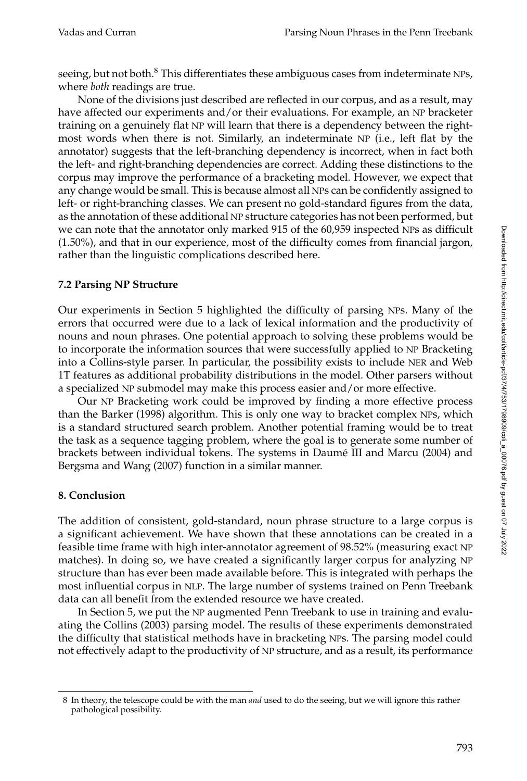seeing, but not both.<sup>8</sup> This differentiates these ambiguous cases from indeterminate NPs, where *both* readings are true.

None of the divisions just described are reflected in our corpus, and as a result, may have affected our experiments and/or their evaluations. For example, an NP bracketer training on a genuinely flat NP will learn that there is a dependency between the rightmost words when there is not. Similarly, an indeterminate NP (i.e., left flat by the annotator) suggests that the left-branching dependency is incorrect, when in fact both the left- and right-branching dependencies are correct. Adding these distinctions to the corpus may improve the performance of a bracketing model. However, we expect that any change would be small. This is because almost all NPs can be confidently assigned to left- or right-branching classes. We can present no gold-standard figures from the data, as the annotation of these additional NP structure categories has not been performed, but we can note that the annotator only marked 915 of the 60,959 inspected NPs as difficult (1.50%), and that in our experience, most of the difficulty comes from financial jargon, rather than the linguistic complications described here.

## **7.2 Parsing NP Structure**

Our experiments in Section 5 highlighted the difficulty of parsing NPs. Many of the errors that occurred were due to a lack of lexical information and the productivity of nouns and noun phrases. One potential approach to solving these problems would be to incorporate the information sources that were successfully applied to NP Bracketing into a Collins-style parser. In particular, the possibility exists to include NER and Web 1T features as additional probability distributions in the model. Other parsers without a specialized NP submodel may make this process easier and/or more effective.

Our NP Bracketing work could be improved by finding a more effective process than the Barker (1998) algorithm. This is only one way to bracket complex NPs, which is a standard structured search problem. Another potential framing would be to treat the task as a sequence tagging problem, where the goal is to generate some number of brackets between individual tokens. The systems in Daumé III and Marcu (2004) and Bergsma and Wang (2007) function in a similar manner.

## **8. Conclusion**

The addition of consistent, gold-standard, noun phrase structure to a large corpus is a significant achievement. We have shown that these annotations can be created in a feasible time frame with high inter-annotator agreement of 98.52% (measuring exact NP matches). In doing so, we have created a significantly larger corpus for analyzing NP structure than has ever been made available before. This is integrated with perhaps the most influential corpus in NLP. The large number of systems trained on Penn Treebank data can all benefit from the extended resource we have created.

In Section 5, we put the NP augmented Penn Treebank to use in training and evaluating the Collins (2003) parsing model. The results of these experiments demonstrated the difficulty that statistical methods have in bracketing NPs. The parsing model could not effectively adapt to the productivity of NP structure, and as a result, its performance

<sup>8</sup> In theory, the telescope could be with the man *and* used to do the seeing, but we will ignore this rather pathological possibility.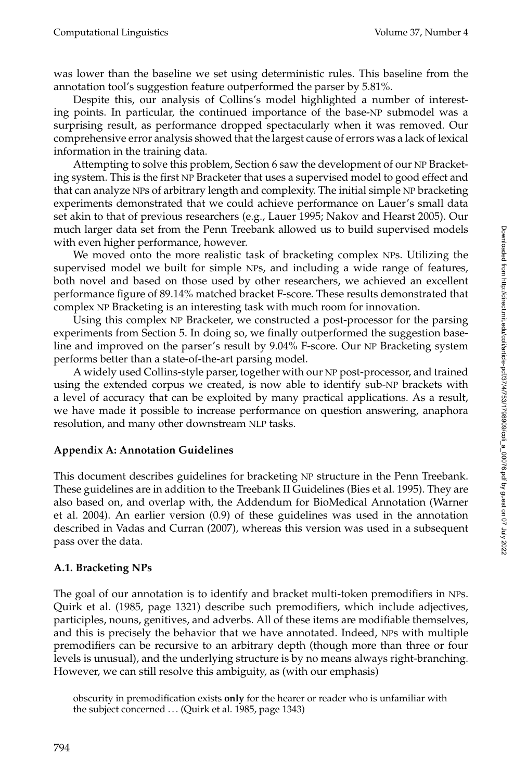was lower than the baseline we set using deterministic rules. This baseline from the annotation tool's suggestion feature outperformed the parser by 5.81%.

Despite this, our analysis of Collins's model highlighted a number of interesting points. In particular, the continued importance of the base-NP submodel was a surprising result, as performance dropped spectacularly when it was removed. Our comprehensive error analysis showed that the largest cause of errors was a lack of lexical information in the training data.

Attempting to solve this problem, Section 6 saw the development of our NP Bracketing system. This is the first NP Bracketer that uses a supervised model to good effect and that can analyze NPs of arbitrary length and complexity. The initial simple NP bracketing experiments demonstrated that we could achieve performance on Lauer's small data set akin to that of previous researchers (e.g., Lauer 1995; Nakov and Hearst 2005). Our much larger data set from the Penn Treebank allowed us to build supervised models with even higher performance, however.

We moved onto the more realistic task of bracketing complex NPs. Utilizing the supervised model we built for simple NPs, and including a wide range of features, both novel and based on those used by other researchers, we achieved an excellent performance figure of 89.14% matched bracket F-score. These results demonstrated that complex NP Bracketing is an interesting task with much room for innovation.

Using this complex NP Bracketer, we constructed a post-processor for the parsing experiments from Section 5. In doing so, we finally outperformed the suggestion baseline and improved on the parser's result by 9.04% F-score. Our NP Bracketing system performs better than a state-of-the-art parsing model.

A widely used Collins-style parser, together with our NP post-processor, and trained using the extended corpus we created, is now able to identify sub-NP brackets with a level of accuracy that can be exploited by many practical applications. As a result, we have made it possible to increase performance on question answering, anaphora resolution, and many other downstream NLP tasks.

## **Appendix A: Annotation Guidelines**

This document describes guidelines for bracketing NP structure in the Penn Treebank. These guidelines are in addition to the Treebank II Guidelines (Bies et al. 1995). They are also based on, and overlap with, the Addendum for BioMedical Annotation (Warner et al. 2004). An earlier version (0.9) of these guidelines was used in the annotation described in Vadas and Curran (2007), whereas this version was used in a subsequent pass over the data.

## **A.1. Bracketing NPs**

The goal of our annotation is to identify and bracket multi-token premodifiers in NPs. Quirk et al. (1985, page 1321) describe such premodifiers, which include adjectives, participles, nouns, genitives, and adverbs. All of these items are modifiable themselves, and this is precisely the behavior that we have annotated. Indeed, NPs with multiple premodifiers can be recursive to an arbitrary depth (though more than three or four levels is unusual), and the underlying structure is by no means always right-branching. However, we can still resolve this ambiguity, as (with our emphasis)

obscurity in premodification exists **only** for the hearer or reader who is unfamiliar with the subject concerned . . . (Quirk et al. 1985, page 1343)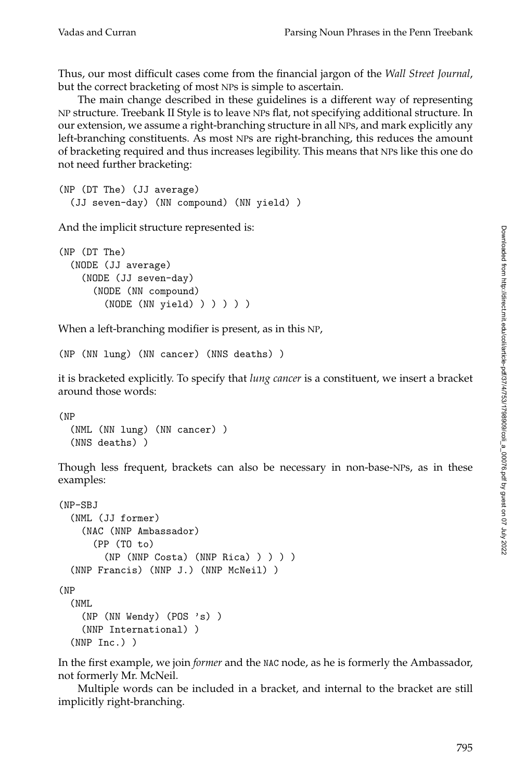Thus, our most difficult cases come from the financial jargon of the *Wall Street Journal*, but the correct bracketing of most NPs is simple to ascertain.

The main change described in these guidelines is a different way of representing NP structure. Treebank II Style is to leave NPs flat, not specifying additional structure. In our extension, we assume a right-branching structure in all NPs, and mark explicitly any left-branching constituents. As most NPs are right-branching, this reduces the amount of bracketing required and thus increases legibility. This means that NPs like this one do not need further bracketing:

```
(NP (DT The) (JJ average)
  (JJ seven-day) (NN compound) (NN yield) )
```
And the implicit structure represented is:

```
(NP (DT The)
  (NODE (JJ average)
    (NODE (JJ seven-day)
      (NODE (NN compound)
        (NODE (NN yield) ) ) ) ) )
```
When a left-branching modifier is present, as in this NP,

(NP (NN lung) (NN cancer) (NNS deaths) )

it is bracketed explicitly. To specify that *lung cancer* is a constituent, we insert a bracket around those words:

(NP

```
(NML (NN lung) (NN cancer) )
(NNS deaths) )
```
Though less frequent, brackets can also be necessary in non-base-NPs, as in these examples:

```
(NP-SBJ
  (NML (JJ former)
    (NAC (NNP Ambassador)
      (PP (TO to)
        (NP (NNP Costa) (NNP Rica) ) ) ) )
  (NNP Francis) (NNP J.) (NNP McNeil) )
(NP
  (NML
    (NP (NN Wendy) (POS 's) )
    (NNP International) )
  (NNP Inc.) )
```
In the first example, we join *former* and the NAC node, as he is formerly the Ambassador, not formerly Mr. McNeil.

Multiple words can be included in a bracket, and internal to the bracket are still implicitly right-branching.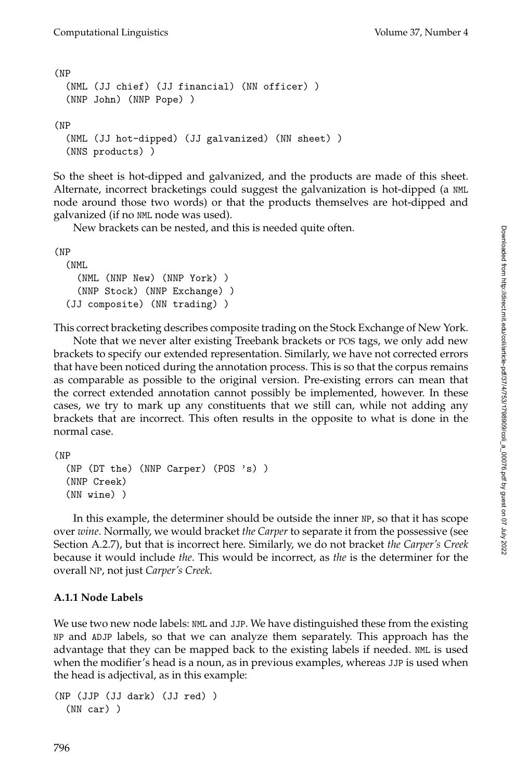```
(NP
  (NML (JJ chief) (JJ financial) (NN officer) )
 (NNP John) (NNP Pope) )
(NP
  (NML (JJ hot-dipped) (JJ galvanized) (NN sheet) )
  (NNS products) )
```
So the sheet is hot-dipped and galvanized, and the products are made of this sheet. Alternate, incorrect bracketings could suggest the galvanization is hot-dipped (a NML node around those two words) or that the products themselves are hot-dipped and galvanized (if no NML node was used).

New brackets can be nested, and this is needed quite often.

```
(NP
  (NML
    (NML (NNP New) (NNP York) )
    (NNP Stock) (NNP Exchange) )
  (JJ composite) (NN trading) )
```
This correct bracketing describes composite trading on the Stock Exchange of New York.

Note that we never alter existing Treebank brackets or POS tags, we only add new brackets to specify our extended representation. Similarly, we have not corrected errors that have been noticed during the annotation process. This is so that the corpus remains as comparable as possible to the original version. Pre-existing errors can mean that the correct extended annotation cannot possibly be implemented, however. In these cases, we try to mark up any constituents that we still can, while not adding any brackets that are incorrect. This often results in the opposite to what is done in the normal case.

(NP

```
(NP (DT the) (NNP Carper) (POS 's) )
(NNP Creek)
(NN wine) )
```
In this example, the determiner should be outside the inner NP, so that it has scope over *wine*. Normally, we would bracket *the Carper* to separate it from the possessive (see Section A.2.7), but that is incorrect here. Similarly, we do not bracket *the Carper's Creek* because it would include *the*. This would be incorrect, as *the* is the determiner for the overall NP, not just *Carper's Creek*.

## **A.1.1 Node Labels**

We use two new node labels: NML and JJP. We have distinguished these from the existing NP and ADJP labels, so that we can analyze them separately. This approach has the advantage that they can be mapped back to the existing labels if needed. NML is used when the modifier's head is a noun, as in previous examples, whereas JJP is used when the head is adjectival, as in this example:

```
(NP (JJP (JJ dark) (JJ red) )
 (NN car) )
```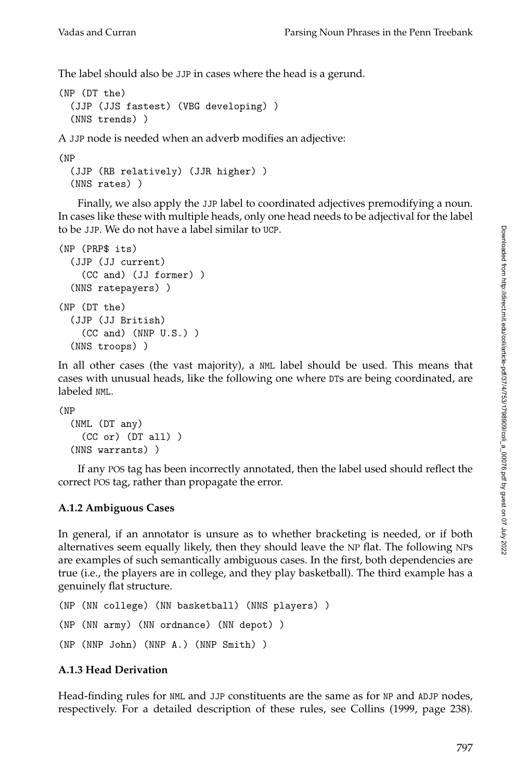The label should also be JJP in cases where the head is a gerund.

```
(NP (DT the)
  (JJP (JJS fastest) (VBG developing) )
  (NNS trends) )
```
A JJP node is needed when an adverb modifies an adjective:

```
(NP
  (JJP (RB relatively) (JJR higher) )
  (NNS rates) )
```
Finally, we also apply the JJP label to coordinated adjectives premodifying a noun. In cases like these with multiple heads, only one head needs to be adjectival for the label to be JJP. We do not have a label similar to UCP.

```
(NP (PRP$ its)
  (JJP (JJ current)
    (CC and) (JJ former) )
  (NNS ratepayers) )
(NP (DT the)
  (JJP (JJ British)
    (CC and) (NNP U.S.) )
  (NNS troops) )
```
In all other cases (the vast majority), a NML label should be used. This means that cases with unusual heads, like the following one where DTs are being coordinated, are labeled NML.

(NP

```
(NML (DT any)
  (CC or) (DT all) )
(NNS warrants) )
```
If any POS tag has been incorrectly annotated, then the label used should reflect the correct POS tag, rather than propagate the error.

## **A.1.2 Ambiguous Cases**

In general, if an annotator is unsure as to whether bracketing is needed, or if both alternatives seem equally likely, then they should leave the NP flat. The following NPs are examples of such semantically ambiguous cases. In the first, both dependencies are true (i.e., the players are in college, and they play basketball). The third example has a genuinely flat structure.

(NP (NN college) (NN basketball) (NNS players) ) (NP (NN army) (NN ordnance) (NN depot) ) (NP (NNP John) (NNP A.) (NNP Smith) )

## **A.1.3 Head Derivation**

Head-finding rules for NML and JJP constituents are the same as for NP and ADJP nodes, respectively. For a detailed description of these rules, see Collins (1999, page 238).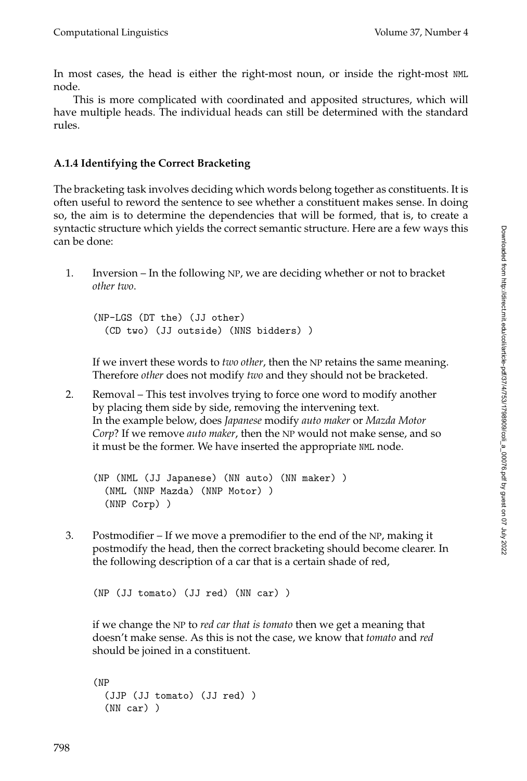In most cases, the head is either the right-most noun, or inside the right-most NML node.

This is more complicated with coordinated and apposited structures, which will have multiple heads. The individual heads can still be determined with the standard rules.

## **A.1.4 Identifying the Correct Bracketing**

The bracketing task involves deciding which words belong together as constituents. It is often useful to reword the sentence to see whether a constituent makes sense. In doing so, the aim is to determine the dependencies that will be formed, that is, to create a syntactic structure which yields the correct semantic structure. Here are a few ways this can be done:

1. Inversion – In the following NP, we are deciding whether or not to bracket *other two*.

(NP-LGS (DT the) (JJ other) (CD two) (JJ outside) (NNS bidders) )

If we invert these words to *two other*, then the NP retains the same meaning. Therefore *other* does not modify *two* and they should not be bracketed.

2. Removal – This test involves trying to force one word to modify another by placing them side by side, removing the intervening text. In the example below, does *Japanese* modify *auto maker* or *Mazda Motor Corp*? If we remove *auto maker*, then the NP would not make sense, and so it must be the former. We have inserted the appropriate NML node.

```
(NP (NML (JJ Japanese) (NN auto) (NN maker) )
  (NML (NNP Mazda) (NNP Motor) )
  (NNP Corp) )
```
3. Postmodifier – If we move a premodifier to the end of the NP, making it postmodify the head, then the correct bracketing should become clearer. In the following description of a car that is a certain shade of red,

(NP (JJ tomato) (JJ red) (NN car) )

if we change the NP to *red car that is tomato* then we get a meaning that doesn't make sense. As this is not the case, we know that *tomato* and *red* should be joined in a constituent.

```
(NP
  (JJP (JJ tomato) (JJ red) )
  (NN car) )
```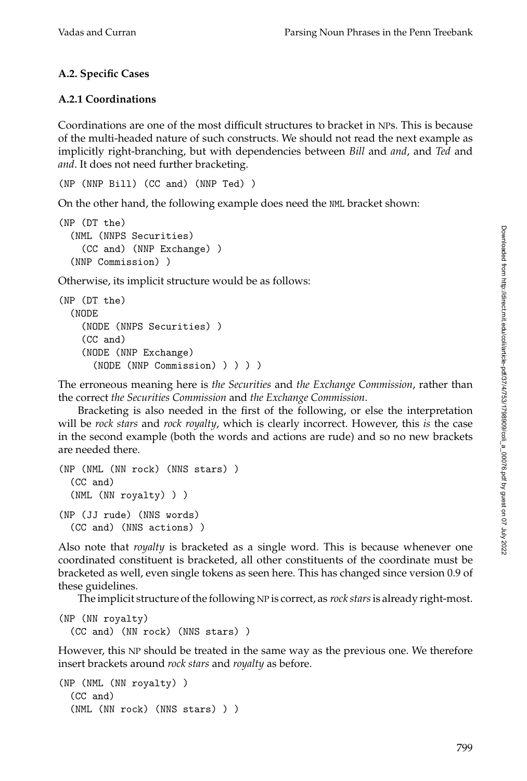## **A.2. Specific Cases**

## **A.2.1 Coordinations**

Coordinations are one of the most difficult structures to bracket in NPs. This is because of the multi-headed nature of such constructs. We should not read the next example as implicitly right-branching, but with dependencies between *Bill* and *and*, and *Ted* and *and*. It does not need further bracketing.

(NP (NNP Bill) (CC and) (NNP Ted) )

On the other hand, the following example does need the NML bracket shown:

```
(NP (DT the)
  (NML (NNPS Securities)
    (CC and) (NNP Exchange) )
  (NNP Commission) )
```
Otherwise, its implicit structure would be as follows:

```
(NP (DT the)
  (NODE
    (NODE (NNPS Securities) )
    (CC and)
    (NODE (NNP Exchange)
      (NODE (NNP Commission) ) ) ) )
```
The erroneous meaning here is *the Securities* and *the Exchange Commission*, rather than the correct *the Securities Commission* and *the Exchange Commission*.

Bracketing is also needed in the first of the following, or else the interpretation will be *rock stars* and *rock royalty*, which is clearly incorrect. However, this *is* the case in the second example (both the words and actions are rude) and so no new brackets are needed there.

```
(NP (NML (NN rock) (NNS stars) )
  (CC and)
  (NML (NN royalty) ) )
(NP (JJ rude) (NNS words)
  (CC and) (NNS actions) )
```
Also note that *royalty* is bracketed as a single word. This is because whenever one coordinated constituent is bracketed, all other constituents of the coordinate must be bracketed as well, even single tokens as seen here. This has changed since version 0.9 of these guidelines.

The implicit structure of the following NP is correct, as *rock stars*is already right-most.

```
(NP (NN royalty)
  (CC and) (NN rock) (NNS stars) )
```
However, this NP should be treated in the same way as the previous one. We therefore insert brackets around *rock stars* and *royalty* as before.

```
(NP (NML (NN royalty) )
  (CC and)
  (NML (NN rock) (NNS stars) ) )
```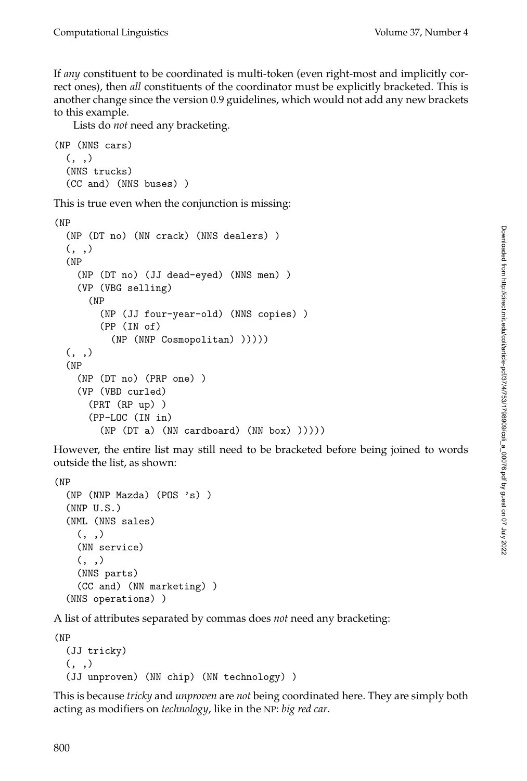If *any* constituent to be coordinated is multi-token (even right-most and implicitly correct ones), then *all* constituents of the coordinator must be explicitly bracketed. This is another change since the version 0.9 guidelines, which would not add any new brackets to this example.

Lists do *not* need any bracketing.

```
(NP (NNS cars)
  (, , , )(NNS trucks)
  (CC and) (NNS buses) )
```
This is true even when the conjunction is missing:

```
(NP
 (NP (DT no) (NN crack) (NNS dealers) )
 (, )(NP
    (NP (DT no) (JJ dead-eyed) (NNS men) )
    (VP (VBG selling)
      (NP
        (NP (JJ four-year-old) (NNS copies) )
        (PP (IN of)
          (NP (NNP Cosmopolitan) )))))
 (, )(NP
    (NP (DT no) (PRP one) )
    (VP (VBD curled)
      (PRT (RP up) )
      (PP-LOC (IN in)
        (NP (DT a) (NN cardboard) (NN box) )))))
```
However, the entire list may still need to be bracketed before being joined to words outside the list, as shown:

```
(NP
```

```
(NP (NNP Mazda) (POS 's) )
(NNP U.S.)
(NML (NNS sales)
  (, )(NN service)
  (, )(NNS parts)
  (CC and) (NN marketing) )
(NNS operations) )
```
A list of attributes separated by commas does *not* need any bracketing:

```
(NP
 (JJ tricky)
  (, )(JJ unproven) (NN chip) (NN technology) )
```
This is because *tricky* and *unproven* are *not* being coordinated here. They are simply both acting as modifiers on *technology*, like in the NP: *big red car*.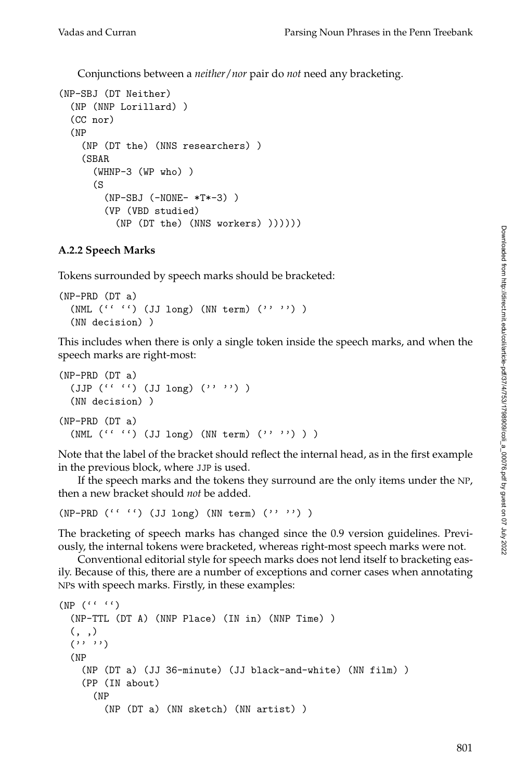Conjunctions between a *neither*/*nor* pair do *not* need any bracketing.

```
(NP-SBJ (DT Neither)
  (NP (NNP Lorillard) )
  (CC nor)
  (NP
    (NP (DT the) (NNS researchers) )
    (SBAR
      (WHNP-3 (WP who) )
      (S
        (NP-SBJ (-NONE- *T*-3) )
        (VP (VBD studied)
          (NP (DT the) (NNS workers) ))))))
```
## **A.2.2 Speech Marks**

Tokens surrounded by speech marks should be bracketed:

```
(NP-PRD (DT a)
  (NML (<sup>''</sup> '') (JJ long) (NN term) ('''') )
  (NN decision) )
```
This includes when there is only a single token inside the speech marks, and when the speech marks are right-most:

```
(NP-PRD (DT a)
  (JJP ('' '') (JJ long) ('' '') )
  (NN decision) )
(NP-PRD (DT a)
  (NML ('' '') (JJ long) (NN term) ('' '') ) )
```
Note that the label of the bracket should reflect the internal head, as in the first example in the previous block, where JJP is used.

If the speech marks and the tokens they surround are the only items under the NP, then a new bracket should *not* be added.

```
(NP-PRD ('' '') (JJ long) (NN term) ('' '') )
```
The bracketing of speech marks has changed since the 0.9 version guidelines. Previously, the internal tokens were bracketed, whereas right-most speech marks were not.

Conventional editorial style for speech marks does not lend itself to bracketing easily. Because of this, there are a number of exceptions and corner cases when annotating NPs with speech marks. Firstly, in these examples:

```
(NP) (''''')
  (NP-TTL (DT A) (NNP Place) (IN in) (NNP Time) )
  (, , , )(''')
  (NP
    (NP (DT a) (JJ 36-minute) (JJ black-and-white) (NN film) )
    (PP (IN about)
      (NP
        (NP (DT a) (NN sketch) (NN artist) )
```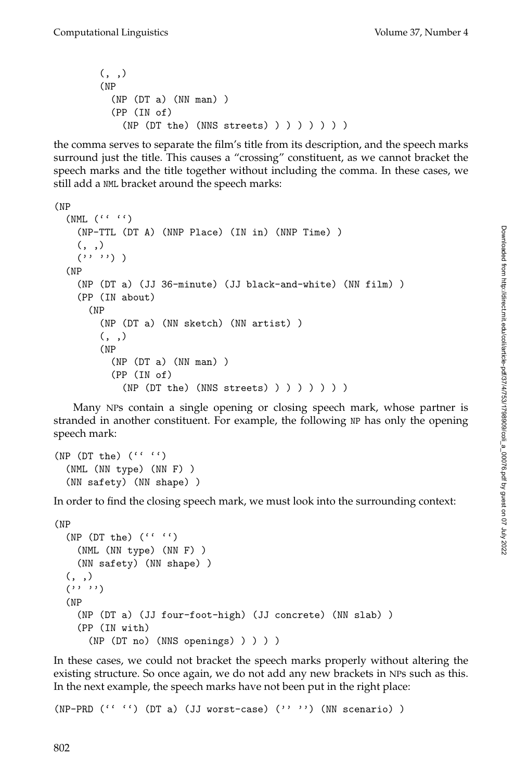```
(, )(NP
 (NP (DT a) (NN man) )
 (PP (IN of)
   (NP (DT the) (NNS streets) ) ) )))))
```
the comma serves to separate the film's title from its description, and the speech marks surround just the title. This causes a "crossing" constituent, as we cannot bracket the speech marks and the title together without including the comma. In these cases, we still add a NML bracket around the speech marks:

```
(NP
 (NML ('' '')
    (NP-TTL (DT A) (NNP Place) (IN in) (NNP Time) )
    (, )(, (, \vee, ))
  (NP
    (NP (DT a) (JJ 36-minute) (JJ black-and-white) (NN film) )
    (PP (IN about)
      (NP
        (NP (DT a) (NN sketch) (NN artist) )
        (, )(NP
          (NP (DT a) (NN man) )
          (PP (IN of)
            (NP (DT the) (NNS streets) )) ))))))
```
Many NPs contain a single opening or closing speech mark, whose partner is stranded in another constituent. For example, the following NP has only the opening speech mark:

```
(NP (DT the) ('''')
  (NML (NN type) (NN F) )
  (NN safety) (NN shape) )
```
In order to find the closing speech mark, we must look into the surrounding context:

```
(NP
 (NP (DT the) ('' '')
    (NML (NN type) (NN F) )
    (NN safety) (NN shape) )
  (, , , )('''')
  (NP
    (NP (DT a) (JJ four-foot-high) (JJ concrete) (NN slab) )
    (PP (IN with)
      (NP (DT no) (NNS openings) ) ) ) )
```
In these cases, we could not bracket the speech marks properly without altering the existing structure. So once again, we do not add any new brackets in NPs such as this. In the next example, the speech marks have not been put in the right place:

(NP-PRD  $($ '' '') (DT a) (JJ worst-case)  $($ '''') (NN scenario) )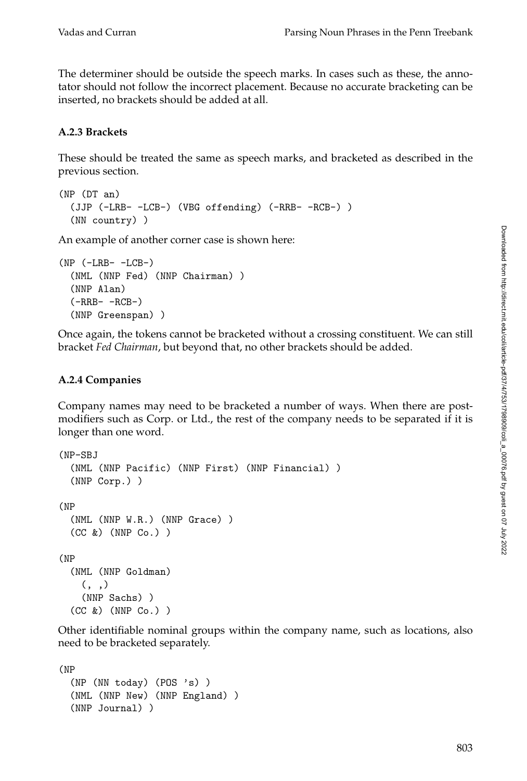The determiner should be outside the speech marks. In cases such as these, the annotator should not follow the incorrect placement. Because no accurate bracketing can be inserted, no brackets should be added at all.

## **A.2.3 Brackets**

These should be treated the same as speech marks, and bracketed as described in the previous section.

```
(NP (DT an)
  (JJP (-LRB- -LCB-) (VBG offending) (-RRB- -RCB-) )
  (NN country) )
```
An example of another corner case is shown here:

```
(NP (-LRB - -LCB -)(NML (NNP Fed) (NNP Chairman) )
  (NNP Alan)
  (-RRB- -RCB-)(NNP Greenspan) )
```
Once again, the tokens cannot be bracketed without a crossing constituent. We can still bracket *Fed Chairman*, but beyond that, no other brackets should be added.

## **A.2.4 Companies**

Company names may need to be bracketed a number of ways. When there are postmodifiers such as Corp. or Ltd., the rest of the company needs to be separated if it is longer than one word.

```
(NP-SBJ
  (NML (NNP Pacific) (NNP First) (NNP Financial) )
  (NNP Corp.) )
(NP
  (NML (NNP W.R.) (NNP Grace) )
  (CC &) (NNP Co.) )
(NP
  (NML (NNP Goldman)
    (, )(NNP Sachs) )
  (CC &) (NNP Co.) )
```
Other identifiable nominal groups within the company name, such as locations, also need to be bracketed separately.

```
(NP
  (NP (NN today) (POS 's) )
  (NML (NNP New) (NNP England) )
  (NNP Journal) )
```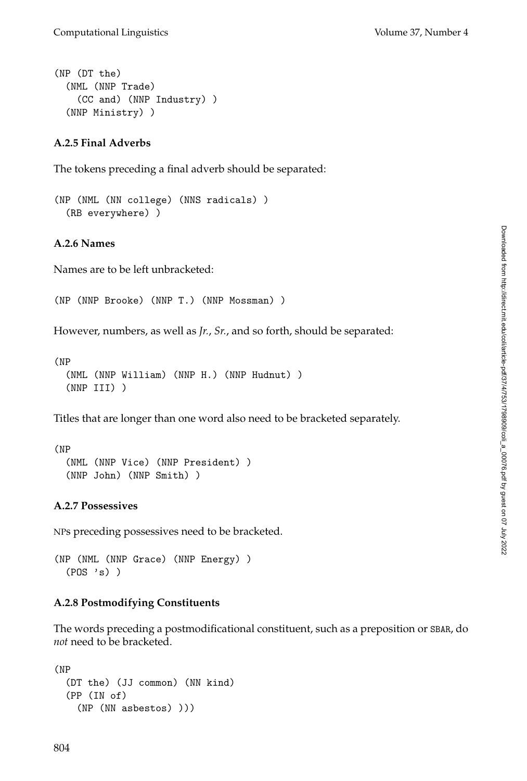```
(NP (DT the)
 (NML (NNP Trade)
    (CC and) (NNP Industry) )
 (NNP Ministry) )
```
### **A.2.5 Final Adverbs**

The tokens preceding a final adverb should be separated:

```
(NP (NML (NN college) (NNS radicals) )
 (RB everywhere) )
```
### **A.2.6 Names**

Names are to be left unbracketed:

```
(NP (NNP Brooke) (NNP T.) (NNP Mossman) )
```
However, numbers, as well as *Jr.*, *Sr.*, and so forth, should be separated:

```
(NP
 (NML (NNP William) (NNP H.) (NNP Hudnut) )
 (NNP III) )
```
Titles that are longer than one word also need to be bracketed separately.

```
(NP
  (NML (NNP Vice) (NNP President) )
 (NNP John) (NNP Smith) )
```
### **A.2.7 Possessives**

NPs preceding possessives need to be bracketed.

```
(NP (NML (NNP Grace) (NNP Energy) )
 (POS 's) )
```
### **A.2.8 Postmodifying Constituents**

The words preceding a postmodificational constituent, such as a preposition or SBAR, do *not* need to be bracketed.

```
(NP
 (DT the) (JJ common) (NN kind)
 (PP (IN of)
    (NP (NN asbestos) )))
```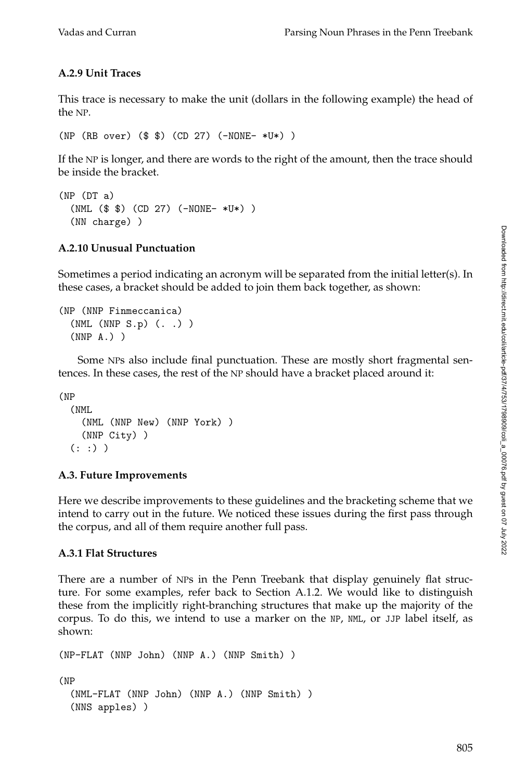## **A.2.9 Unit Traces**

This trace is necessary to make the unit (dollars in the following example) the head of the NP.

(NP (RB over) (\$ \$) (CD 27) (-NONE- \*U\*) )

If the NP is longer, and there are words to the right of the amount, then the trace should be inside the bracket.

(NP (DT a) (NML (\$ \$) (CD 27) (-NONE- \*U\*) ) (NN charge) )

## **A.2.10 Unusual Punctuation**

Sometimes a period indicating an acronym will be separated from the initial letter(s). In these cases, a bracket should be added to join them back together, as shown:

```
(NP (NNP Finmeccanica)
  (NML (NNP S.p) (. .) )
  (NNP A.) )
```
Some NPs also include final punctuation. These are mostly short fragmental sentences. In these cases, the rest of the NP should have a bracket placed around it:

(NP

```
(NML
  (NML (NNP New) (NNP York) )
 (NNP City) )
(: :)
```
## **A.3. Future Improvements**

Here we describe improvements to these guidelines and the bracketing scheme that we intend to carry out in the future. We noticed these issues during the first pass through the corpus, and all of them require another full pass.

## **A.3.1 Flat Structures**

There are a number of NPs in the Penn Treebank that display genuinely flat structure. For some examples, refer back to Section A.1.2. We would like to distinguish these from the implicitly right-branching structures that make up the majority of the corpus. To do this, we intend to use a marker on the NP, NML, or JJP label itself, as shown:

```
(NP-FLAT (NNP John) (NNP A.) (NNP Smith) )
(NP
  (NML-FLAT (NNP John) (NNP A.) (NNP Smith) )
  (NNS apples) )
```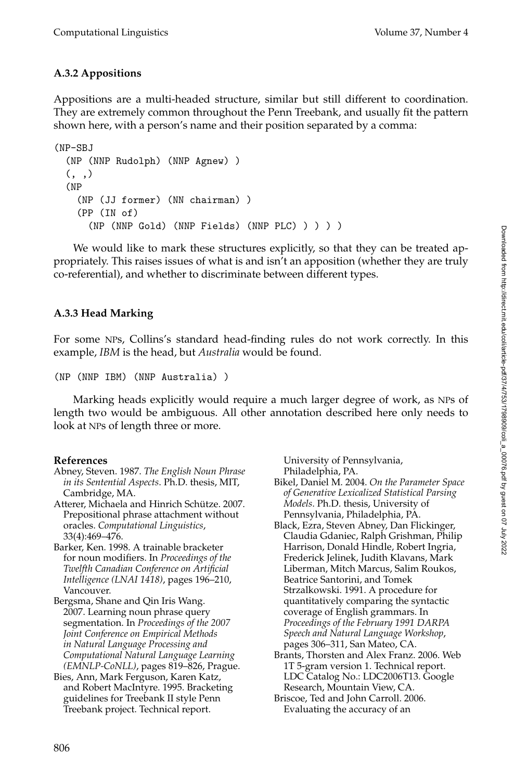## **A.3.2 Appositions**

Appositions are a multi-headed structure, similar but still different to coordination. They are extremely common throughout the Penn Treebank, and usually fit the pattern shown here, with a person's name and their position separated by a comma:

```
(NP-SBJ
  (NP (NNP Rudolph) (NNP Agnew) )
  (, )(NP
    (NP (JJ former) (NN chairman) )
    (PP (IN of)
      (NP (NNP Gold) (NNP Fields) (NNP PLC) ) ) ) )
```
We would like to mark these structures explicitly, so that they can be treated appropriately. This raises issues of what is and isn't an apposition (whether they are truly co-referential), and whether to discriminate between different types.

## **A.3.3 Head Marking**

For some NPs, Collins's standard head-finding rules do not work correctly. In this example, *IBM* is the head, but *Australia* would be found.

```
(NP (NNP IBM) (NNP Australia) )
```
Marking heads explicitly would require a much larger degree of work, as NPs of length two would be ambiguous. All other annotation described here only needs to look at NPs of length three or more.

### **References**

- Abney, Steven. 1987. *The English Noun Phrase in its Sentential Aspects*. Ph.D. thesis, MIT, Cambridge, MA.
- Atterer, Michaela and Hinrich Schütze. 2007. Prepositional phrase attachment without oracles. *Computational Linguistics*, 33(4):469–476.
- Barker, Ken. 1998. A trainable bracketer for noun modifiers. In *Proceedings of the Twelfth Canadian Conference on Artificial Intelligence (LNAI 1418)*, pages 196–210, Vancouver.
- Bergsma, Shane and Qin Iris Wang. 2007. Learning noun phrase query segmentation. In *Proceedings of the 2007 Joint Conference on Empirical Methods in Natural Language Processing and Computational Natural Language Learning (EMNLP-CoNLL)*, pages 819–826, Prague.
- Bies, Ann, Mark Ferguson, Karen Katz, and Robert MacIntyre. 1995. Bracketing guidelines for Treebank II style Penn Treebank project. Technical report.

University of Pennsylvania, Philadelphia, PA.

- Bikel, Daniel M. 2004. *On the Parameter Space of Generative Lexicalized Statistical Parsing Models*. Ph.D. thesis, University of Pennsylvania, Philadelphia, PA.
- Black, Ezra, Steven Abney, Dan Flickinger, Claudia Gdaniec, Ralph Grishman, Philip Harrison, Donald Hindle, Robert Ingria, Frederick Jelinek, Judith Klavans, Mark Liberman, Mitch Marcus, Salim Roukos, Beatrice Santorini, and Tomek Strzalkowski. 1991. A procedure for quantitatively comparing the syntactic coverage of English grammars. In *Proceedings of the February 1991 DARPA Speech and Natural Language Workshop*, pages 306–311, San Mateo, CA.
- Brants, Thorsten and Alex Franz. 2006. Web 1T 5-gram version 1. Technical report. LDC Catalog No.: LDC2006T13. Google Research, Mountain View, CA.
- Briscoe, Ted and John Carroll. 2006. Evaluating the accuracy of an

Downloaded from http://direct.mit.edu/coli/article-pdf/37/4/753/1798909/coli\_a\_00076.pdf by guest on 07 July 2022 Downloaded from http://direct.mit.edu/coli/article-pdf/37/4/753/1798909/coli\_a\_00076.pdf by guest on 07 July 2022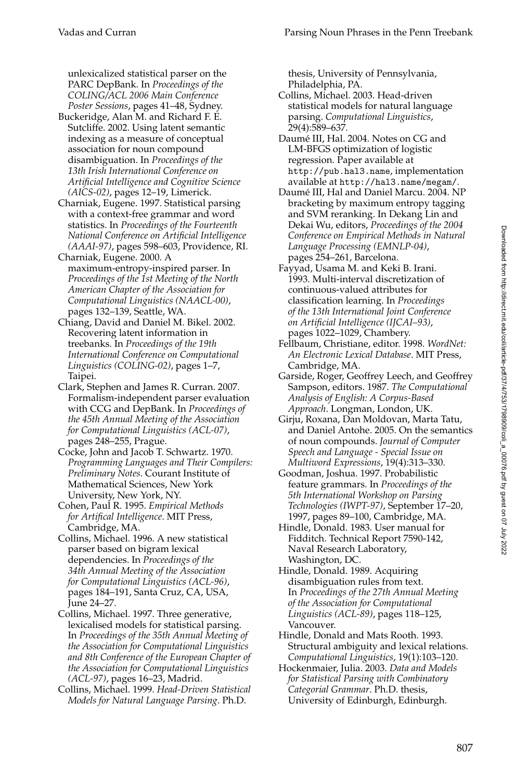unlexicalized statistical parser on the PARC DepBank. In *Proceedings of the COLING/ACL 2006 Main Conference Poster Sessions*, pages 41–48, Sydney.

- Buckeridge, Alan M. and Richard F. E. Sutcliffe. 2002. Using latent semantic indexing as a measure of conceptual association for noun compound disambiguation. In *Proceedings of the 13th Irish International Conference on Artificial Intelligence and Cognitive Science (AICS-02)*, pages 12–19, Limerick.
- Charniak, Eugene. 1997. Statistical parsing with a context-free grammar and word statistics. In *Proceedings of the Fourteenth National Conference on Artificial Intelligence (AAAI-97)*, pages 598–603, Providence, RI.
- Charniak, Eugene. 2000. A maximum-entropy-inspired parser. In *Proceedings of the 1st Meeting of the North American Chapter of the Association for Computational Linguistics (NAACL-00)*, pages 132–139, Seattle, WA.
- Chiang, David and Daniel M. Bikel. 2002. Recovering latent information in treebanks. In *Proceedings of the 19th International Conference on Computational Linguistics (COLING-02)*, pages 1–7, Taipei.
- Clark, Stephen and James R. Curran. 2007. Formalism-independent parser evaluation with CCG and DepBank. In *Proceedings of the 45th Annual Meeting of the Association for Computational Linguistics (ACL-07)*, pages 248–255, Prague.
- Cocke, John and Jacob T. Schwartz. 1970. *Programming Languages and Their Compilers: Preliminary Notes*. Courant Institute of Mathematical Sciences, New York University, New York, NY.
- Cohen, Paul R. 1995. *Empirical Methods for Artifical Intelligence*. MIT Press, Cambridge, MA.
- Collins, Michael. 1996. A new statistical parser based on bigram lexical dependencies. In *Proceedings of the 34th Annual Meeting of the Association for Computational Linguistics (ACL-96)*, pages 184–191, Santa Cruz, CA, USA, June 24–27.
- Collins, Michael. 1997. Three generative, lexicalised models for statistical parsing. In *Proceedings of the 35th Annual Meeting of the Association for Computational Linguistics and 8th Conference of the European Chapter of the Association for Computational Linguistics (ACL-97)*, pages 16–23, Madrid.
- Collins, Michael. 1999. *Head-Driven Statistical Models for Natural Language Parsing*. Ph.D.

thesis, University of Pennsylvania, Philadelphia, PA.

- Collins, Michael. 2003. Head-driven statistical models for natural language parsing. *Computational Linguistics*, 29(4):589–637.
- Daumé III, Hal. 2004. Notes on CG and LM-BFGS optimization of logistic regression. Paper available at http://pub.hal3.name, implementation available at http://hal3.name/megam/.
- Daumé III, Hal and Daniel Marcu. 2004. NP bracketing by maximum entropy tagging and SVM reranking. In Dekang Lin and Dekai Wu, editors, *Proceedings of the 2004 Conference on Empirical Methods in Natural Language Processing (EMNLP-04)*, pages 254–261, Barcelona.
- Fayyad, Usama M. and Keki B. Irani. 1993. Multi-interval discretization of continuous-valued attributes for classification learning. In *Proceedings of the 13th International Joint Conference on Artificial Intelligence (IJCAI–93)*, pages 1022–1029, Chambery.
- Fellbaum, Christiane, editor. 1998. *WordNet: An Electronic Lexical Database*. MIT Press, Cambridge, MA.
- Garside, Roger, Geoffrey Leech, and Geoffrey Sampson, editors. 1987. *The Computational Analysis of English: A Corpus-Based Approach*. Longman, London, UK.
- Girju, Roxana, Dan Moldovan, Marta Tatu, and Daniel Antohe. 2005. On the semantics of noun compounds. *Journal of Computer Speech and Language - Special Issue on Multiword Expressions*, 19(4):313–330.
- Goodman, Joshua. 1997. Probabilistic feature grammars. In *Proceedings of the 5th International Workshop on Parsing Technologies (IWPT-97)*, September 17–20, 1997, pages 89–100, Cambridge, MA.
- Hindle, Donald. 1983. User manual for Fidditch. Technical Report 7590-142, Naval Research Laboratory, Washington, DC.
- Hindle, Donald. 1989. Acquiring disambiguation rules from text. In *Proceedings of the 27th Annual Meeting of the Association for Computational Linguistics (ACL-89)*, pages 118–125, Vancouver.
- Hindle, Donald and Mats Rooth. 1993. Structural ambiguity and lexical relations. *Computational Linguistics*, 19(1):103–120.
- Hockenmaier, Julia. 2003. *Data and Models for Statistical Parsing with Combinatory Categorial Grammar*. Ph.D. thesis, University of Edinburgh, Edinburgh.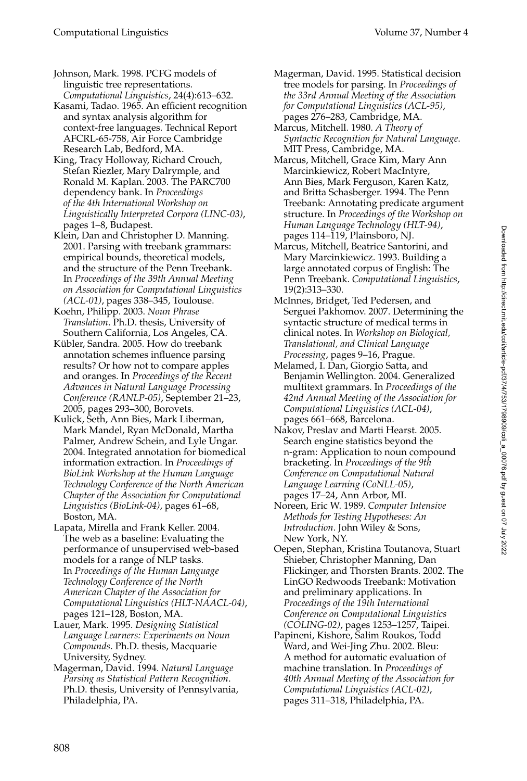- Johnson, Mark. 1998. PCFG models of linguistic tree representations. *Computational Linguistics*, 24(4):613–632.
- Kasami, Tadao. 1965. An efficient recognition and syntax analysis algorithm for context-free languages. Technical Report AFCRL-65-758, Air Force Cambridge Research Lab, Bedford, MA.
- King, Tracy Holloway, Richard Crouch, Stefan Riezler, Mary Dalrymple, and Ronald M. Kaplan. 2003. The PARC700 dependency bank. In *Proceedings of the 4th International Workshop on Linguistically Interpreted Corpora (LINC-03)*, pages 1–8, Budapest.
- Klein, Dan and Christopher D. Manning. 2001. Parsing with treebank grammars: empirical bounds, theoretical models, and the structure of the Penn Treebank. In *Proceedings of the 39th Annual Meeting on Association for Computational Linguistics (ACL-01)*, pages 338–345, Toulouse.
- Koehn, Philipp. 2003. *Noun Phrase Translation*. Ph.D. thesis, University of Southern California, Los Angeles, CA.
- Kübler, Sandra. 2005. How do treebank annotation schemes influence parsing results? Or how not to compare apples and oranges. In *Proceedings of the Recent Advances in Natural Language Processing Conference (RANLP-05)*, September 21–23, 2005, pages 293–300, Borovets.
- Kulick, Seth, Ann Bies, Mark Liberman, Mark Mandel, Ryan McDonald, Martha Palmer, Andrew Schein, and Lyle Ungar. 2004. Integrated annotation for biomedical information extraction. In *Proceedings of BioLink Workshop at the Human Language Technology Conference of the North American Chapter of the Association for Computational Linguistics (BioLink-04)*, pages 61–68, Boston, MA.
- Lapata, Mirella and Frank Keller. 2004. The web as a baseline: Evaluating the performance of unsupervised web-based models for a range of NLP tasks. In *Proceedings of the Human Language Technology Conference of the North American Chapter of the Association for Computational Linguistics (HLT-NAACL-04)*, pages 121–128, Boston, MA.
- Lauer, Mark. 1995. *Designing Statistical Language Learners: Experiments on Noun Compounds*. Ph.D. thesis, Macquarie University, Sydney.
- Magerman, David. 1994. *Natural Language Parsing as Statistical Pattern Recognition*. Ph.D. thesis, University of Pennsylvania, Philadelphia, PA.
- Magerman, David. 1995. Statistical decision tree models for parsing. In *Proceedings of the 33rd Annual Meeting of the Association for Computational Linguistics (ACL-95)*, pages 276–283, Cambridge, MA.
- Marcus, Mitchell. 1980. *A Theory of Syntactic Recognition for Natural Language*. MIT Press, Cambridge, MA.
- Marcus, Mitchell, Grace Kim, Mary Ann Marcinkiewicz, Robert MacIntyre, Ann Bies, Mark Ferguson, Karen Katz, and Britta Schasberger. 1994. The Penn Treebank: Annotating predicate argument structure. In *Proceedings of the Workshop on Human Language Technology (HLT-94)*, pages 114–119, Plainsboro, NJ.
- Marcus, Mitchell, Beatrice Santorini, and Mary Marcinkiewicz. 1993. Building a large annotated corpus of English: The Penn Treebank. *Computational Linguistics*, 19(2):313–330.
- McInnes, Bridget, Ted Pedersen, and Serguei Pakhomov. 2007. Determining the syntactic structure of medical terms in clinical notes. In *Workshop on Biological, Translational, and Clinical Language Processing*, pages 9–16, Prague.
- Melamed, I. Dan, Giorgio Satta, and Benjamin Wellington. 2004. Generalized multitext grammars. In *Proceedings of the 42nd Annual Meeting of the Association for Computational Linguistics (ACL-04)*, pages 661–668, Barcelona.
- Nakov, Preslav and Marti Hearst. 2005. Search engine statistics beyond the n-gram: Application to noun compound bracketing. In *Proceedings of the 9th Conference on Computational Natural Language Learning (CoNLL-05)*, pages 17–24, Ann Arbor, MI.
- Noreen, Eric W. 1989. *Computer Intensive Methods for Testing Hypotheses: An Introduction*. John Wiley & Sons, New York, NY.
- Oepen, Stephan, Kristina Toutanova, Stuart Shieber, Christopher Manning, Dan Flickinger, and Thorsten Brants. 2002. The LinGO Redwoods Treebank: Motivation and preliminary applications. In *Proceedings of the 19th International Conference on Computational Linguistics (COLING-02)*, pages 1253–1257, Taipei.
- Papineni, Kishore, Salim Roukos, Todd Ward, and Wei-Jing Zhu. 2002. Bleu: A method for automatic evaluation of machine translation. In *Proceedings of 40th Annual Meeting of the Association for Computational Linguistics (ACL-02)*, pages 311–318, Philadelphia, PA.